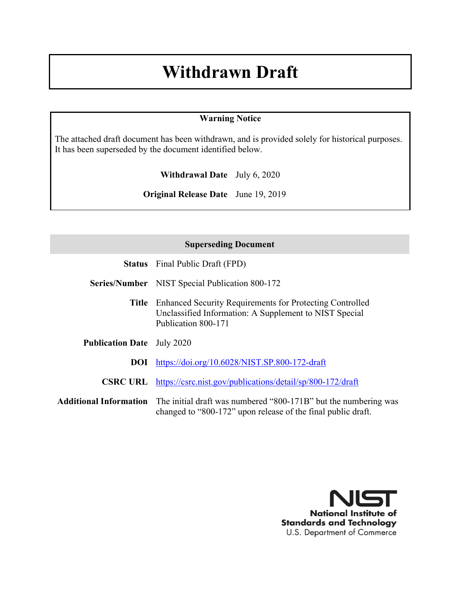# **Withdrawn Draft**

### **Warning Notice**

The attached draft document has been withdrawn, and is provided solely for historical purposes. It has been superseded by the document identified below.

**Withdrawal Date** July 6, 2020

**Original Release Date** June 19, 2019

### **Superseding Document**

**Series/Number** NIST Special Publication 800-172

- **Title** Enhanced Security Requirements for Protecting Controlled Unclassified Information: A Supplement to NIST Special Publication 800-171
- **Publication Date** July 2020

**DOI** <https://doi.org/10.6028/NIST.SP.800-172-draft>

- **CSRC URL** <https://csrc.nist.gov/publications/detail/sp/800-172/draft>
- **Additional Information** The initial draft was numbered "800-171B" but the numbering was changed to "800-172" upon release of the final public draft.

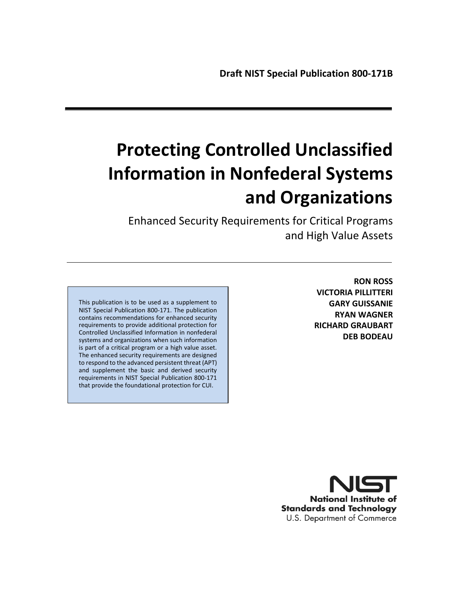# **Protecting Controlled Unclassified Information in Nonfederal Systems and Organizations**

 Enhanced Security Requirements for Critical Programs and High Value Assets

This publication is to be used as a supplement to NIST Special Publication 800-171. The publication contains recommendations for enhanced security requirements to provide additional protection for Controlled Unclassified Information in nonfederal systems and organizations when such information is part of a critical program or a high value asset. The enhanced security requirements are designed to respond to the advanced persistent threat (APT) and supplement the basic and derived security requirements in NIST Special Publication 800-171 that provide the foundational protection for CUI.

**RON ROSS VICTORIA PILLITTERI GARY GUISSANIE RYAN WAGNER RICHARD GRAUBART DEB BODEAU**

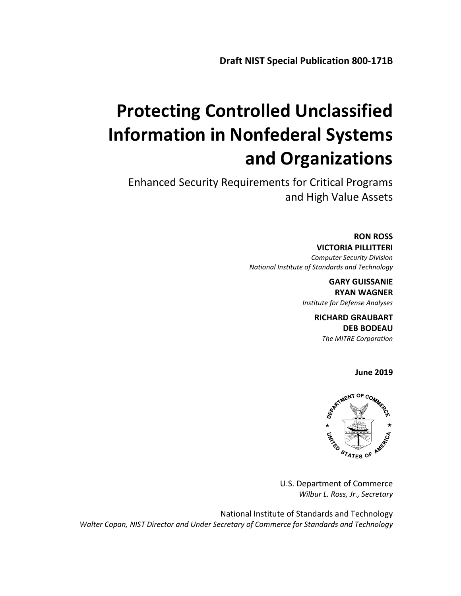# **Protecting Controlled Unclassified Information in Nonfederal Systems and Organizations**

Enhanced Security Requirements for Critical Programs and High Value Assets

> **RON ROSS VICTORIA PILLITTERI** *Computer Security Division National Institute of Standards and Technology*

> > **GARY GUISSANIE RYAN WAGNER** *Institute for Defense Analyses*

> > > **RICHARD GRAUBART DEB BODEAU** *The MITRE Corporation*

> > > > **June 2019**



U.S. Department of Commerce *Wilbur L. Ross, Jr., Secretary*

National Institute of Standards and Technology  *Walter Copan, NIST Director and Under Secretary of Commerce for Standards and Technology*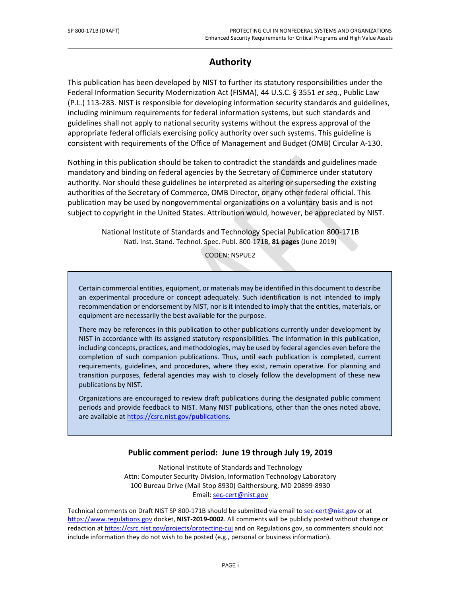# **Authority**

\_\_\_\_\_\_\_\_\_\_\_\_\_\_\_\_\_\_\_\_\_\_\_\_\_\_\_\_\_\_\_\_\_\_\_\_\_\_\_\_\_\_\_\_\_\_\_\_\_\_\_\_\_\_\_\_\_\_\_\_\_\_\_\_\_\_\_\_\_\_\_\_\_\_\_\_\_\_\_\_\_\_\_\_\_\_\_\_\_\_\_\_\_\_\_\_\_

This publication has been developed by NIST to further its statutory responsibilities under the Federal Information Security Modernization Act (FISMA), 44 U.S.C. § 3551 *et seq.*, Public Law (P.L.) 113-283. NIST is responsible for developing information security standards and guidelines, including minimum requirements for federal information systems, but such standards and guidelines shall not apply to national security systems without the express approval of the appropriate federal officials exercising policy authority over such systems. This guideline is consistent with requirements of the Office of Management and Budget (OMB) Circular A-130.

Nothing in this publication should be taken to contradict the standards and guidelines made mandatory and binding on federal agencies by the Secretary of Commerce under statutory authority. Nor should these guidelines be interpreted as altering or superseding the existing authorities of the Secretary of Commerce, OMB Director, or any other federal official. This publication may be used by nongovernmental organizations on a voluntary basis and is not subject to copyright in the United States. Attribution would, however, be appreciated by NIST.

> National Institute of Standards and Technology Special Publication 800-171B Natl. Inst. Stand. Technol. Spec. Publ. 800-171B, **81 pages** (June 2019)

> > CODEN: NSPUE2

Certain commercial entities, equipment, or materials may be identified in this document to describe an experimental procedure or concept adequately. Such identification is not intended to imply recommendation or endorsement by NIST, nor is it intended to imply that the entities, materials, or equipment are necessarily the best available for the purpose.

There may be references in this publication to other publications currently under development by NIST in accordance with its assigned statutory responsibilities. The information in this publication, including concepts, practices, and methodologies, may be used by federal agencies even before the completion of such companion publications. Thus, until each publication is completed, current requirements, guidelines, and procedures, where they exist, remain operative. For planning and transition purposes, federal agencies may wish to closely follow the development of these new publications by NIST.

Organizations are encouraged to review draft publications during the designated public comment periods and provide feedback to NIST. Many NIST publications, other than the ones noted above, are available at [https://csrc.nist.gov/publications.](https://csrc.nist.gov/publications)

### **Public comment period: June 19 through July 19, 2019**

National Institute of Standards and Technology Attn: Computer Security Division, Information Technology Laboratory 100 Bureau Drive (Mail Stop 8930) Gaithersburg, MD 20899-8930 Email: [sec-cert@nist.gov](mailto:sec-cert@nist.gov)

Technical comments on Draft NIST SP 800-171B should be submitted via email to [sec-cert@nist.gov](mailto:sec-cert@nist.gov) or at [https://www.regulations.gov](https://www.regulations.gov/) docket, **NIST-2019-0002**. All comments will be publicly posted without change or redaction at<https://csrc.nist.gov/projects/protecting-cui> and on Regulations.gov, so commenters should not include information they do not wish to be posted (e.g., personal or business information).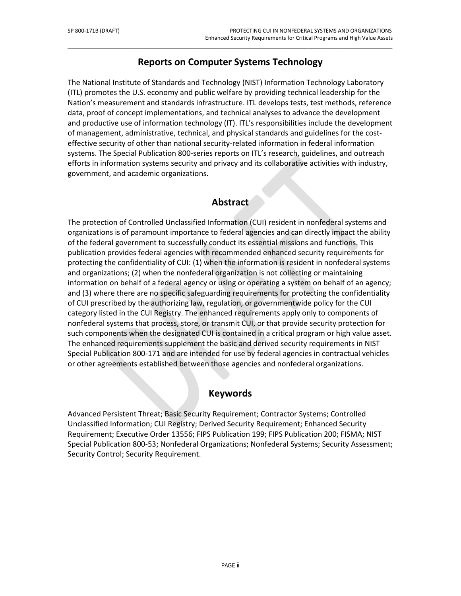# **Reports on Computer Systems Technology**

\_\_\_\_\_\_\_\_\_\_\_\_\_\_\_\_\_\_\_\_\_\_\_\_\_\_\_\_\_\_\_\_\_\_\_\_\_\_\_\_\_\_\_\_\_\_\_\_\_\_\_\_\_\_\_\_\_\_\_\_\_\_\_\_\_\_\_\_\_\_\_\_\_\_\_\_\_\_\_\_\_\_\_\_\_\_\_\_\_\_\_\_\_\_\_\_\_

The National Institute of Standards and Technology (NIST) Information Technology Laboratory (ITL) promotes the U.S. economy and public welfare by providing technical leadership for the Nation's measurement and standards infrastructure. ITL develops tests, test methods, reference data, proof of concept implementations, and technical analyses to advance the development and productive use of information technology (IT). ITL's responsibilities include the development of management, administrative, technical, and physical standards and guidelines for the costeffective security of other than national security-related information in federal information systems. The Special Publication 800-series reports on ITL's research, guidelines, and outreach efforts in information systems security and privacy and its collaborative activities with industry, government, and academic organizations.

# **Abstract**

The protection of Controlled Unclassified Information (CUI) resident in nonfederal systems and organizations is of paramount importance to federal agencies and can directly impact the ability of the federal government to successfully conduct its essential missions and functions. This publication provides federal agencies with recommended enhanced security requirements for protecting the confidentiality of CUI: (1) when the information is resident in nonfederal systems and organizations; (2) when the nonfederal organization is not collecting or maintaining information on behalf of a federal agency or using or operating a system on behalf of an agency; and (3) where there are no specific safeguarding requirements for protecting the confidentiality of CUI prescribed by the authorizing law, regulation, or governmentwide policy for the CUI category listed in the CUI Registry. The enhanced requirements apply only to components of nonfederal systems that process, store, or transmit CUI, or that provide security protection for such components when the designated CUI is contained in a critical program or high value asset. The enhanced requirements supplement the basic and derived security requirements in NIST Special Publication 800-171 and are intended for use by federal agencies in contractual vehicles or other agreements established between those agencies and nonfederal organizations.

### **Keywords**

Advanced Persistent Threat; Basic Security Requirement; Contractor Systems; Controlled Unclassified Information; CUI Registry; Derived Security Requirement; Enhanced Security Requirement; Executive Order 13556; FIPS Publication 199; FIPS Publication 200; FISMA; NIST Special Publication 800-53; Nonfederal Organizations; Nonfederal Systems; Security Assessment; Security Control; Security Requirement.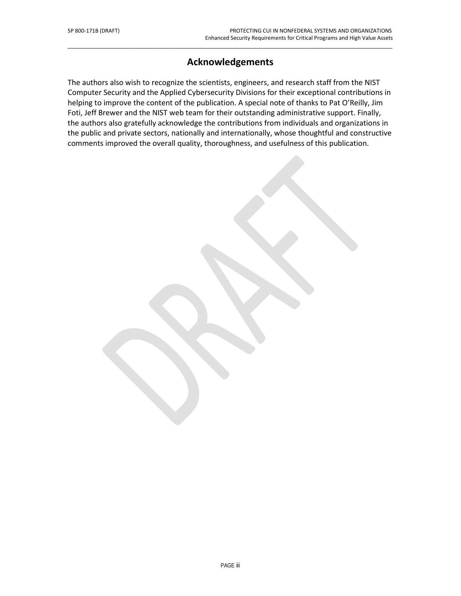# **Acknowledgements**

\_\_\_\_\_\_\_\_\_\_\_\_\_\_\_\_\_\_\_\_\_\_\_\_\_\_\_\_\_\_\_\_\_\_\_\_\_\_\_\_\_\_\_\_\_\_\_\_\_\_\_\_\_\_\_\_\_\_\_\_\_\_\_\_\_\_\_\_\_\_\_\_\_\_\_\_\_\_\_\_\_\_\_\_\_\_\_\_\_\_\_\_\_\_\_\_\_

The authors also wish to recognize the scientists, engineers, and research staff from the NIST Computer Security and the Applied Cybersecurity Divisions for their exceptional contributions in helping to improve the content of the publication. A special note of thanks to Pat O'Reilly, Jim Foti, Jeff Brewer and the NIST web team for their outstanding administrative support. Finally, the authors also gratefully acknowledge the contributions from individuals and organizations in the public and private sectors, nationally and internationally, whose thoughtful and constructive comments improved the overall quality, thoroughness, and usefulness of this publication.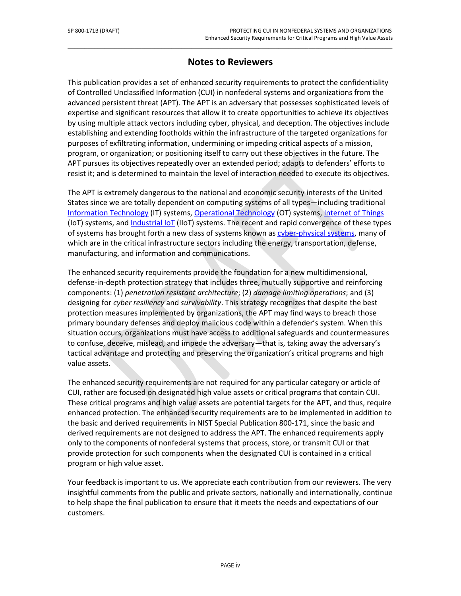# **Notes to Reviewers**

\_\_\_\_\_\_\_\_\_\_\_\_\_\_\_\_\_\_\_\_\_\_\_\_\_\_\_\_\_\_\_\_\_\_\_\_\_\_\_\_\_\_\_\_\_\_\_\_\_\_\_\_\_\_\_\_\_\_\_\_\_\_\_\_\_\_\_\_\_\_\_\_\_\_\_\_\_\_\_\_\_\_\_\_\_\_\_\_\_\_\_\_\_\_\_\_\_

This publication provides a set of enhanced security requirements to protect the confidentiality of Controlled Unclassified Information (CUI) in nonfederal systems and organizations from the advanced persistent threat (APT). The APT is an adversary that possesses sophisticated levels of expertise and significant resources that allow it to create opportunities to achieve its objectives by using multiple attack vectors including cyber, physical, and deception. The objectives include establishing and extending footholds within the infrastructure of the targeted organizations for purposes of exfiltrating information, undermining or impeding critical aspects of a mission, program, or organization; or positioning itself to carry out these objectives in the future. The APT pursues its objectives repeatedly over an extended period; adapts to defenders' efforts to resist it; and is determined to maintain the level of interaction needed to execute its objectives.

The APT is extremely dangerous to the national and economic security interests of the United States since we are totally dependent on computing systems of all types—including traditional [Information Technology](#page-57-0) (IT) systems, [Operational Technology](#page-59-0) (OT) systems[, Internet of Things](#page-58-0) (IoT) systems, an[d Industrial IoT](#page-57-1) (IIoT) systems. The recent and rapid convergence of these types of systems has brought forth a new class of systems known a[s cyber-physical systems,](#page-55-0) many of which are in the critical infrastructure sectors including the energy, transportation, defense, manufacturing, and information and communications.

The enhanced security requirements provide the foundation for a new multidimensional, defense-in-depth protection strategy that includes three, mutually supportive and reinforcing components: (1) *penetration resistant architecture*; (2) *damage limiting operations*; and (3) designing for *cyber resiliency* and *survivability*. This strategy recognizes that despite the best protection measures implemented by organizations, the APT may find ways to breach those primary boundary defenses and deploy malicious code within a defender's system. When this situation occurs, organizations must have access to additional safeguards and countermeasures to confuse, deceive, mislead, and impede the adversary—that is, taking away the adversary's tactical advantage and protecting and preserving the organization's critical programs and high value assets.

The enhanced security requirements are not required for any particular category or article of CUI, rather are focused on designated high value assets or critical programs that contain CUI. These critical programs and high value assets are potential targets for the APT, and thus, require enhanced protection. The enhanced security requirements are to be implemented in addition to the basic and derived requirements in NIST Special Publication 800-171, since the basic and derived requirements are not designed to address the APT. The enhanced requirements apply only to the components of nonfederal systems that process, store, or transmit CUI or that provide protection for such components when the designated CUI is contained in a critical program or high value asset.

Your feedback is important to us. We appreciate each contribution from our reviewers. The very insightful comments from the public and private sectors, nationally and internationally, continue to help shape the final publication to ensure that it meets the needs and expectations of our customers.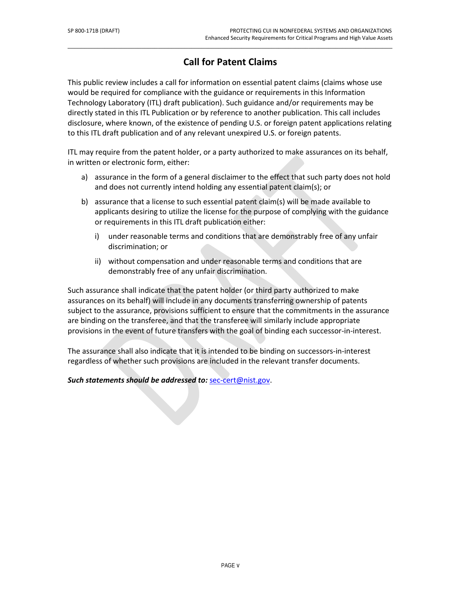# **Call for Patent Claims**

\_\_\_\_\_\_\_\_\_\_\_\_\_\_\_\_\_\_\_\_\_\_\_\_\_\_\_\_\_\_\_\_\_\_\_\_\_\_\_\_\_\_\_\_\_\_\_\_\_\_\_\_\_\_\_\_\_\_\_\_\_\_\_\_\_\_\_\_\_\_\_\_\_\_\_\_\_\_\_\_\_\_\_\_\_\_\_\_\_\_\_\_\_\_\_\_\_

This public review includes a call for information on essential patent claims (claims whose use would be required for compliance with the guidance or requirements in this Information Technology Laboratory (ITL) draft publication). Such guidance and/or requirements may be directly stated in this ITL Publication or by reference to another publication. This call includes disclosure, where known, of the existence of pending U.S. or foreign patent applications relating to this ITL draft publication and of any relevant unexpired U.S. or foreign patents.

ITL may require from the patent holder, or a party authorized to make assurances on its behalf, in written or electronic form, either:

- a) assurance in the form of a general disclaimer to the effect that such party does not hold and does not currently intend holding any essential patent claim(s); or
- b) assurance that a license to such essential patent claim(s) will be made available to applicants desiring to utilize the license for the purpose of complying with the guidance or requirements in this ITL draft publication either:
	- i) under reasonable terms and conditions that are demonstrably free of any unfair discrimination; or
	- ii) without compensation and under reasonable terms and conditions that are demonstrably free of any unfair discrimination.

Such assurance shall indicate that the patent holder (or third party authorized to make assurances on its behalf) will include in any documents transferring ownership of patents subject to the assurance, provisions sufficient to ensure that the commitments in the assurance are binding on the transferee, and that the transferee will similarly include appropriate provisions in the event of future transfers with the goal of binding each successor-in-interest.

The assurance shall also indicate that it is intended to be binding on successors-in-interest regardless of whether such provisions are included in the relevant transfer documents.

*Such statements should be addressed to:* [sec-cert@nist.gov.](mailto:sec-cert@nist.gov)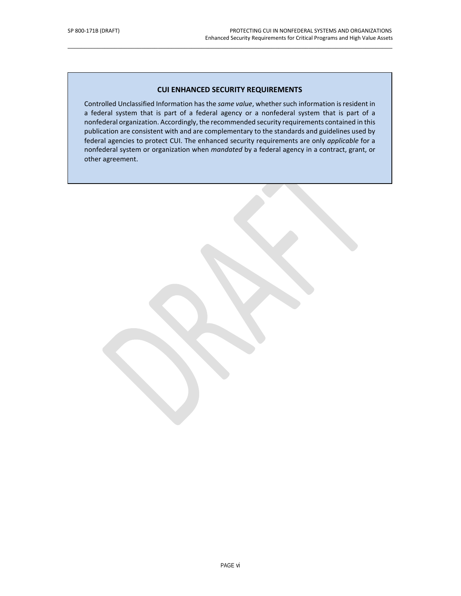#### **CUI ENHANCED SECURITY REQUIREMENTS**

\_\_\_\_\_\_\_\_\_\_\_\_\_\_\_\_\_\_\_\_\_\_\_\_\_\_\_\_\_\_\_\_\_\_\_\_\_\_\_\_\_\_\_\_\_\_\_\_\_\_\_\_\_\_\_\_\_\_\_\_\_\_\_\_\_\_\_\_\_\_\_\_\_\_\_\_\_\_\_\_\_\_\_\_\_\_\_\_\_\_\_\_\_\_\_\_\_

Controlled Unclassified Information has the *same value*, whether such information is resident in a federal system that is part of a federal agency or a nonfederal system that is part of a nonfederal organization. Accordingly, the recommended security requirements contained in this publication are consistent with and are complementary to the standards and guidelines used by federal agencies to protect CUI. The enhanced security requirements are only *applicable* for a nonfederal system or organization when *mandated* by a federal agency in a contract, grant, or other agreement.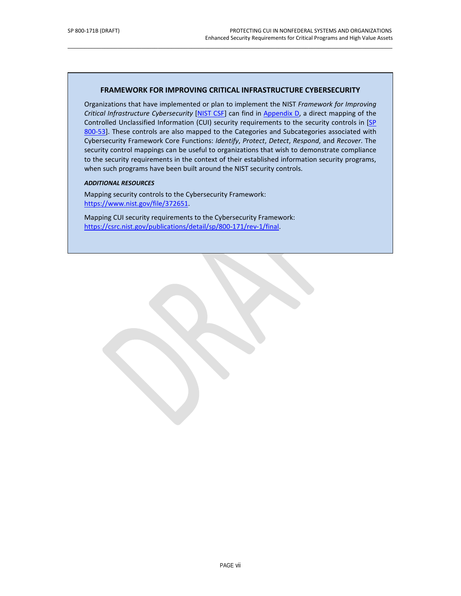#### **FRAMEWORK FOR IMPROVING CRITICAL INFRASTRUCTURE CYBERSECURITY**

\_\_\_\_\_\_\_\_\_\_\_\_\_\_\_\_\_\_\_\_\_\_\_\_\_\_\_\_\_\_\_\_\_\_\_\_\_\_\_\_\_\_\_\_\_\_\_\_\_\_\_\_\_\_\_\_\_\_\_\_\_\_\_\_\_\_\_\_\_\_\_\_\_\_\_\_\_\_\_\_\_\_\_\_\_\_\_\_\_\_\_\_\_\_\_\_\_

Organizations that have implemented or plan to implement the NIST *Framework for Improving Critical Infrastructure Cybersecurity* [\[NIST CSF\]](#page-53-0) can find in [Appendix D,](#page-65-0) a direct mapping of the Controlled Unclassified Information (CUI) security requirements to the security controls in [\[SP](#page-50-0)  [800-53\]](#page-50-0). These controls are also mapped to the Categories and Subcategories associated with Cybersecurity Framework Core Functions: *Identify*, *Protect*, *Detect*, *Respond*, and *Recover*. The security control mappings can be useful to organizations that wish to demonstrate compliance to the security requirements in the context of their established information security programs, when such programs have been built around the NIST security controls.

#### *ADDITIONAL RESOURCES*

Mapping security controls to the Cybersecurity Framework: [https://www.nist.gov/file/372651.](https://www.nist.gov/file/372651)

Mapping CUI security requirements to the Cybersecurity Framework: [https://csrc.nist.gov/publications/detail/sp/800-171/rev-1/final.](https://csrc.nist.gov/publications/detail/sp/800-171/rev-1/final)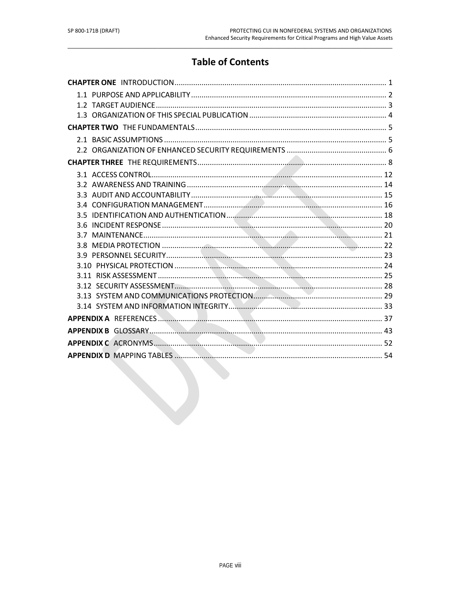# **Table of Contents**

| V |
|---|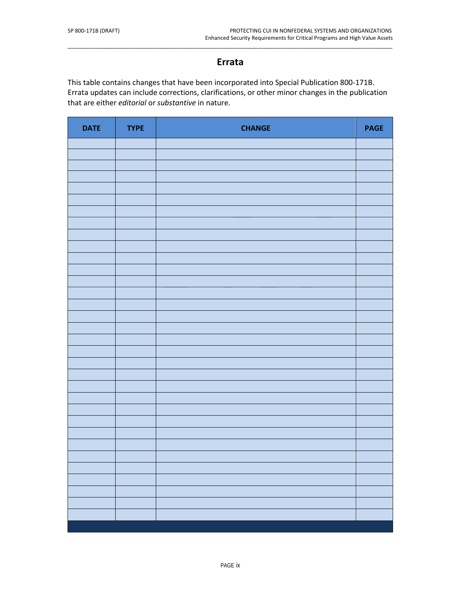# **Errata**

\_\_\_\_\_\_\_\_\_\_\_\_\_\_\_\_\_\_\_\_\_\_\_\_\_\_\_\_\_\_\_\_\_\_\_\_\_\_\_\_\_\_\_\_\_\_\_\_\_\_\_\_\_\_\_\_\_\_\_\_\_\_\_\_\_\_\_\_\_\_\_\_\_\_\_\_\_\_\_\_\_\_\_\_\_\_\_\_\_\_\_\_\_\_\_\_\_

This table contains changes that have been incorporated into Special Publication 800-171B. Errata updates can include corrections, clarifications, or other minor changes in the publication that are either *editorial* or *substantive* in nature.

| <b>DATE</b> | <b>TYPE</b> | <b>CHANGE</b> | <b>PAGE</b> |
|-------------|-------------|---------------|-------------|
|             |             |               |             |
|             |             |               |             |
|             |             |               |             |
|             |             |               |             |
|             |             |               |             |
|             |             |               |             |
|             |             |               |             |
|             |             |               |             |
|             |             |               |             |
|             |             |               |             |
|             |             |               |             |
|             |             |               |             |
|             |             |               |             |
|             |             |               |             |
|             |             |               |             |
|             |             |               |             |
|             |             |               |             |
|             |             |               |             |
|             |             |               |             |
|             |             |               |             |
|             |             |               |             |
|             |             |               |             |
|             |             |               |             |
|             |             |               |             |
|             |             |               |             |
|             |             |               |             |
|             |             |               |             |
|             |             |               |             |
|             |             |               |             |
|             |             |               |             |
|             |             |               |             |
|             |             |               |             |
|             |             |               |             |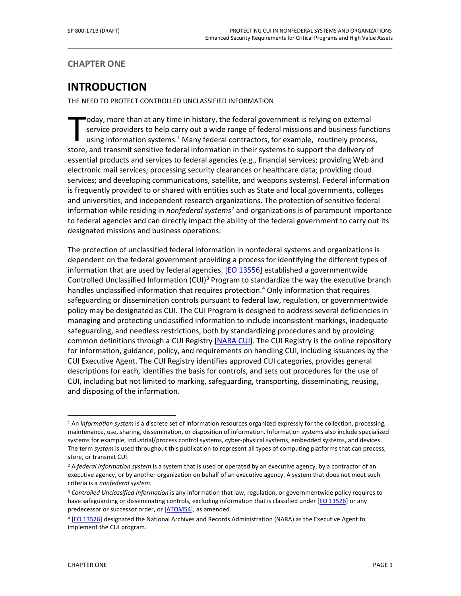<span id="page-12-0"></span>**CHAPTER ONE**

# **INTRODUCTION**

THE NEED TO PROTECT CONTROLLED UNCLASSIFIED INFORMATION

oday, more than at any time in history, the federal government is relying on external service providers to help carry out a wide range of federal missions and business functions using information systems.<sup>[1](#page-12-1)</sup> Many federal contractors, for example, routinely process, oday, more than at any time in history, the federal government is relying on external service providers to help carry out a wide range of federal missions and business function in their systems.<sup>1</sup> Many federal contractors essential products and services to federal agencies (e.g., financial services; providing Web and electronic mail services; processing security clearances or healthcare data; providing cloud services; and developing communications, satellite, and weapons systems). Federal information is frequently provided to or shared with entities such as State and local governments, colleges and universities, and independent research organizations. The protection of sensitive federal information while residing in *nonfederal systems*[2](#page-12-2) and organizations is of paramount importance to federal agencies and can directly impact the ability of the federal government to carry out its designated missions and business operations.

\_\_\_\_\_\_\_\_\_\_\_\_\_\_\_\_\_\_\_\_\_\_\_\_\_\_\_\_\_\_\_\_\_\_\_\_\_\_\_\_\_\_\_\_\_\_\_\_\_\_\_\_\_\_\_\_\_\_\_\_\_\_\_\_\_\_\_\_\_\_\_\_\_\_\_\_\_\_\_\_\_\_\_\_\_\_\_\_\_\_\_\_\_\_\_\_\_

The protection of unclassified federal information in nonfederal systems and organizations is dependent on the federal government providing a process for identifying the different types of information that are used by federal agencies. [\[EO 13556\]](#page-48-1) established a governmentwide Controlled Unclassified Information (CUI)<sup>[3](#page-12-3)</sup> Program to standardize the way the executive branch handles unclassified information that requires protection. [4](#page-12-4) Only information that requires safeguarding or dissemination controls pursuant to federal law, regulation, or governmentwide policy may be designated as CUI. The CUI Program is designed to address several deficiencies in managing and protecting unclassified information to include inconsistent markings, inadequate safeguarding, and needless restrictions, both by standardizing procedures and by providing common definitions through a CUI Registry [\[NARA CUI\]](#page-53-1). The CUI Registry is the online repository for information, guidance, policy, and requirements on handling CUI, including issuances by the CUI Executive Agent. The CUI Registry identifies approved CUI categories, provides general descriptions for each, identifies the basis for controls, and sets out procedures for the use of CUI, including but not limited to marking, safeguarding, transporting, disseminating, reusing, and disposing of the information.

<span id="page-12-1"></span><sup>1</sup> An *information system* is a discrete set of information resources organized expressly for the collection, processing, maintenance, use, sharing, dissemination, or disposition of information. Information systems also include specialized systems for example, industrial/process control systems, cyber-physical systems, embedded systems, and devices. The term *system* is used throughout this publication to represent all types of computing platforms that can process, store, or transmit CUI.

<span id="page-12-2"></span><sup>2</sup> A *federal information system* is a system that is used or operated by an executive agency, by a contractor of an executive agency, or by another organization on behalf of an executive agency. A system that does not meet such criteria is a *nonfederal system*.

<span id="page-12-3"></span><sup>3</sup> *Controlled Unclassified Information* is any information that law, regulation, or governmentwide policy requires to have safeguarding or disseminating controls, excluding information that is classified under [EO 13526] or any predecessor or successor order, or [ATOM54], as amended.

<span id="page-12-4"></span><sup>4</sup> [EO 13526] designated the National Archives and Records Administration (NARA) as the Executive Agent to implement the CUI program.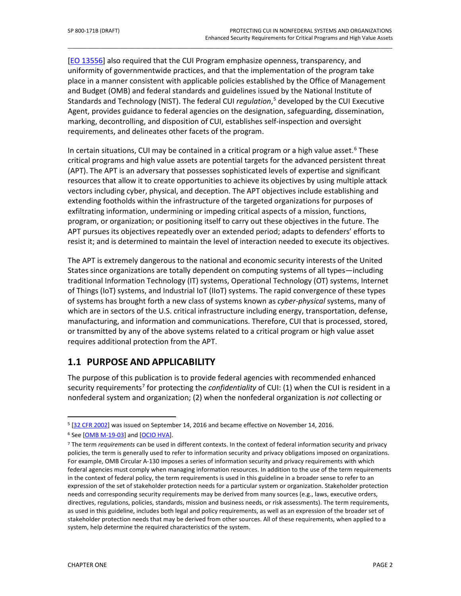[\[EO 13556\]](#page-48-1) also required that the CUI Program emphasize openness, transparency, and uniformity of governmentwide practices, and that the implementation of the program take place in a manner consistent with applicable policies established by the Office of Management and Budget (OMB) and federal standards and guidelines issued by the National Institute of Standards and Technology (NIST). The federal CUI *regulation*, [5](#page-13-1) developed by the CUI Executive Agent, provides guidance to federal agencies on the designation, safeguarding, dissemination, marking, decontrolling, and disposition of CUI, establishes self-inspection and oversight requirements, and delineates other facets of the program.

\_\_\_\_\_\_\_\_\_\_\_\_\_\_\_\_\_\_\_\_\_\_\_\_\_\_\_\_\_\_\_\_\_\_\_\_\_\_\_\_\_\_\_\_\_\_\_\_\_\_\_\_\_\_\_\_\_\_\_\_\_\_\_\_\_\_\_\_\_\_\_\_\_\_\_\_\_\_\_\_\_\_\_\_\_\_\_\_\_\_\_\_\_\_\_\_\_

In certain situations, CUI may be contained in a critical program or a high value asset.<sup>[6](#page-13-2)</sup> These critical programs and high value assets are potential targets for the advanced persistent threat (APT). The APT is an adversary that possesses sophisticated levels of expertise and significant resources that allow it to create opportunities to achieve its objectives by using multiple attack vectors including cyber, physical, and deception. The APT objectives include establishing and extending footholds within the infrastructure of the targeted organizations for purposes of exfiltrating information, undermining or impeding critical aspects of a mission, functions, program, or organization; or positioning itself to carry out these objectives in the future. The APT pursues its objectives repeatedly over an extended period; adapts to defenders' efforts to resist it; and is determined to maintain the level of interaction needed to execute its objectives.

The APT is extremely dangerous to the national and economic security interests of the United States since organizations are totally dependent on computing systems of all types—including traditional Information Technology (IT) systems, Operational Technology (OT) systems, Internet of Things (IoT) systems, and Industrial IoT (IIoT) systems. The rapid convergence of these types of systems has brought forth a new class of systems known as *cyber-physical* systems, many of which are in sectors of the U.S. critical infrastructure including energy, transportation, defense, manufacturing, and information and communications. Therefore, CUI that is processed, stored, or transmitted by any of the above systems related to a critical program or high value asset requires additional protection from the APT.

# <span id="page-13-0"></span>**1.1 PURPOSE AND APPLICABILITY**

The purpose of this publication is to provide federal agencies with recommended enhanced security requirements<sup>[7](#page-13-3)</sup> for protecting the *confidentiality* of CUI: (1) when the CUI is resident in a nonfederal system and organization; (2) when the nonfederal organization is *not* collecting or

<span id="page-13-1"></span> $\overline{a}$ <sup>5</sup> [32 CFR 2002] was issued on September 14, 2016 and became effective on November 14, 2016.

<span id="page-13-2"></span><sup>&</sup>lt;sup>6</sup> See [\[OMB M-19-03\]](#page-49-0) and [\[OCIO HVA\]](#page-49-1).

<span id="page-13-3"></span><sup>7</sup> The term *requirements* can be used in different contexts. In the context of federal information security and privacy policies, the term is generally used to refer to information security and privacy obligations imposed on organizations. For example, OMB Circular A-130 imposes a series of information security and privacy requirements with which federal agencies must comply when managing information resources. In addition to the use of the term requirements in the context of federal policy, the term requirements is used in this guideline in a broader sense to refer to an expression of the set of stakeholder protection needs for a particular system or organization. Stakeholder protection needs and corresponding security requirements may be derived from many sources (e.g., laws, executive orders, directives, regulations, policies, standards, mission and business needs, or risk assessments). The term requirements, as used in this guideline, includes both legal and policy requirements, as well as an expression of the broader set of stakeholder protection needs that may be derived from other sources. All of these requirements, when applied to a system, help determine the required characteristics of the system.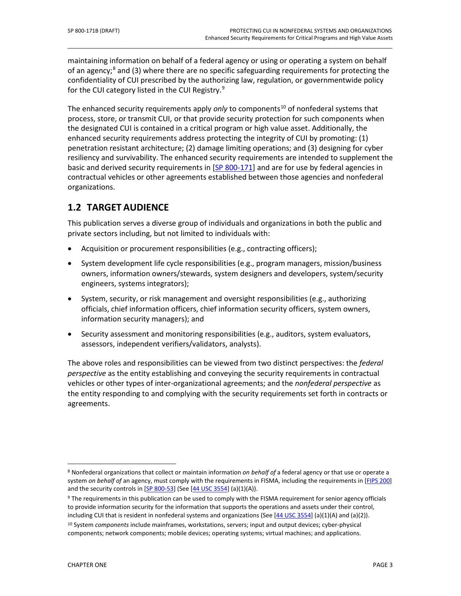maintaining information on behalf of a federal agency or using or operating a system on behalf of an agency;<sup>[8](#page-14-1)</sup> and (3) where there are no specific safeguarding requirements for protecting the confidentiality of CUI prescribed by the authorizing law, regulation, or governmentwide policy for the CUI category listed in the CUI Registry.<sup>[9](#page-14-2)</sup>

\_\_\_\_\_\_\_\_\_\_\_\_\_\_\_\_\_\_\_\_\_\_\_\_\_\_\_\_\_\_\_\_\_\_\_\_\_\_\_\_\_\_\_\_\_\_\_\_\_\_\_\_\_\_\_\_\_\_\_\_\_\_\_\_\_\_\_\_\_\_\_\_\_\_\_\_\_\_\_\_\_\_\_\_\_\_\_\_\_\_\_\_\_\_\_\_\_

The enhanced security requirements apply *only* to components<sup>[10](#page-14-3)</sup> of nonfederal systems that process, store, or transmit CUI, or that provide security protection for such components when the designated CUI is contained in a critical program or high value asset. Additionally, the enhanced security requirements address protecting the integrity of CUI by promoting: (1) penetration resistant architecture; (2) damage limiting operations; and (3) designing for cyber resiliency and survivability. The enhanced security requirements are intended to supplement the basic and derived security requirements in [SP 800-171] and are for use by federal agencies in contractual vehicles or other agreements established between those agencies and nonfederal organizations.

# <span id="page-14-0"></span>**1.2 TARGET AUDIENCE**

This publication serves a diverse group of individuals and organizations in both the public and private sectors including, but not limited to individuals with:

- Acquisition or procurement responsibilities (e.g., contracting officers);
- System development life cycle responsibilities (e.g., program managers, mission/business owners, information owners/stewards, system designers and developers, system/security engineers, systems integrators);
- System, security, or risk management and oversight responsibilities (e.g., authorizing officials, chief information officers, chief information security officers, system owners, information security managers); and
- Security assessment and monitoring responsibilities (e.g., auditors, system evaluators, assessors, independent verifiers/validators, analysts).

The above roles and responsibilities can be viewed from two distinct perspectives: the *federal perspective* as the entity establishing and conveying the security requirements in contractual vehicles or other types of inter-organizational agreements; and the *nonfederal perspective* as the entity responding to and complying with the security requirements set forth in contracts or agreements.

<span id="page-14-1"></span><sup>8</sup> Nonfederal organizations that collect or maintain information *on behalf of* a federal agency or that use or operate a system *on behalf of* an agency, must comply with the requirements in FISMA, including the requirements in [FIPS 200] and the security controls in [\[SP 800-53\]](#page-50-0) (See [\[44 USC 3554\]](#page-48-2) (a)(1)(A)).

<span id="page-14-2"></span><sup>&</sup>lt;sup>9</sup> The requirements in this publication can be used to comply with the FISMA requirement for senior agency officials to provide information security for the information that supports the operations and assets under their control, including CUI that is resident in nonfederal systems and organizations (See  $[44 \text{ USC} 3554]$  (a)(1)(A) and (a)(2)). <sup>10</sup> System *components* include mainframes, workstations, servers; input and output devices; cyber-physical

<span id="page-14-3"></span>components; network components; mobile devices; operating systems; virtual machines; and applications.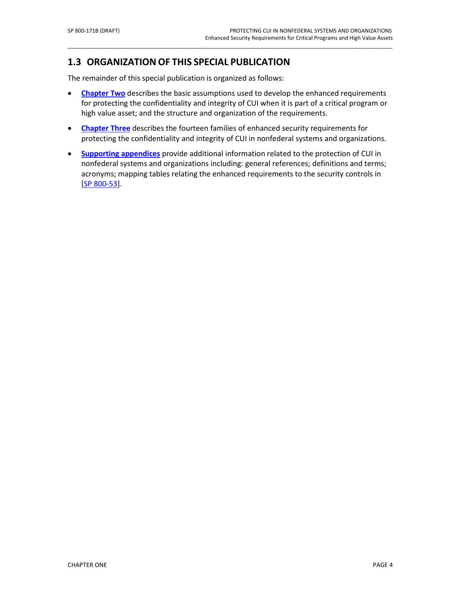### <span id="page-15-0"></span>**1.3 ORGANIZATION OF THIS SPECIAL PUBLICATION**

The remainder of this special publication is organized as follows:

**• [Chapter Two](#page-16-0)** describes the basic assumptions used to develop the enhanced requirements for protecting the confidentiality and integrity of CUI when it is part of a critical program or high value asset; and the structure and organization of the requirements.

\_\_\_\_\_\_\_\_\_\_\_\_\_\_\_\_\_\_\_\_\_\_\_\_\_\_\_\_\_\_\_\_\_\_\_\_\_\_\_\_\_\_\_\_\_\_\_\_\_\_\_\_\_\_\_\_\_\_\_\_\_\_\_\_\_\_\_\_\_\_\_\_\_\_\_\_\_\_\_\_\_\_\_\_\_\_\_\_\_\_\_\_\_\_\_\_\_

- **[Chapter Three](#page-19-0)** describes the fourteen families of enhanced security requirements for protecting the confidentiality and integrity of CUI in nonfederal systems and organizations.
- **[Supporting appendices](#page-48-0)** provide additional information related to the protection of CUI in nonfederal systems and organizations including: general references; definitions and terms; acronyms; mapping tables relating the enhanced requirements to the security controls in [\[SP 800-53\]](#page-50-0).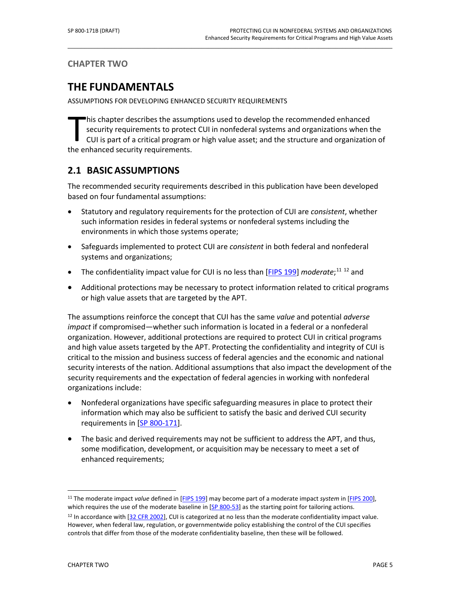<span id="page-16-0"></span>**CHAPTER TWO**

# **THE FUNDAMENTALS**

ASSUMPTIONS FOR DEVELOPING ENHANCED SECURITY REQUIREMENTS

his chapter describes the assumptions used to develop the recommended enhanced security requirements to protect CUI in nonfederal systems and organizations when the CUI is part of a critical program or high value asset; and the structure and organization of his chapter describes the assum<br>security requirements to protec<br>CUI is part of a critical program<br>the enhanced security requirements.

\_\_\_\_\_\_\_\_\_\_\_\_\_\_\_\_\_\_\_\_\_\_\_\_\_\_\_\_\_\_\_\_\_\_\_\_\_\_\_\_\_\_\_\_\_\_\_\_\_\_\_\_\_\_\_\_\_\_\_\_\_\_\_\_\_\_\_\_\_\_\_\_\_\_\_\_\_\_\_\_\_\_\_\_\_\_\_\_\_\_\_\_\_\_\_\_\_

# <span id="page-16-1"></span>**2.1 BASIC ASSUMPTIONS**

The recommended security requirements described in this publication have been developed based on four fundamental assumptions:

- Statutory and regulatory requirements for the protection of CUI are *consistent*, whether such information resides in federal systems or nonfederal systems including the environments in which those systems operate;
- Safeguards implemented to protect CUI are *consistent* in both federal and nonfederal systems and organizations;
- The confidentiality impact value for CUI is no less than [FIPS 199] *moderate*;<sup>[11](#page-16-2) [12](#page-16-3)</sup> and
- Additional protections may be necessary to protect information related to critical programs or high value assets that are targeted by the APT.

The assumptions reinforce the concept that CUI has the same *value* and potential *adverse impact* if compromised—whether such information is located in a federal or a nonfederal organization. However, additional protections are required to protect CUI in critical programs and high value assets targeted by the APT. Protecting the confidentiality and integrity of CUI is critical to the mission and business success of federal agencies and the economic and national security interests of the nation. Additional assumptions that also impact the development of the security requirements and the expectation of federal agencies in working with nonfederal organizations include:

- Nonfederal organizations have specific safeguarding measures in place to protect their information which may also be sufficient to satisfy the basic and derived CUI security requirements in [SP 800-171].
- The basic and derived requirements may not be sufficient to address the APT, and thus, some modification, development, or acquisition may be necessary to meet a set of enhanced requirements;

<span id="page-16-2"></span><sup>11</sup> The moderate impact *value* defined in [FIPS 199] may become part of a moderate impact *system* in [FIPS 200], which requires the use of the moderate baseline in [\[SP 800-53\]](#page-50-0) as the starting point for tailoring actions.

<span id="page-16-3"></span> $12$  In accordance with [32 CFR 2002], CUI is categorized at no less than the moderate confidentiality impact value. However, when federal law, regulation, or governmentwide policy establishing the control of the CUI specifies controls that differ from those of the moderate confidentiality baseline, then these will be followed.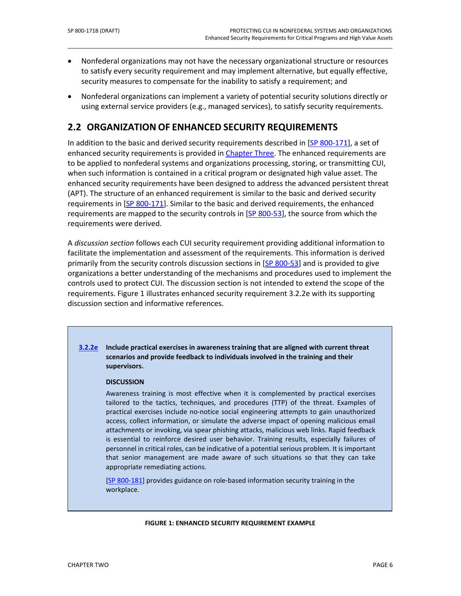• Nonfederal organizations may not have the necessary organizational structure or resources to satisfy every security requirement and may implement alternative, but equally effective, security measures to compensate for the inability to satisfy a requirement; and

\_\_\_\_\_\_\_\_\_\_\_\_\_\_\_\_\_\_\_\_\_\_\_\_\_\_\_\_\_\_\_\_\_\_\_\_\_\_\_\_\_\_\_\_\_\_\_\_\_\_\_\_\_\_\_\_\_\_\_\_\_\_\_\_\_\_\_\_\_\_\_\_\_\_\_\_\_\_\_\_\_\_\_\_\_\_\_\_\_\_\_\_\_\_\_\_\_

• Nonfederal organizations can implement a variety of potential security solutions directly or using external service providers (e.g., managed services), to satisfy security requirements.

### <span id="page-17-0"></span>**2.2 ORGANIZATION OF ENHANCED SECURITY REQUIREMENTS**

In addition to the basic and derived security requirements described in [SP 800-171], a set of enhanced security requirements is provided in [Chapter Three.](#page-19-0) The enhanced requirements are to be applied to nonfederal systems and organizations processing, storing, or transmitting CUI, when such information is contained in a critical program or designated high value asset. The enhanced security requirements have been designed to address the advanced persistent threat (APT). The structure of an enhanced requirement is similar to the basic and derived security requirements in [SP 800-171]. Similar to the basic and derived requirements, the enhanced requirements are mapped to the security controls in [\[SP 800-53\]](#page-50-0), the source from which the requirements were derived.

A *discussion section* follows each CUI security requirement providing additional information to facilitate the implementation and assessment of the requirements. This information is derived primarily from the security controls discussion sections in [\[SP 800-53\]](#page-50-0) and is provided to give organizations a better understanding of the mechanisms and procedures used to implement the controls used to protect CUI. The discussion section is not intended to extend the scope of the requirements. Figure 1 illustrates enhanced security requirement 3.2.2e with its supporting discussion section and informative references.

#### **[3.2.2e](#page-67-0) Include practical exercises in awareness training that are aligned with current threat scenarios and provide feedback to individuals involved in the training and their supervisors.**

#### **DISCUSSION**

Awareness training is most effective when it is complemented by practical exercises tailored to the tactics, techniques, and procedures (TTP) of the threat. Examples of practical exercises include no-notice social engineering attempts to gain unauthorized access, collect information, or simulate the adverse impact of opening malicious email attachments or invoking, via spear phishing attacks, malicious web links. Rapid feedback is essential to reinforce desired user behavior. Training results, especially failures of personnel in critical roles, can be indicative of a potential serious problem. It is important that senior management are made aware of such situations so that they can take appropriate remediating actions.

[SP 800-181] provides guidance on role-based information security training in the workplace.

#### **FIGURE 1: ENHANCED SECURITY REQUIREMENT EXAMPLE**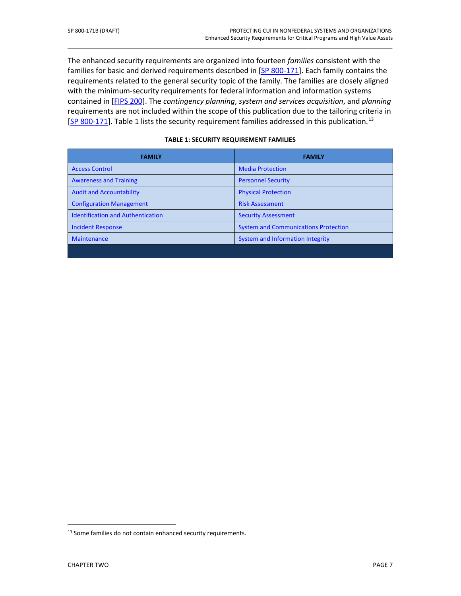The enhanced security requirements are organized into fourteen *families* consistent with the families for basic and derived requirements described in [SP 800-171]. Each family contains the requirements related to the general security topic of the family. The families are closely aligned with the minimum-security requirements for federal information and information systems contained in [FIPS 200]. The *contingency planning*, *system and services acquisition*, and *planning* requirements are not included within the scope of this publication due to the tailoring criteria in [SP 800-171]. Table 1 lists the security requirement families addressed in this publication.<sup>[13](#page-18-0)</sup>

\_\_\_\_\_\_\_\_\_\_\_\_\_\_\_\_\_\_\_\_\_\_\_\_\_\_\_\_\_\_\_\_\_\_\_\_\_\_\_\_\_\_\_\_\_\_\_\_\_\_\_\_\_\_\_\_\_\_\_\_\_\_\_\_\_\_\_\_\_\_\_\_\_\_\_\_\_\_\_\_\_\_\_\_\_\_\_\_\_\_\_\_\_\_\_\_\_

| <b>FAMILY</b>                            | <b>FAMILY</b>                               |
|------------------------------------------|---------------------------------------------|
| <b>Access Control</b>                    | <b>Media Protection</b>                     |
| <b>Awareness and Training</b>            | <b>Personnel Security</b>                   |
| <b>Audit and Accountability</b>          | <b>Physical Protection</b>                  |
| <b>Configuration Management</b>          | <b>Risk Assessment</b>                      |
| <b>Identification and Authentication</b> | <b>Security Assessment</b>                  |
| <b>Incident Response</b>                 | <b>System and Communications Protection</b> |
| <b>Maintenance</b>                       | System and Information Integrity            |
|                                          |                                             |

#### **TABLE 1: SECURITY REQUIREMENT FAMILIES**

<span id="page-18-0"></span><sup>&</sup>lt;sup>13</sup> Some families do not contain enhanced security requirements.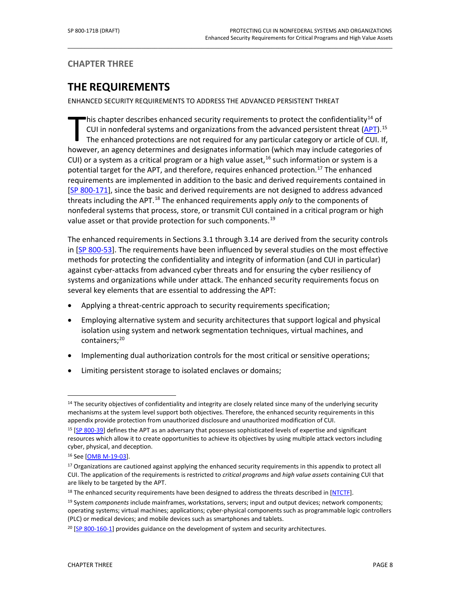### <span id="page-19-0"></span>**CHAPTER THREE**

# **THE REQUIREMENTS**

ENHANCED SECURITY REQUIREMENTS TO ADDRESS THE ADVANCED PERSISTENT THREAT

This chapter describes enhanced security requirements to protect the confidentiality<sup>[14](#page-19-1)</sup> of CUI in nonfederal systems and organizations from the advanced persistent threat [\(APT\)](#page-54-1).<sup>[15](#page-19-2)</sup> The enhanced protections are not required for any particular category or article of CUI. If, his chapter describes enhanced security requirements to protect the confidentiality<sup>14</sup> of<br>CUI in nonfederal systems and organizations from the advanced persistent threat (APT).<sup>1</sup><br>The enhanced protections are not required CUI) or a system as a critical program or a high value asset,  $16$  such information or system is a potential target for the APT, and therefore, requires enhanced protection.<sup>[17](#page-19-4)</sup> The enhanced requirements are implemented in addition to the basic and derived requirements contained in [SP 800-171], since the basic and derived requirements are not designed to address advanced threats including the APT.<sup>[18](#page-19-5)</sup> The enhanced requirements apply *only* to the components of nonfederal systems that process, store, or transmit CUI contained in a critical program or high value asset or that provide protection for such components.<sup>[19](#page-19-6)</sup>

\_\_\_\_\_\_\_\_\_\_\_\_\_\_\_\_\_\_\_\_\_\_\_\_\_\_\_\_\_\_\_\_\_\_\_\_\_\_\_\_\_\_\_\_\_\_\_\_\_\_\_\_\_\_\_\_\_\_\_\_\_\_\_\_\_\_\_\_\_\_\_\_\_\_\_\_\_\_\_\_\_\_\_\_\_\_\_\_\_\_\_\_\_\_\_\_\_

The enhanced requirements in Sections 3.1 through 3.14 are derived from the security controls in [\[SP 800-53\]](#page-50-0). The requirements have been influenced by several studies on the most effective methods for protecting the confidentiality and integrity of information (and CUI in particular) against cyber-attacks from advanced cyber threats and for ensuring the cyber resiliency of systems and organizations while under attack. The enhanced security requirements focus on several key elements that are essential to addressing the APT:

- Applying a threat-centric approach to security requirements specification;
- Employing alternative system and security architectures that support logical and physical isolation using system and network segmentation techniques, virtual machines, and containers:<sup>[20](#page-19-7)</sup>
- Implementing dual authorization controls for the most critical or sensitive operations;
- Limiting persistent storage to isolated enclaves or domains;

<span id="page-19-1"></span><sup>&</sup>lt;sup>14</sup> The security objectives of confidentiality and integrity are closely related since many of the underlying security mechanisms at the system level support both objectives. Therefore, the enhanced security requirements in this appendix provide protection from unauthorized disclosure and unauthorized modification of CUI.

<span id="page-19-2"></span><sup>&</sup>lt;sup>15</sup> [SP 800-39] defines the APT as an adversary that possesses sophisticated levels of expertise and significant resources which allow it to create opportunities to achieve its objectives by using multiple attack vectors including cyber, physical, and deception.

<span id="page-19-3"></span><sup>16</sup> See [\[OMB M-19-03\]](#page-49-0).

<span id="page-19-4"></span><sup>&</sup>lt;sup>17</sup> Organizations are cautioned against applying the enhanced security requirements in this appendix to protect all CUI. The application of the requirements is restricted to *critical programs* and *high value assets* containing CUI that are likely to be targeted by the APT.

<span id="page-19-5"></span><sup>&</sup>lt;sup>18</sup> The enhanced security requirements have been designed to address the threats described in [\[NTCTF\]](#page-53-2).

<span id="page-19-6"></span><sup>19</sup> System *components* include mainframes, workstations, servers; input and output devices; network components; operating systems; virtual machines; applications; cyber-physical components such as programmable logic controllers (PLC) or medical devices; and mobile devices such as smartphones and tablets.

<span id="page-19-7"></span> $20$  [SP 800-160-1] provides guidance on the development of system and security architectures.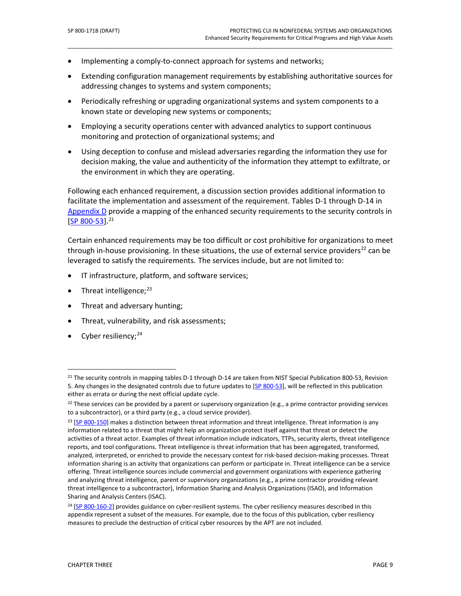- Implementing a comply-to-connect approach for systems and networks;
- Extending configuration management requirements by establishing authoritative sources for addressing changes to systems and system components;

\_\_\_\_\_\_\_\_\_\_\_\_\_\_\_\_\_\_\_\_\_\_\_\_\_\_\_\_\_\_\_\_\_\_\_\_\_\_\_\_\_\_\_\_\_\_\_\_\_\_\_\_\_\_\_\_\_\_\_\_\_\_\_\_\_\_\_\_\_\_\_\_\_\_\_\_\_\_\_\_\_\_\_\_\_\_\_\_\_\_\_\_\_\_\_\_\_

- Periodically refreshing or upgrading organizational systems and system components to a known state or developing new systems or components;
- Employing a security operations center with advanced analytics to support continuous monitoring and protection of organizational systems; and
- Using deception to confuse and mislead adversaries regarding the information they use for decision making, the value and authenticity of the information they attempt to exfiltrate, or the environment in which they are operating.

Following each enhanced requirement, a discussion section provides additional information to facilitate the implementation and assessment of the requirement. Tables D-1 through D-14 in Appendix  $D$  provide a mapping of the enhanced security requirements to the security controls in  $[SP 800-53]$ <sup>21</sup>

Certain enhanced requirements may be too difficult or cost prohibitive for organizations to meet through in-house provisioning. In these situations, the use of external service providers<sup>[22](#page-20-1)</sup> can be leveraged to satisfy the requirements. The services include, but are not limited to:

- IT infrastructure, platform, and software services;
- Threat intelligence;<sup>[23](#page-20-2)</sup>
- Threat and adversary hunting;
- Threat, vulnerability, and risk assessments;
- Cyber resiliency;<sup>[24](#page-20-3)</sup>

<span id="page-20-0"></span> $^{21}$  The security controls in mapping tables D-1 through D-14 are taken from NIST Special Publication 800-53, Revision 5. Any changes in the designated controls due to future updates to [\[SP 800-53\]](#page-50-0), will be reflected in this publication either as errata or during the next official update cycle.

<span id="page-20-1"></span><sup>&</sup>lt;sup>22</sup> These services can be provided by a parent or supervisory organization (e.g., a prime contractor providing services to a subcontractor), or a third party (e.g., a cloud service provider).

<span id="page-20-2"></span><sup>&</sup>lt;sup>23</sup> [\[SP 800-150\]](#page-52-0) makes a distinction between threat information and threat intelligence. Threat information is any information related to a threat that might help an organization protect itself against that threat or detect the activities of a threat actor. Examples of threat information include indicators, TTPs, security alerts, threat intelligence reports, and tool configurations. Threat intelligence is threat information that has been aggregated, transformed, analyzed, interpreted, or enriched to provide the necessary context for risk-based decision-making processes. Threat information sharing is an activity that organizations can perform or participate in. Threat intelligence can be a service offering. Threat intelligence sources include commercial and government organizations with experience gathering and analyzing threat intelligence, parent or supervisory organizations (e.g., a prime contractor providing relevant threat intelligence to a subcontractor), Information Sharing and Analysis Organizations (ISAO), and Information Sharing and Analysis Centers (ISAC).

<span id="page-20-3"></span><sup>24</sup> [SP 800-160-2] provides guidance on cyber-resilient systems. The cyber resiliency measures described in this appendix represent a subset of the measures. For example, due to the focus of this publication, cyber resiliency measures to preclude the destruction of critical cyber resources by the APT are not included.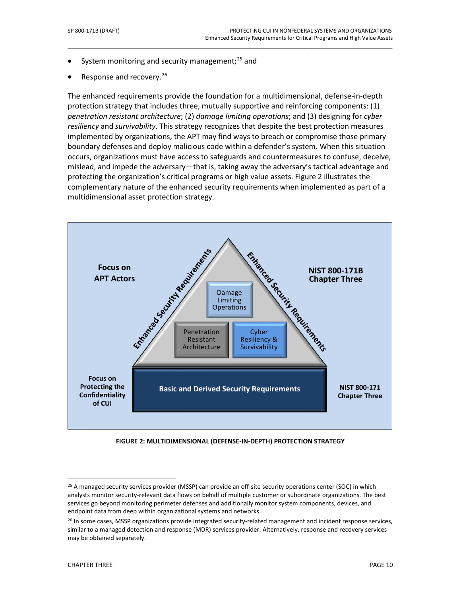- System monitoring and security management; $^{25}$  $^{25}$  $^{25}$  and
- Response and recovery.<sup>[26](#page-21-1)</sup>

The enhanced requirements provide the foundation for a multidimensional, defense-in-depth protection strategy that includes three, mutually supportive and reinforcing components: (1) *penetration resistant architecture*; (2) *damage limiting operations*; and (3) designing for *cyber resiliency* and *survivability*. This strategy recognizes that despite the best protection measures implemented by organizations, the APT may find ways to breach or compromise those primary boundary defenses and deploy malicious code within a defender's system. When this situation occurs, organizations must have access to safeguards and countermeasures to confuse, deceive, mislead, and impede the adversary—that is, taking away the adversary's tactical advantage and protecting the organization's critical programs or high value assets. Figure 2 illustrates the complementary nature of the enhanced security requirements when implemented as part of a multidimensional asset protection strategy.

\_\_\_\_\_\_\_\_\_\_\_\_\_\_\_\_\_\_\_\_\_\_\_\_\_\_\_\_\_\_\_\_\_\_\_\_\_\_\_\_\_\_\_\_\_\_\_\_\_\_\_\_\_\_\_\_\_\_\_\_\_\_\_\_\_\_\_\_\_\_\_\_\_\_\_\_\_\_\_\_\_\_\_\_\_\_\_\_\_\_\_\_\_\_\_\_\_



**FIGURE 2: MULTIDIMENSIONAL (DEFENSE-IN-DEPTH) PROTECTION STRATEGY**

<span id="page-21-0"></span><sup>25</sup> A managed security services provider (MSSP) can provide an off-site security operations center (SOC) in which analysts monitor security-relevant data flows on behalf of multiple customer or subordinate organizations. The best services go beyond monitoring perimeter defenses and additionally monitor system components, devices, and endpoint data from deep within organizational systems and networks.

<span id="page-21-1"></span><sup>&</sup>lt;sup>26</sup> In some cases, MSSP organizations provide integrated security-related management and incident response services, similar to a managed detection and response (MDR) services provider. Alternatively, response and recovery services may be obtained separately.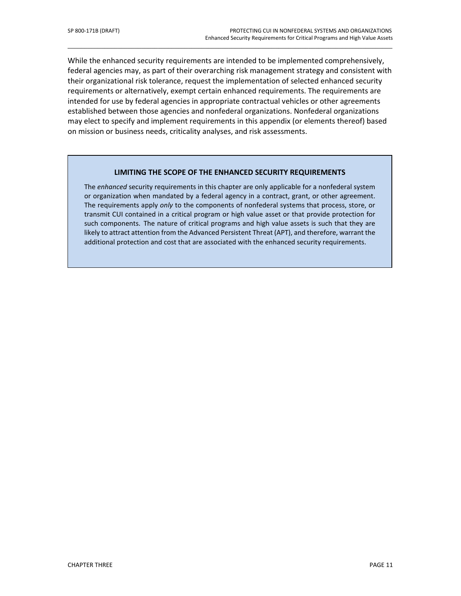While the enhanced security requirements are intended to be implemented comprehensively, federal agencies may, as part of their overarching risk management strategy and consistent with their organizational risk tolerance, request the implementation of selected enhanced security requirements or alternatively, exempt certain enhanced requirements. The requirements are intended for use by federal agencies in appropriate contractual vehicles or other agreements established between those agencies and nonfederal organizations. Nonfederal organizations may elect to specify and implement requirements in this appendix (or elements thereof) based on mission or business needs, criticality analyses, and risk assessments.

\_\_\_\_\_\_\_\_\_\_\_\_\_\_\_\_\_\_\_\_\_\_\_\_\_\_\_\_\_\_\_\_\_\_\_\_\_\_\_\_\_\_\_\_\_\_\_\_\_\_\_\_\_\_\_\_\_\_\_\_\_\_\_\_\_\_\_\_\_\_\_\_\_\_\_\_\_\_\_\_\_\_\_\_\_\_\_\_\_\_\_\_\_\_\_\_\_

#### **LIMITING THE SCOPE OF THE ENHANCED SECURITY REQUIREMENTS**

The *enhanced* security requirements in this chapter are only applicable for a nonfederal system or organization when mandated by a federal agency in a contract, grant, or other agreement. The requirements apply *only* to the components of nonfederal systems that process, store, or transmit CUI contained in a critical program or high value asset or that provide protection for such components. The nature of critical programs and high value assets is such that they are likely to attract attention from the Advanced Persistent Threat (APT), and therefore, warrant the additional protection and cost that are associated with the enhanced security requirements.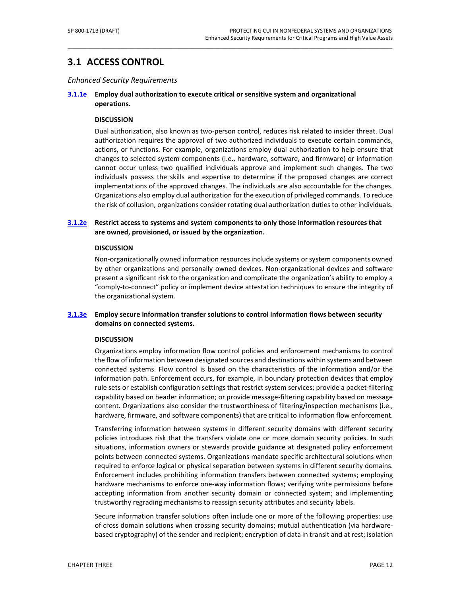# <span id="page-23-0"></span>**3.1 ACCESS CONTROL**

#### *Enhanced Security Requirements*

#### **[3.1.1e](#page-66-0) Employ dual authorization to execute critical or sensitive system and organizational operations.**

\_\_\_\_\_\_\_\_\_\_\_\_\_\_\_\_\_\_\_\_\_\_\_\_\_\_\_\_\_\_\_\_\_\_\_\_\_\_\_\_\_\_\_\_\_\_\_\_\_\_\_\_\_\_\_\_\_\_\_\_\_\_\_\_\_\_\_\_\_\_\_\_\_\_\_\_\_\_\_\_\_\_\_\_\_\_\_\_\_\_\_\_\_\_\_\_\_

#### **DISCUSSION**

Dual authorization, also known as two-person control, reduces risk related to insider threat. Dual authorization requires the approval of two authorized individuals to execute certain commands, actions, or functions. For example, organizations employ dual authorization to help ensure that changes to selected system components (i.e., hardware, software, and firmware) or information cannot occur unless two qualified individuals approve and implement such changes. The two individuals possess the skills and expertise to determine if the proposed changes are correct implementations of the approved changes. The individuals are also accountable for the changes. Organizations also employ dual authorization for the execution of privileged commands. To reduce the risk of collusion, organizations consider rotating dual authorization duties to other individuals.

#### **[3.1.2e](#page-66-1) Restrict access to systems and system components to only those information resources that are owned, provisioned, or issued by the organization.**

#### **DISCUSSION**

Non-organizationally owned information resourcesinclude systems or system components owned by other organizations and personally owned devices. Non-organizational devices and software present a significant risk to the organization and complicate the organization's ability to employ a "comply-to-connect" policy or implement device attestation techniques to ensure the integrity of the organizational system.

#### **[3.1.3e](#page-66-2) Employ secure information transfer solutions to control information flows between security domains on connected systems.**

#### **DISCUSSION**

Organizations employ information flow control policies and enforcement mechanisms to control the flow of information between designated sources and destinations within systems and between connected systems. Flow control is based on the characteristics of the information and/or the information path. Enforcement occurs, for example, in boundary protection devices that employ rule sets or establish configuration settings that restrict system services; provide a packet-filtering capability based on header information; or provide message-filtering capability based on message content. Organizations also consider the trustworthiness of filtering/inspection mechanisms (i.e., hardware, firmware, and software components) that are critical to information flow enforcement.

Transferring information between systems in different security domains with different security policies introduces risk that the transfers violate one or more domain security policies. In such situations, information owners or stewards provide guidance at designated policy enforcement points between connected systems. Organizations mandate specific architectural solutions when required to enforce logical or physical separation between systems in different security domains. Enforcement includes prohibiting information transfers between connected systems; employing hardware mechanisms to enforce one-way information flows; verifying write permissions before accepting information from another security domain or connected system; and implementing trustworthy regrading mechanisms to reassign security attributes and security labels.

Secure information transfer solutions often include one or more of the following properties: use of cross domain solutions when crossing security domains; mutual authentication (via hardwarebased cryptography) of the sender and recipient; encryption of data in transit and at rest; isolation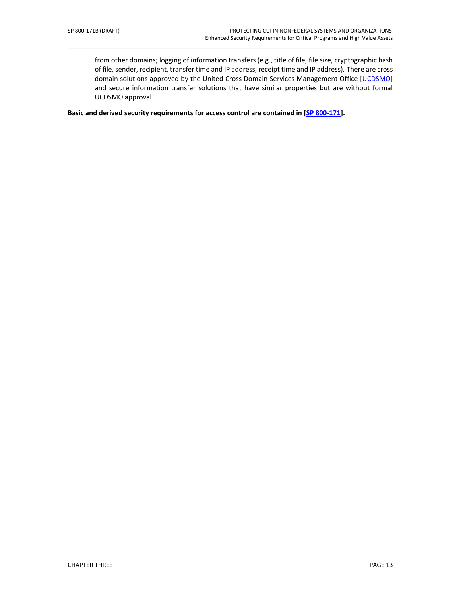from other domains; logging of information transfers (e.g., title of file, file size, cryptographic hash of file, sender, recipient, transfer time and IP address, receipt time and IP address). There are cross domain solutions approved by the United Cross Domain Services Management Office [\[UCDSMO\]](#page-53-2) and secure information transfer solutions that have similar properties but are without formal UCDSMO approval.

\_\_\_\_\_\_\_\_\_\_\_\_\_\_\_\_\_\_\_\_\_\_\_\_\_\_\_\_\_\_\_\_\_\_\_\_\_\_\_\_\_\_\_\_\_\_\_\_\_\_\_\_\_\_\_\_\_\_\_\_\_\_\_\_\_\_\_\_\_\_\_\_\_\_\_\_\_\_\_\_\_\_\_\_\_\_\_\_\_\_\_\_\_\_\_\_\_

**Basic and derived security requirements for access control are contained in [SP 800-171].**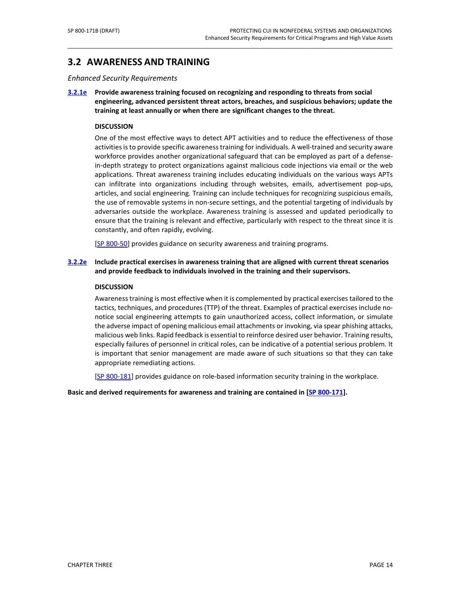### <span id="page-25-0"></span>**3.2 AWARENESS AND TRAINING**

*Enhanced Security Requirements*

**[3.2.1e](#page-67-1) Provide awareness training focused on recognizing and responding to threats from social engineering, advanced persistent threat actors, breaches, and suspicious behaviors; update the training at least annually or when there are significant changes to the threat.**

\_\_\_\_\_\_\_\_\_\_\_\_\_\_\_\_\_\_\_\_\_\_\_\_\_\_\_\_\_\_\_\_\_\_\_\_\_\_\_\_\_\_\_\_\_\_\_\_\_\_\_\_\_\_\_\_\_\_\_\_\_\_\_\_\_\_\_\_\_\_\_\_\_\_\_\_\_\_\_\_\_\_\_\_\_\_\_\_\_\_\_\_\_\_\_\_\_

#### **DISCUSSION**

One of the most effective ways to detect APT activities and to reduce the effectiveness of those activities is to provide specific awareness training for individuals. A well-trained and security aware workforce provides another organizational safeguard that can be employed as part of a defensein-depth strategy to protect organizations against malicious code injections via email or the web applications. Threat awareness training includes educating individuals on the various ways APTs can infiltrate into organizations including through websites, emails, advertisement pop-ups, articles, and social engineering. Training can include techniques for recognizing suspicious emails, the use of removable systems in non-secure settings, and the potential targeting of individuals by adversaries outside the workplace. Awareness training is assessed and updated periodically to ensure that the training is relevant and effective, particularly with respect to the threat since it is constantly, and often rapidly, evolving.

[\[SP 800-50\]](#page-50-1) provides guidance on security awareness and training programs.

#### **[3.2.2e](#page-67-0) Include practical exercises in awareness training that are aligned with current threat scenarios and provide feedback to individuals involved in the training and their supervisors.**

#### **DISCUSSION**

Awareness training is most effective when it is complemented by practical exercisestailored to the tactics, techniques, and procedures (TTP) of the threat. Examples of practical exercises include nonotice social engineering attempts to gain unauthorized access, collect information, or simulate the adverse impact of opening malicious email attachments or invoking, via spear phishing attacks, malicious web links. Rapid feedback is essential to reinforce desired user behavior. Training results, especially failures of personnel in critical roles, can be indicative of a potential serious problem. It is important that senior management are made aware of such situations so that they can take appropriate remediating actions.

[SP 800-181] provides guidance on role-based information security training in the workplace.

**Basic and derived requirements for awareness and training are contained in [SP 800-171].**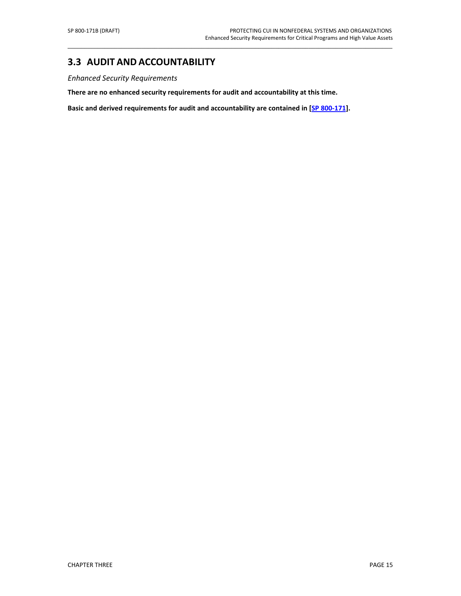### <span id="page-26-0"></span>**3.3 AUDIT AND ACCOUNTABILITY**

*Enhanced Security Requirements*

**There are no enhanced security requirements for audit and accountability at this time.**

**Basic and derived requirements for audit and accountability are contained in [SP 800-171].**

\_\_\_\_\_\_\_\_\_\_\_\_\_\_\_\_\_\_\_\_\_\_\_\_\_\_\_\_\_\_\_\_\_\_\_\_\_\_\_\_\_\_\_\_\_\_\_\_\_\_\_\_\_\_\_\_\_\_\_\_\_\_\_\_\_\_\_\_\_\_\_\_\_\_\_\_\_\_\_\_\_\_\_\_\_\_\_\_\_\_\_\_\_\_\_\_\_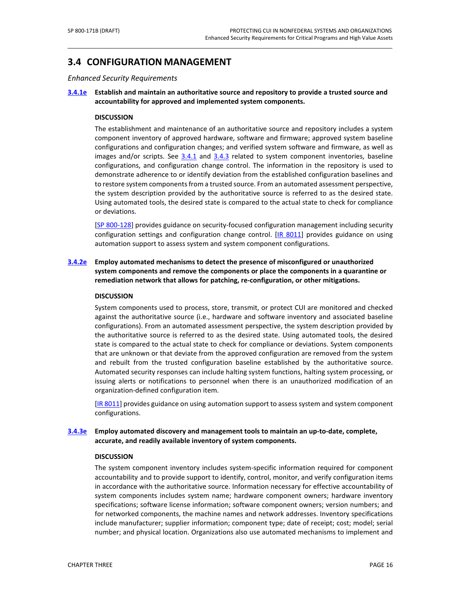### <span id="page-27-0"></span>**3.4 CONFIGURATION MANAGEMENT**

*Enhanced Security Requirements*

**[3.4.1e](#page-69-0) Establish and maintain an authoritative source and repository to provide a trusted source and accountability for approved and implemented system components.** 

\_\_\_\_\_\_\_\_\_\_\_\_\_\_\_\_\_\_\_\_\_\_\_\_\_\_\_\_\_\_\_\_\_\_\_\_\_\_\_\_\_\_\_\_\_\_\_\_\_\_\_\_\_\_\_\_\_\_\_\_\_\_\_\_\_\_\_\_\_\_\_\_\_\_\_\_\_\_\_\_\_\_\_\_\_\_\_\_\_\_\_\_\_\_\_\_\_

#### **DISCUSSION**

The establishment and maintenance of an authoritative source and repository includes a system component inventory of approved hardware, software and firmware; approved system baseline configurations and configuration changes; and verified system software and firmware, as well as images and/or scripts. See 3.4.1 and 3.4.3 related to system component inventories, baseline configurations, and configuration change control. The information in the repository is used to demonstrate adherence to or identify deviation from the established configuration baselines and to restore system components from a trusted source. From an automated assessment perspective, the system description provided by the authoritative source is referred to as the desired state. Using automated tools, the desired state is compared to the actual state to check for compliance or deviations.

[\[SP 800-128\]](#page-51-0) provides guidance on security-focused configuration management including security configuration settings and configuration change control. [\[IR 8011\]](#page-49-2) provides guidance on using automation support to assess system and system component configurations.

#### **[3.4.2e](#page-69-1) Employ automated mechanisms to detect the presence of misconfigured or unauthorized system components and remove the components or place the components in a quarantine or remediation network that allows for patching, re-configuration, or other mitigations.**

#### **DISCUSSION**

System components used to process, store, transmit, or protect CUI are monitored and checked against the authoritative source (i.e., hardware and software inventory and associated baseline configurations). From an automated assessment perspective, the system description provided by the authoritative source is referred to as the desired state. Using automated tools, the desired state is compared to the actual state to check for compliance or deviations. System components that are unknown or that deviate from the approved configuration are removed from the system and rebuilt from the trusted configuration baseline established by the authoritative source. Automated security responses can include halting system functions, halting system processing, or issuing alerts or notifications to personnel when there is an unauthorized modification of an organization-defined configuration item.

[\[IR 8011\]](#page-49-2) provides guidance on using automation support to assess system and system component configurations.

#### **[3.4.3e](#page-69-2) Employ automated discovery and management tools to maintain an up-to-date, complete, accurate, and readily available inventory of system components.**

#### **DISCUSSION**

The system component inventory includes system-specific information required for component accountability and to provide support to identify, control, monitor, and verify configuration items in accordance with the authoritative source. Information necessary for effective accountability of system components includes system name; hardware component owners; hardware inventory specifications; software license information; software component owners; version numbers; and for networked components, the machine names and network addresses. Inventory specifications include manufacturer; supplier information; component type; date of receipt; cost; model; serial number; and physical location. Organizations also use automated mechanisms to implement and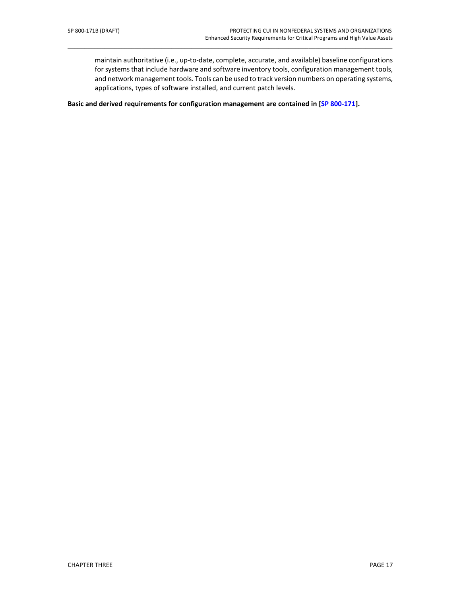maintain authoritative (i.e., up-to-date, complete, accurate, and available) baseline configurations for systems that include hardware and software inventory tools, configuration management tools, and network management tools. Tools can be used to track version numbers on operating systems, applications, types of software installed, and current patch levels.

\_\_\_\_\_\_\_\_\_\_\_\_\_\_\_\_\_\_\_\_\_\_\_\_\_\_\_\_\_\_\_\_\_\_\_\_\_\_\_\_\_\_\_\_\_\_\_\_\_\_\_\_\_\_\_\_\_\_\_\_\_\_\_\_\_\_\_\_\_\_\_\_\_\_\_\_\_\_\_\_\_\_\_\_\_\_\_\_\_\_\_\_\_\_\_\_\_

**Basic and derived requirements for configuration management are contained in [SP 800-171].**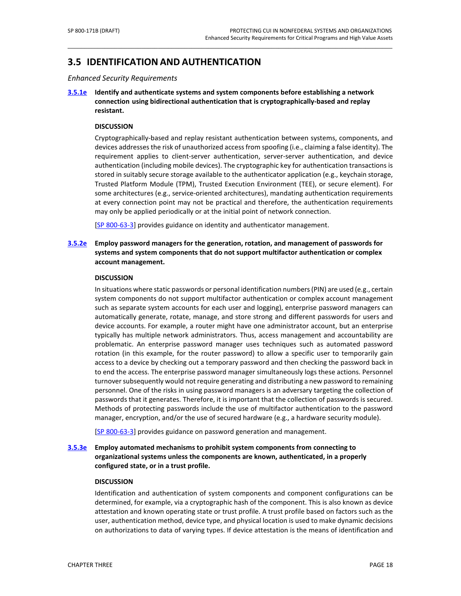# <span id="page-29-0"></span>**3.5 IDENTIFICATIONAND AUTHENTICATION**

*Enhanced Security Requirements*

**[3.5.1e](#page-70-0) Identify and authenticate systems and system components before establishing a network connection using bidirectional authentication that is cryptographically-based and replay resistant.**

\_\_\_\_\_\_\_\_\_\_\_\_\_\_\_\_\_\_\_\_\_\_\_\_\_\_\_\_\_\_\_\_\_\_\_\_\_\_\_\_\_\_\_\_\_\_\_\_\_\_\_\_\_\_\_\_\_\_\_\_\_\_\_\_\_\_\_\_\_\_\_\_\_\_\_\_\_\_\_\_\_\_\_\_\_\_\_\_\_\_\_\_\_\_\_\_\_

#### **DISCUSSION**

Cryptographically-based and replay resistant authentication between systems, components, and devices addresses the risk of unauthorized access from spoofing (i.e., claiming a false identity). The requirement applies to client-server authentication, server-server authentication, and device authentication (including mobile devices). The cryptographic key for authentication transactions is stored in suitably secure storage available to the authenticator application (e.g., keychain storage, Trusted Platform Module (TPM), Trusted Execution Environment (TEE), or secure element). For some architectures (e.g., service-oriented architectures), mandating authentication requirements at every connection point may not be practical and therefore, the authentication requirements may only be applied periodically or at the initial point of network connection.

[\[SP 800-63-3\]](#page-51-1) provides guidance on identity and authenticator management.

#### **[3.5.2e](#page-70-1) Employ password managers for the generation, rotation, and management of passwords for systems and system components that do not support multifactor authentication or complex account management.**

#### **DISCUSSION**

In situations where static passwords or personal identification numbers (PIN) are used (e.g., certain system components do not support multifactor authentication or complex account management such as separate system accounts for each user and logging), enterprise password managers can automatically generate, rotate, manage, and store strong and different passwords for users and device accounts. For example, a router might have one administrator account, but an enterprise typically has multiple network administrators. Thus, access management and accountability are problematic. An enterprise password manager uses techniques such as automated password rotation (in this example, for the router password) to allow a specific user to temporarily gain access to a device by checking out a temporary password and then checking the password back in to end the access. The enterprise password manager simultaneously logs these actions. Personnel turnover subsequently would not require generating and distributing a new password to remaining personnel. One of the risks in using password managers is an adversary targeting the collection of passwords that it generates. Therefore, it is important that the collection of passwords is secured. Methods of protecting passwords include the use of multifactor authentication to the password manager, encryption, and/or the use of secured hardware (e.g., a hardware security module).

[\[SP 800-63-3\]](#page-51-1) provides guidance on password generation and management.

**[3.5.3e](#page-70-2) Employ automated mechanisms to prohibit system components from connecting to organizational systems unless the components are known, authenticated, in a properly configured state, or in a trust profile.**

#### **DISCUSSION**

Identification and authentication of system components and component configurations can be determined, for example, via a cryptographic hash of the component. This is also known as device attestation and known operating state or trust profile. A trust profile based on factors such as the user, authentication method, device type, and physical location is used to make dynamic decisions on authorizations to data of varying types. If device attestation is the means of identification and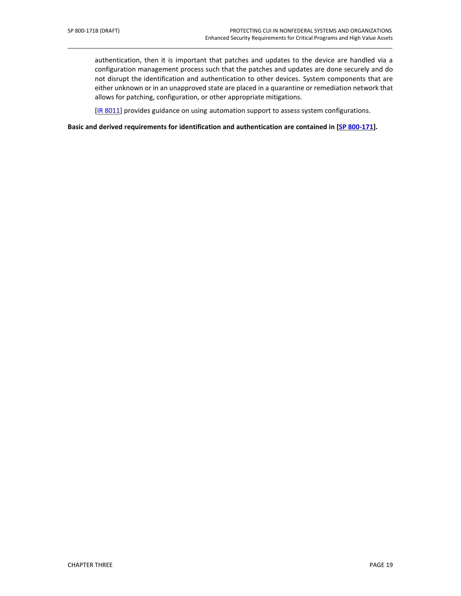authentication, then it is important that patches and updates to the device are handled via a configuration management process such that the patches and updates are done securely and do not disrupt the identification and authentication to other devices. System components that are either unknown or in an unapproved state are placed in a quarantine or remediation network that allows for patching, configuration, or other appropriate mitigations.

[\[IR 8011\]](#page-49-2) provides guidance on using automation support to assess system configurations.

\_\_\_\_\_\_\_\_\_\_\_\_\_\_\_\_\_\_\_\_\_\_\_\_\_\_\_\_\_\_\_\_\_\_\_\_\_\_\_\_\_\_\_\_\_\_\_\_\_\_\_\_\_\_\_\_\_\_\_\_\_\_\_\_\_\_\_\_\_\_\_\_\_\_\_\_\_\_\_\_\_\_\_\_\_\_\_\_\_\_\_\_\_\_\_\_\_

**Basic and derived requirements for identification and authentication are contained in [SP 800-171].**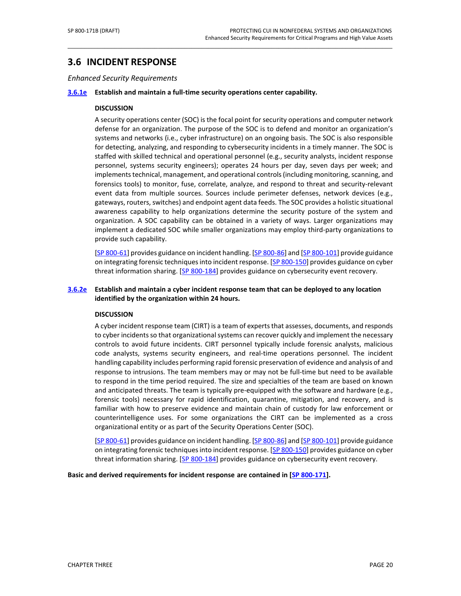# <span id="page-31-0"></span>**3.6 INCIDENT RESPONSE**

*Enhanced Security Requirements*

#### **[3.6.1e](#page-71-0) Establish and maintain a full-time security operations center capability.**

#### **DISCUSSION**

A security operations center (SOC) is the focal point for security operations and computer network defense for an organization. The purpose of the SOC is to defend and monitor an organization's systems and networks (i.e., cyber infrastructure) on an ongoing basis. The SOC is also responsible for detecting, analyzing, and responding to cybersecurity incidents in a timely manner. The SOC is staffed with skilled technical and operational personnel (e.g., security analysts, incident response personnel, systems security engineers); operates 24 hours per day, seven days per week; and implements technical, management, and operational controls (including monitoring, scanning, and forensics tools) to monitor, fuse, correlate, analyze, and respond to threat and security-relevant event data from multiple sources. Sources include perimeter defenses, network devices (e.g., gateways, routers, switches) and endpoint agent data feeds. The SOC provides a holistic situational awareness capability to help organizations determine the security posture of the system and organization. A SOC capability can be obtained in a variety of ways. Larger organizations may implement a dedicated SOC while smaller organizations may employ third-party organizations to provide such capability.

\_\_\_\_\_\_\_\_\_\_\_\_\_\_\_\_\_\_\_\_\_\_\_\_\_\_\_\_\_\_\_\_\_\_\_\_\_\_\_\_\_\_\_\_\_\_\_\_\_\_\_\_\_\_\_\_\_\_\_\_\_\_\_\_\_\_\_\_\_\_\_\_\_\_\_\_\_\_\_\_\_\_\_\_\_\_\_\_\_\_\_\_\_\_\_\_\_

[\[SP 800-61\]](#page-51-2) provides guidance on incident handling. [\[SP 800-86\]](#page-51-3) and [\[SP 800-101\]](#page-51-4) provide guidance on integrating forensic techniques into incident response. [\[SP 800-150\]](#page-52-0) provides guidance on cyber threat information sharing. [\[SP 800-184\]](#page-52-1) provides guidance on cybersecurity event recovery.

#### **[3.6.2e](#page-71-1) Establish and maintain a cyber incident response team that can be deployed to any location identified by the organization within 24 hours.**

#### **DISCUSSION**

A cyber incident response team (CIRT) is a team of experts that assesses, documents, and responds to cyber incidents so that organizational systems can recover quickly and implement the necessary controls to avoid future incidents. CIRT personnel typically include forensic analysts, malicious code analysts, systems security engineers, and real-time operations personnel. The incident handling capability includes performing rapid forensic preservation of evidence and analysis of and response to intrusions. The team members may or may not be full-time but need to be available to respond in the time period required. The size and specialties of the team are based on known and anticipated threats. The team is typically pre-equipped with the software and hardware (e.g., forensic tools) necessary for rapid identification, quarantine, mitigation, and recovery, and is familiar with how to preserve evidence and maintain chain of custody for law enforcement or counterintelligence uses. For some organizations the CIRT can be implemented as a cross organizational entity or as part of the Security Operations Center (SOC).

[\[SP 800-61\]](#page-51-2) provides guidance on incident handling. [\[SP 800-86\]](#page-51-3) and [\[SP 800-101\]](#page-51-4) provide guidance on integrating forensic techniques into incident response. [\[SP 800-150\]](#page-52-0) provides guidance on cyber threat information sharing. [\[SP 800-184\]](#page-52-1) provides guidance on cybersecurity event recovery.

**Basic and derived requirements for incident response are contained in [SP 800-171].**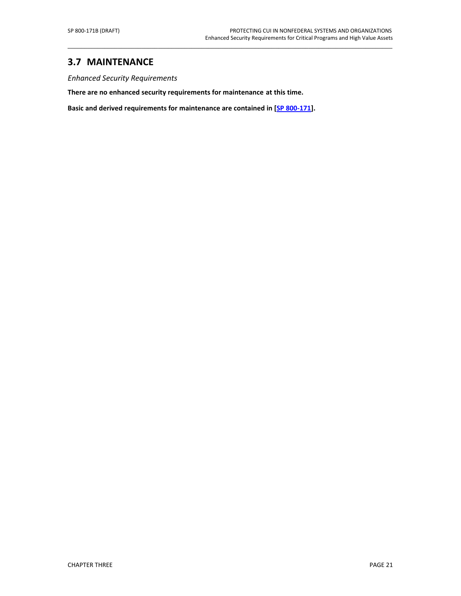# <span id="page-32-0"></span>**3.7 MAINTENANCE**

*Enhanced Security Requirements*

**There are no enhanced security requirements for maintenance at this time.**

**Basic and derived requirements for maintenance are contained in [SP 800-171].**

\_\_\_\_\_\_\_\_\_\_\_\_\_\_\_\_\_\_\_\_\_\_\_\_\_\_\_\_\_\_\_\_\_\_\_\_\_\_\_\_\_\_\_\_\_\_\_\_\_\_\_\_\_\_\_\_\_\_\_\_\_\_\_\_\_\_\_\_\_\_\_\_\_\_\_\_\_\_\_\_\_\_\_\_\_\_\_\_\_\_\_\_\_\_\_\_\_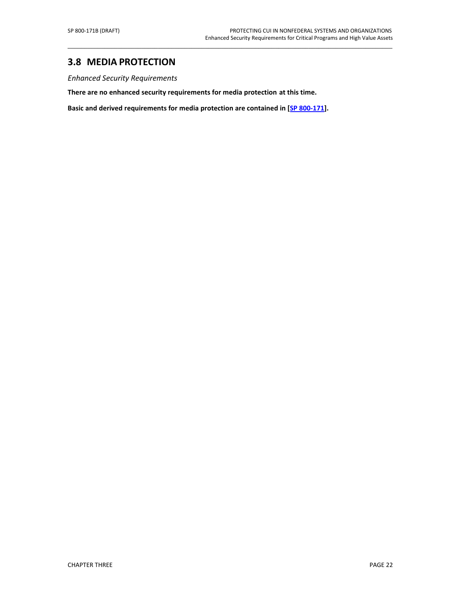### <span id="page-33-0"></span>**3.8 MEDIA PROTECTION**

*Enhanced Security Requirements*

**There are no enhanced security requirements for media protection at this time.**

**Basic and derived requirements for media protection are contained in [SP 800-171].**

\_\_\_\_\_\_\_\_\_\_\_\_\_\_\_\_\_\_\_\_\_\_\_\_\_\_\_\_\_\_\_\_\_\_\_\_\_\_\_\_\_\_\_\_\_\_\_\_\_\_\_\_\_\_\_\_\_\_\_\_\_\_\_\_\_\_\_\_\_\_\_\_\_\_\_\_\_\_\_\_\_\_\_\_\_\_\_\_\_\_\_\_\_\_\_\_\_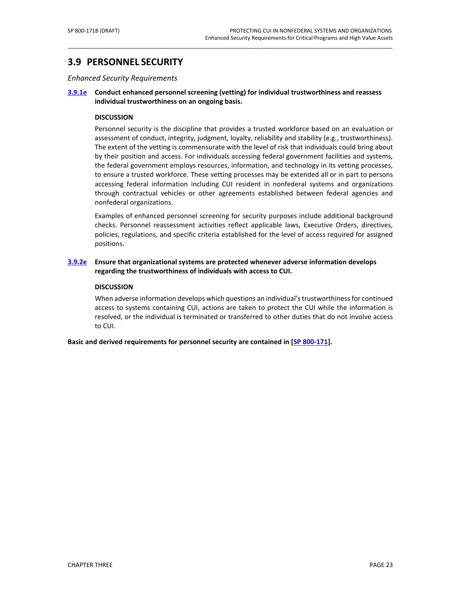# <span id="page-34-0"></span>**3.9 PERSONNEL SECURITY**

*Enhanced Security Requirements*

#### **[3.9.1e](#page-74-0) Conduct enhanced personnel screening (vetting) for individual trustworthiness and reassess individual trustworthiness on an ongoing basis.**

\_\_\_\_\_\_\_\_\_\_\_\_\_\_\_\_\_\_\_\_\_\_\_\_\_\_\_\_\_\_\_\_\_\_\_\_\_\_\_\_\_\_\_\_\_\_\_\_\_\_\_\_\_\_\_\_\_\_\_\_\_\_\_\_\_\_\_\_\_\_\_\_\_\_\_\_\_\_\_\_\_\_\_\_\_\_\_\_\_\_\_\_\_\_\_\_\_

#### **DISCUSSION**

Personnel security is the discipline that provides a trusted workforce based on an evaluation or assessment of conduct, integrity, judgment, loyalty, reliability and stability (e.g., trustworthiness). The extent of the vetting is commensurate with the level of risk that individuals could bring about by their position and access. For individuals accessing federal government facilities and systems, the federal government employs resources, information, and technology in its vetting processes, to ensure a trusted workforce. These vetting processes may be extended all or in part to persons accessing federal information including CUI resident in nonfederal systems and organizations through contractual vehicles or other agreements established between federal agencies and nonfederal organizations.

Examples of enhanced personnel screening for security purposes include additional background checks. Personnel reassessment activities reflect applicable laws, Executive Orders, directives, policies, regulations, and specific criteria established for the level of access required for assigned positions.

#### **[3.9.2e](#page-74-1) Ensure that organizational systems are protected whenever adverse information develops regarding the trustworthiness of individuals with access to CUI.**

#### **DISCUSSION**

When adverse information develops which questions an individual's trustworthiness for continued access to systems containing CUI, actions are taken to protect the CUI while the information is resolved, or the individual is terminated or transferred to other duties that do not involve access to CUI.

**Basic and derived requirements for personnel security are contained in [SP 800-171].**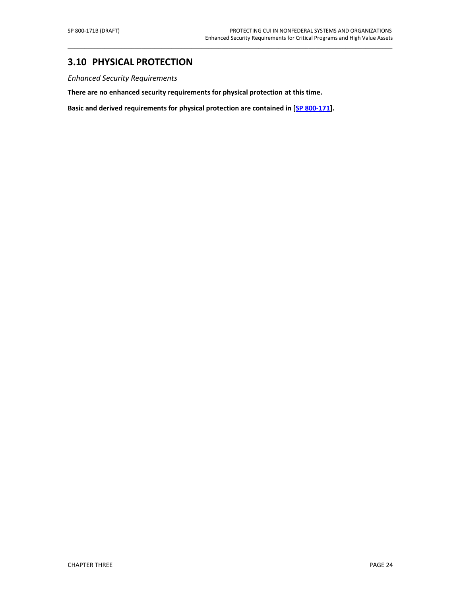# <span id="page-35-0"></span>**3.10 PHYSICAL PROTECTION**

*Enhanced Security Requirements*

**There are no enhanced security requirements for physical protection at this time.**

**Basic and derived requirements for physical protection are contained in [SP 800-171].**

\_\_\_\_\_\_\_\_\_\_\_\_\_\_\_\_\_\_\_\_\_\_\_\_\_\_\_\_\_\_\_\_\_\_\_\_\_\_\_\_\_\_\_\_\_\_\_\_\_\_\_\_\_\_\_\_\_\_\_\_\_\_\_\_\_\_\_\_\_\_\_\_\_\_\_\_\_\_\_\_\_\_\_\_\_\_\_\_\_\_\_\_\_\_\_\_\_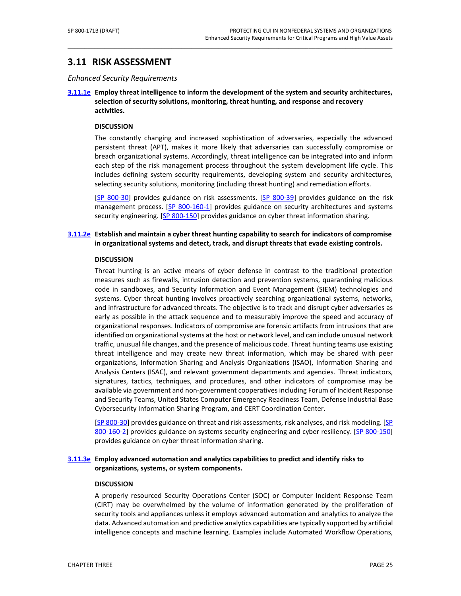# **3.11 RISK ASSESSMENT**

*Enhanced Security Requirements*

**[3.11.1e](#page-76-0) Employ threat intelligence to inform the development of the system and security architectures, selection of security solutions, monitoring, threat hunting, and response and recovery activities.**

 $\_$  ,  $\_$  ,  $\_$  ,  $\_$  ,  $\_$  ,  $\_$  ,  $\_$  ,  $\_$  ,  $\_$  ,  $\_$  ,  $\_$  ,  $\_$  ,  $\_$  ,  $\_$  ,  $\_$  ,  $\_$  ,  $\_$  ,  $\_$  ,  $\_$  ,  $\_$  ,  $\_$  ,  $\_$  ,  $\_$  ,  $\_$  ,  $\_$  ,  $\_$  ,  $\_$  ,  $\_$  ,  $\_$  ,  $\_$  ,  $\_$  ,  $\_$  ,  $\_$  ,  $\_$  ,  $\_$  ,  $\_$  ,  $\_$  ,

#### **DISCUSSION**

The constantly changing and increased sophistication of adversaries, especially the advanced persistent threat (APT), makes it more likely that adversaries can successfully compromise or breach organizational systems. Accordingly, threat intelligence can be integrated into and inform each step of the risk management process throughout the system development life cycle. This includes defining system security requirements, developing system and security architectures, selecting security solutions, monitoring (including threat hunting) and remediation efforts.

[SP 800-30] provides guidance on risk assessments. [SP 800-39] provides guidance on the risk management process. [SP 800-160-1] provides guidance on security architectures and systems security engineering. [\[SP 800-150\]](#page-52-0) provides guidance on cyber threat information sharing.

## **[3.11.2e](#page-76-1) Establish and maintain a cyber threat hunting capability to search for indicators of compromise in organizational systems and detect, track, and disrupt threats that evade existing controls.**

#### **DISCUSSION**

Threat hunting is an active means of cyber defense in contrast to the traditional protection measures such as firewalls, intrusion detection and prevention systems, quarantining malicious code in sandboxes, and Security Information and Event Management (SIEM) technologies and systems. Cyber threat hunting involves proactively searching organizational systems, networks, and infrastructure for advanced threats. The objective is to track and disrupt cyber adversaries as early as possible in the attack sequence and to measurably improve the speed and accuracy of organizational responses. Indicators of compromise are forensic artifacts from intrusions that are identified on organizational systems at the host or network level, and can include unusual network traffic, unusual file changes, and the presence of malicious code. Threat hunting teams use existing threat intelligence and may create new threat information, which may be shared with peer organizations, Information Sharing and Analysis Organizations (ISAO), Information Sharing and Analysis Centers (ISAC), and relevant government departments and agencies. Threat indicators, signatures, tactics, techniques, and procedures, and other indicators of compromise may be available via government and non-government cooperatives including Forum of Incident Response and Security Teams, United States Computer Emergency Readiness Team, Defense Industrial Base Cybersecurity Information Sharing Program, and CERT Coordination Center.

[SP 800-30] provides guidance on threat and risk assessments, risk analyses, and risk modeling. [SP 800-160-2] provides guidance on systems security engineering and cyber resiliency. [SP [800-150\]](#page-52-0) provides guidance on cyber threat information sharing.

## **[3.11.3e](#page-76-2) Employ advanced automation and analytics capabilities to predict and identify risks to organizations, systems, or system components.**

#### **DISCUSSION**

A properly resourced Security Operations Center (SOC) or Computer Incident Response Team (CIRT) may be overwhelmed by the volume of information generated by the proliferation of security tools and appliances unless it employs advanced automation and analytics to analyze the data. Advanced automation and predictive analytics capabilities are typically supported by artificial intelligence concepts and machine learning. Examples include Automated Workflow Operations,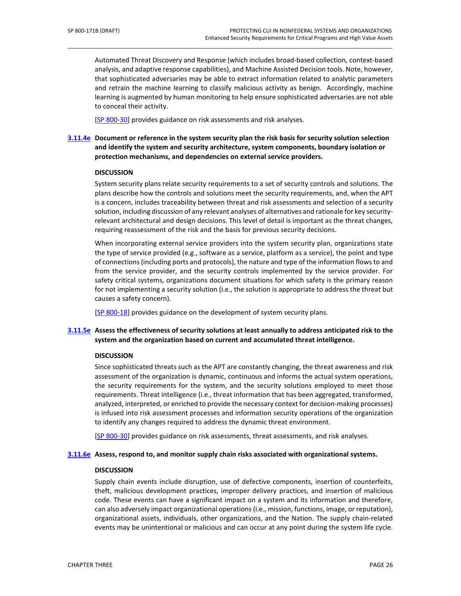Automated Threat Discovery and Response (which includes broad-based collection, context-based analysis, and adaptive response capabilities), and Machine Assisted Decision tools. Note, however, that sophisticated adversaries may be able to extract information related to analytic parameters and retrain the machine learning to classify malicious activity as benign. Accordingly, machine learning is augmented by human monitoring to help ensure sophisticated adversaries are not able to conceal their activity.

 $\_$  ,  $\_$  ,  $\_$  ,  $\_$  ,  $\_$  ,  $\_$  ,  $\_$  ,  $\_$  ,  $\_$  ,  $\_$  ,  $\_$  ,  $\_$  ,  $\_$  ,  $\_$  ,  $\_$  ,  $\_$  ,  $\_$  ,  $\_$  ,  $\_$  ,  $\_$  ,  $\_$  ,  $\_$  ,  $\_$  ,  $\_$  ,  $\_$  ,  $\_$  ,  $\_$  ,  $\_$  ,  $\_$  ,  $\_$  ,  $\_$  ,  $\_$  ,  $\_$  ,  $\_$  ,  $\_$  ,  $\_$  ,  $\_$  ,

[SP 800-30] provides guidance on risk assessments and risk analyses.

## **[3.11.4e](#page-76-3) Document or reference in the system security plan the risk basis for security solution selection and identify the system and security architecture, system components, boundary isolation or protection mechanisms, and dependencies on external service providers.**

#### **DISCUSSION**

System security plans relate security requirements to a set of security controls and solutions. The plans describe how the controls and solutions meet the security requirements, and, when the APT is a concern, includes traceability between threat and risk assessments and selection of a security solution, including discussion of any relevant analyses of alternatives and rationale for key securityrelevant architectural and design decisions. This level of detail is important as the threat changes, requiring reassessment of the risk and the basis for previous security decisions.

When incorporating external service providers into the system security plan, organizations state the type of service provided (e.g., software as a service, platform as a service), the point and type of connections(including ports and protocols), the nature and type of the information flows to and from the service provider, and the security controls implemented by the service provider. For safety critical systems, organizations document situations for which safety is the primary reason for not implementing a security solution (i.e., the solution is appropriate to address the threat but causes a safety concern).

[\[SP 800-18\]](#page-50-0) provides guidance on the development of system security plans.

## **[3.11.5e](#page-76-4) Assess the effectiveness of security solutions at least annually to address anticipated risk to the system and the organization based on current and accumulated threat intelligence.**

## **DISCUSSION**

Since sophisticated threats such as the APT are constantly changing, the threat awareness and risk assessment of the organization is dynamic, continuous and informs the actual system operations, the security requirements for the system, and the security solutions employed to meet those requirements. Threat intelligence (i.e., threat information that has been aggregated, transformed, analyzed, interpreted, or enriched to provide the necessary context for decision-making processes) is infused into risk assessment processes and information security operations of the organization to identify any changes required to address the dynamic threat environment.

[SP 800-30] provides guidance on risk assessments, threat assessments, and risk analyses.

#### **[3.11.6e](#page-76-5) Assess, respond to, and monitor supply chain risks associated with organizational systems.**

#### **DISCUSSION**

Supply chain events include disruption, use of defective components, insertion of counterfeits, theft, malicious development practices, improper delivery practices, and insertion of malicious code. These events can have a significant impact on a system and its information and therefore, can also adversely impact organizational operations (i.e., mission, functions, image, or reputation), organizational assets, individuals, other organizations, and the Nation. The supply chain-related events may be unintentional or malicious and can occur at any point during the system life cycle.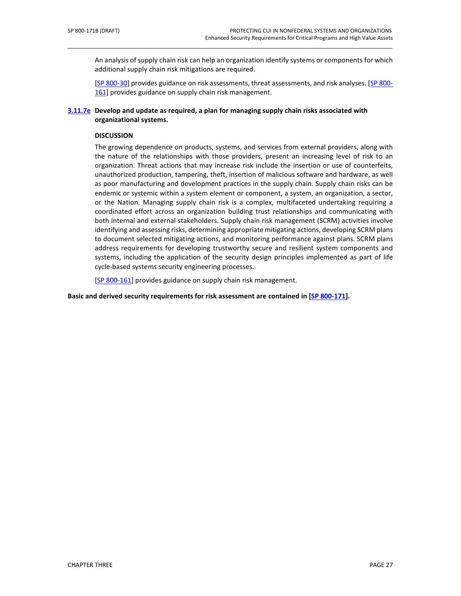An analysis of supply chain risk can help an organization identify systems or components for which additional supply chain risk mitigations are required.

 $\_$  ,  $\_$  ,  $\_$  ,  $\_$  ,  $\_$  ,  $\_$  ,  $\_$  ,  $\_$  ,  $\_$  ,  $\_$  ,  $\_$  ,  $\_$  ,  $\_$  ,  $\_$  ,  $\_$  ,  $\_$  ,  $\_$  ,  $\_$  ,  $\_$  ,  $\_$  ,  $\_$  ,  $\_$  ,  $\_$  ,  $\_$  ,  $\_$  ,  $\_$  ,  $\_$  ,  $\_$  ,  $\_$  ,  $\_$  ,  $\_$  ,  $\_$  ,  $\_$  ,  $\_$  ,  $\_$  ,  $\_$  ,  $\_$  ,

[SP 800-30] provides guidance on risk assessments, threat assessments, and risk analyses. [\[SP 800-](#page-52-1) [161\]](#page-52-1) provides guidance on supply chain risk management.

### **[3.11.7e](#page-77-0) Develop and update as required, a plan for managing supply chain risks associated with organizational systems.**

### **DISCUSSION**

The growing dependence on products, systems, and services from external providers, along with the nature of the relationships with those providers, present an increasing level of risk to an organization. Threat actions that may increase risk include the insertion or use of counterfeits, unauthorized production, tampering, theft, insertion of malicious software and hardware, as well as poor manufacturing and development practices in the supply chain. Supply chain risks can be endemic or systemic within a system element or component, a system, an organization, a sector, or the Nation. Managing supply chain risk is a complex, multifaceted undertaking requiring a coordinated effort across an organization building trust relationships and communicating with both internal and external stakeholders. Supply chain risk management (SCRM) activities involve identifying and assessing risks, determining appropriate mitigating actions, developing SCRM plans to document selected mitigating actions, and monitoring performance against plans. SCRM plans address requirements for developing trustworthy secure and resilient system components and systems, including the application of the security design principles implemented as part of life cycle-based systems security engineering processes.

[\[SP 800-161\]](#page-52-1) provides guidance on supply chain risk management.

**Basic and derived security requirements for risk assessment are contained in [SP 800-171].**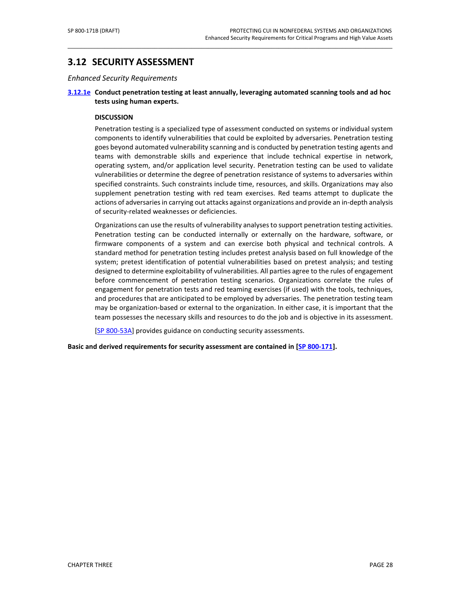# **3.12 SECURITY ASSESSMENT**

*Enhanced Security Requirements*

## **[3.12.1e](#page-78-0) Conduct penetration testing at least annually, leveraging automated scanning tools and ad hoc tests using human experts.**

 $\_$  ,  $\_$  ,  $\_$  ,  $\_$  ,  $\_$  ,  $\_$  ,  $\_$  ,  $\_$  ,  $\_$  ,  $\_$  ,  $\_$  ,  $\_$  ,  $\_$  ,  $\_$  ,  $\_$  ,  $\_$  ,  $\_$  ,  $\_$  ,  $\_$  ,  $\_$  ,  $\_$  ,  $\_$  ,  $\_$  ,  $\_$  ,  $\_$  ,  $\_$  ,  $\_$  ,  $\_$  ,  $\_$  ,  $\_$  ,  $\_$  ,  $\_$  ,  $\_$  ,  $\_$  ,  $\_$  ,  $\_$  ,  $\_$  ,

#### **DISCUSSION**

Penetration testing is a specialized type of assessment conducted on systems or individual system components to identify vulnerabilities that could be exploited by adversaries. Penetration testing goes beyond automated vulnerability scanning and is conducted by penetration testing agents and teams with demonstrable skills and experience that include technical expertise in network, operating system, and/or application level security. Penetration testing can be used to validate vulnerabilities or determine the degree of penetration resistance of systems to adversaries within specified constraints. Such constraints include time, resources, and skills. Organizations may also supplement penetration testing with red team exercises. Red teams attempt to duplicate the actions of adversaries in carrying out attacks against organizations and provide an in-depth analysis of security-related weaknesses or deficiencies.

Organizations can use the results of vulnerability analyses to support penetration testing activities. Penetration testing can be conducted internally or externally on the hardware, software, or firmware components of a system and can exercise both physical and technical controls. A standard method for penetration testing includes pretest analysis based on full knowledge of the system; pretest identification of potential vulnerabilities based on pretest analysis; and testing designed to determine exploitability of vulnerabilities. All parties agree to the rules of engagement before commencement of penetration testing scenarios. Organizations correlate the rules of engagement for penetration tests and red teaming exercises (if used) with the tools, techniques, and procedures that are anticipated to be employed by adversaries. The penetration testing team may be organization-based or external to the organization. In either case, it is important that the team possesses the necessary skills and resources to do the job and is objective in its assessment.

[\[SP 800-53A\]](#page-50-1) provides guidance on conducting security assessments.

**Basic and derived requirements for security assessment are contained in [SP 800-171].**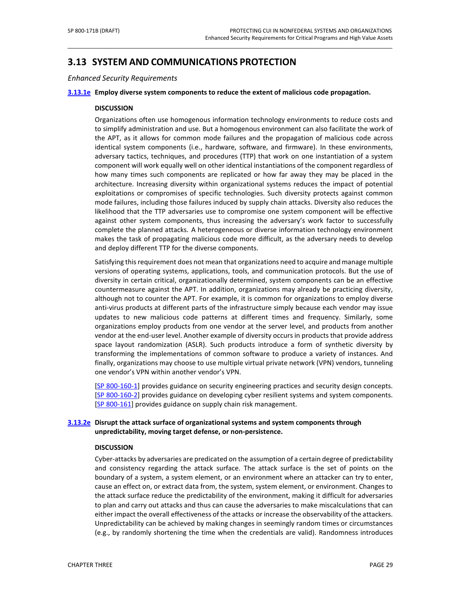# **3.13 SYSTEM AND COMMUNICATIONS PROTECTION**

*Enhanced Security Requirements*

#### **[3.13.1e](#page-79-0) Employ diverse system components to reduce the extent of malicious code propagation.**

 $\_$  ,  $\_$  ,  $\_$  ,  $\_$  ,  $\_$  ,  $\_$  ,  $\_$  ,  $\_$  ,  $\_$  ,  $\_$  ,  $\_$  ,  $\_$  ,  $\_$  ,  $\_$  ,  $\_$  ,  $\_$  ,  $\_$  ,  $\_$  ,  $\_$  ,  $\_$  ,  $\_$  ,  $\_$  ,  $\_$  ,  $\_$  ,  $\_$  ,  $\_$  ,  $\_$  ,  $\_$  ,  $\_$  ,  $\_$  ,  $\_$  ,  $\_$  ,  $\_$  ,  $\_$  ,  $\_$  ,  $\_$  ,  $\_$  ,

#### **DISCUSSION**

Organizations often use homogenous information technology environments to reduce costs and to simplify administration and use. But a homogenous environment can also facilitate the work of the APT, as it allows for common mode failures and the propagation of malicious code across identical system components (i.e., hardware, software, and firmware). In these environments, adversary tactics, techniques, and procedures (TTP) that work on one instantiation of a system component will work equally well on other identical instantiations of the component regardless of how many times such components are replicated or how far away they may be placed in the architecture. Increasing diversity within organizational systems reduces the impact of potential exploitations or compromises of specific technologies. Such diversity protects against common mode failures, including those failures induced by supply chain attacks. Diversity also reduces the likelihood that the TTP adversaries use to compromise one system component will be effective against other system components, thus increasing the adversary's work factor to successfully complete the planned attacks. A heterogeneous or diverse information technology environment makes the task of propagating malicious code more difficult, as the adversary needs to develop and deploy different TTP for the diverse components.

Satisfying this requirement does not mean that organizations need to acquire and manage multiple versions of operating systems, applications, tools, and communication protocols. But the use of diversity in certain critical, organizationally determined, system components can be an effective countermeasure against the APT. In addition, organizations may already be practicing diversity, although not to counter the APT. For example, it is common for organizations to employ diverse anti-virus products at different parts of the infrastructure simply because each vendor may issue updates to new malicious code patterns at different times and frequency. Similarly, some organizations employ products from one vendor at the server level, and products from another vendor at the end-user level. Another example of diversity occurs in products that provide address space layout randomization (ASLR). Such products introduce a form of synthetic diversity by transforming the implementations of common software to produce a variety of instances. And finally, organizations may choose to use multiple virtual private network (VPN) vendors, tunneling one vendor's VPN within another vendor's VPN.

[SP 800-160-1] provides guidance on security engineering practices and security design concepts. [SP 800-160-2] provides guidance on developing cyber resilient systems and system components. [\[SP 800-161\]](#page-52-1) provides guidance on supply chain risk management.

## **[3.13.2e](#page-79-1) Disrupt the attack surface of organizational systems and system components through unpredictability, moving target defense, or non-persistence.**

### **DISCUSSION**

Cyber-attacks by adversaries are predicated on the assumption of a certain degree of predictability and consistency regarding the attack surface. The attack surface is the set of points on the boundary of a system, a system element, or an environment where an attacker can try to enter, cause an effect on, or extract data from, the system, system element, or environment. Changes to the attack surface reduce the predictability of the environment, making it difficult for adversaries to plan and carry out attacks and thus can cause the adversaries to make miscalculations that can either impact the overall effectiveness of the attacks or increase the observability of the attackers. Unpredictability can be achieved by making changes in seemingly random times or circumstances (e.g., by randomly shortening the time when the credentials are valid). Randomness introduces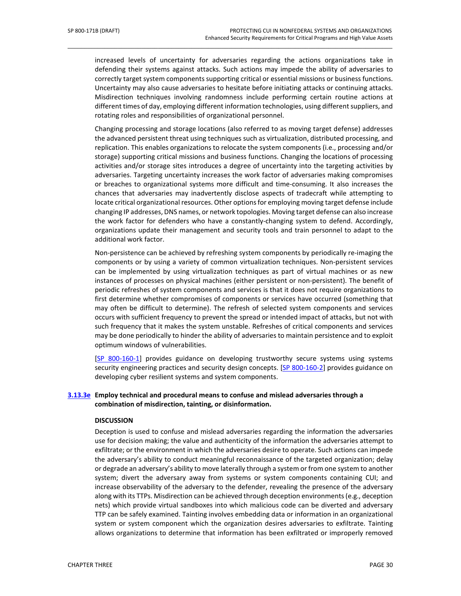increased levels of uncertainty for adversaries regarding the actions organizations take in defending their systems against attacks. Such actions may impede the ability of adversaries to correctly target system components supporting critical or essential missions or business functions. Uncertainty may also cause adversaries to hesitate before initiating attacks or continuing attacks. Misdirection techniques involving randomness include performing certain routine actions at different times of day, employing different information technologies, using different suppliers, and rotating roles and responsibilities of organizational personnel.

 $\_$  ,  $\_$  ,  $\_$  ,  $\_$  ,  $\_$  ,  $\_$  ,  $\_$  ,  $\_$  ,  $\_$  ,  $\_$  ,  $\_$  ,  $\_$  ,  $\_$  ,  $\_$  ,  $\_$  ,  $\_$  ,  $\_$  ,  $\_$  ,  $\_$  ,  $\_$  ,  $\_$  ,  $\_$  ,  $\_$  ,  $\_$  ,  $\_$  ,  $\_$  ,  $\_$  ,  $\_$  ,  $\_$  ,  $\_$  ,  $\_$  ,  $\_$  ,  $\_$  ,  $\_$  ,  $\_$  ,  $\_$  ,  $\_$  ,

Changing processing and storage locations (also referred to as moving target defense) addresses the advanced persistent threat using techniques such as virtualization, distributed processing, and replication. This enables organizations to relocate the system components (i.e., processing and/or storage) supporting critical missions and business functions. Changing the locations of processing activities and/or storage sites introduces a degree of uncertainty into the targeting activities by adversaries. Targeting uncertainty increases the work factor of adversaries making compromises or breaches to organizational systems more difficult and time-consuming. It also increases the chances that adversaries may inadvertently disclose aspects of tradecraft while attempting to locate critical organizational resources. Other options for employing moving target defense include changing IP addresses, DNS names, or network topologies. Moving target defense can also increase the work factor for defenders who have a constantly-changing system to defend. Accordingly, organizations update their management and security tools and train personnel to adapt to the additional work factor.

Non-persistence can be achieved by refreshing system components by periodically re-imaging the components or by using a variety of common virtualization techniques. Non-persistent services can be implemented by using virtualization techniques as part of virtual machines or as new instances of processes on physical machines (either persistent or non-persistent). The benefit of periodic refreshes of system components and services is that it does not require organizations to first determine whether compromises of components or services have occurred (something that may often be difficult to determine). The refresh of selected system components and services occurs with sufficient frequency to prevent the spread or intended impact of attacks, but not with such frequency that it makes the system unstable. Refreshes of critical components and services may be done periodically to hinder the ability of adversaries to maintain persistence and to exploit optimum windows of vulnerabilities.

[SP 800-160-1] provides guidance on developing trustworthy secure systems using systems security engineering practices and security design concepts. [SP 800-160-2] provides guidance on developing cyber resilient systems and system components.

## **[3.13.3e](#page-79-2) Employ technical and procedural means to confuse and mislead adversaries through a combination of misdirection, tainting, or disinformation.**

### **DISCUSSION**

Deception is used to confuse and mislead adversaries regarding the information the adversaries use for decision making; the value and authenticity of the information the adversaries attempt to exfiltrate; or the environment in which the adversaries desire to operate. Such actions can impede the adversary's ability to conduct meaningful reconnaissance of the targeted organization; delay or degrade an adversary's ability to move laterally through a system or from one system to another system; divert the adversary away from systems or system components containing CUI; and increase observability of the adversary to the defender, revealing the presence of the adversary along with its TTPs. Misdirection can be achieved through deception environments (e.g., deception nets) which provide virtual sandboxes into which malicious code can be diverted and adversary TTP can be safely examined. Tainting involves embedding data or information in an organizational system or system component which the organization desires adversaries to exfiltrate. Tainting allows organizations to determine that information has been exfiltrated or improperly removed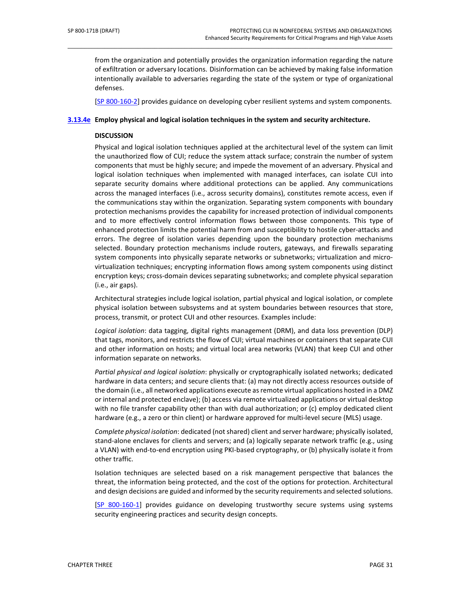from the organization and potentially provides the organization information regarding the nature of exfiltration or adversary locations. Disinformation can be achieved by making false information intentionally available to adversaries regarding the state of the system or type of organizational defenses.

\_\_\_\_\_\_\_\_\_\_\_\_\_\_\_\_\_\_\_\_\_\_\_\_\_\_\_\_\_\_\_\_\_\_\_\_\_\_\_\_\_\_\_\_\_\_\_\_\_\_\_\_\_\_\_\_\_\_\_\_\_\_\_\_\_\_\_\_\_\_\_\_\_\_\_\_\_\_\_\_\_\_\_\_\_\_\_\_\_\_\_\_\_\_\_\_\_

[SP 800-160-2] provides guidance on developing cyber resilient systems and system components.

#### **[3.13.4e](#page-79-3) Employ physical and logical isolation techniques in the system and security architecture.**

### **DISCUSSION**

Physical and logical isolation techniques applied at the architectural level of the system can limit the unauthorized flow of CUI; reduce the system attack surface; constrain the number of system components that must be highly secure; and impede the movement of an adversary. Physical and logical isolation techniques when implemented with managed interfaces, can isolate CUI into separate security domains where additional protections can be applied. Any communications across the managed interfaces (i.e., across security domains), constitutes remote access, even if the communications stay within the organization. Separating system components with boundary protection mechanisms provides the capability for increased protection of individual components and to more effectively control information flows between those components. This type of enhanced protection limits the potential harm from and susceptibility to hostile cyber-attacks and errors. The degree of isolation varies depending upon the boundary protection mechanisms selected. Boundary protection mechanisms include routers, gateways, and firewalls separating system components into physically separate networks or subnetworks; virtualization and microvirtualization techniques; encrypting information flows among system components using distinct encryption keys; cross-domain devices separating subnetworks; and complete physical separation (i.e., air gaps).

Architectural strategies include logical isolation, partial physical and logical isolation, or complete physical isolation between subsystems and at system boundaries between resources that store, process, transmit, or protect CUI and other resources. Examples include:

*Logical isolation*: data tagging, digital rights management (DRM), and data loss prevention (DLP) that tags, monitors, and restricts the flow of CUI; virtual machines or containers that separate CUI and other information on hosts; and virtual local area networks (VLAN) that keep CUI and other information separate on networks.

*Partial physical and logical isolation*: physically or cryptographically isolated networks; dedicated hardware in data centers; and secure clients that: (a) may not directly access resources outside of the domain (i.e., all networked applications execute as remote virtual applications hosted in a DMZ or internal and protected enclave); (b) access via remote virtualized applications or virtual desktop with no file transfer capability other than with dual authorization; or (c) employ dedicated client hardware (e.g., a zero or thin client) or hardware approved for multi-level secure (MLS) usage.

*Complete physical isolation*: dedicated (not shared) client and server hardware; physically isolated, stand-alone enclaves for clients and servers; and (a) logically separate network traffic (e.g., using a VLAN) with end-to-end encryption using PKI-based cryptography, or (b) physically isolate it from other traffic.

Isolation techniques are selected based on a risk management perspective that balances the threat, the information being protected, and the cost of the options for protection. Architectural and design decisions are guided and informed by the security requirements and selected solutions.

[SP 800-160-1] provides guidance on developing trustworthy secure systems using systems security engineering practices and security design concepts.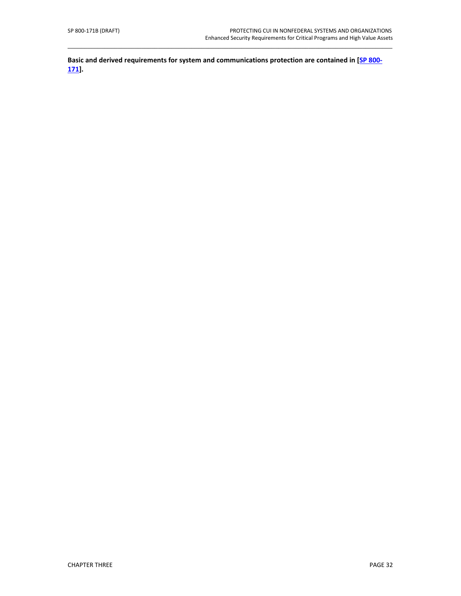**Basic and derived requirements for system and communications protection are contained in [SP 800- 171].**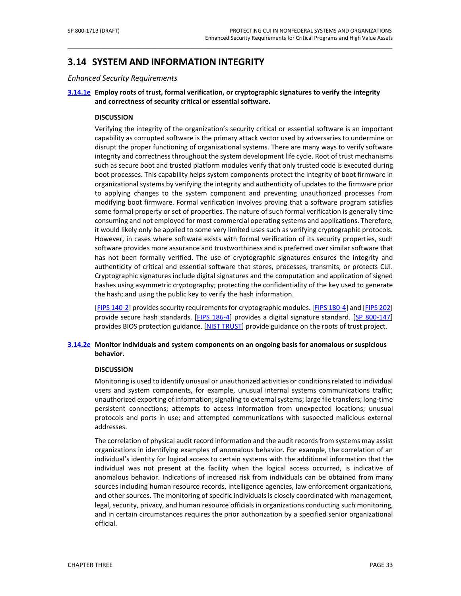# **3.14 SYSTEM AND INFORMATION INTEGRITY**

*Enhanced Security Requirements*

## **[3.14.1e](#page-80-0) Employ roots of trust, formal verification, or cryptographic signatures to verify the integrity and correctness of security critical or essential software.**

\_\_\_\_\_\_\_\_\_\_\_\_\_\_\_\_\_\_\_\_\_\_\_\_\_\_\_\_\_\_\_\_\_\_\_\_\_\_\_\_\_\_\_\_\_\_\_\_\_\_\_\_\_\_\_\_\_\_\_\_\_\_\_\_\_\_\_\_\_\_\_\_\_\_\_\_\_\_\_\_\_\_\_\_\_\_\_\_\_\_\_\_\_\_\_\_\_

### **DISCUSSION**

Verifying the integrity of the organization's security critical or essential software is an important capability as corrupted software is the primary attack vector used by adversaries to undermine or disrupt the proper functioning of organizational systems. There are many ways to verify software integrity and correctness throughout the system development life cycle. Root of trust mechanisms such as secure boot and trusted platform modules verify that only trusted code is executed during boot processes. This capability helps system components protect the integrity of boot firmware in organizational systems by verifying the integrity and authenticity of updates to the firmware prior to applying changes to the system component and preventing unauthorized processes from modifying boot firmware. Formal verification involves proving that a software program satisfies some formal property or set of properties. The nature of such formal verification is generally time consuming and not employed for most commercial operating systems and applications. Therefore, it would likely only be applied to some very limited uses such as verifying cryptographic protocols. However, in cases where software exists with formal verification of its security properties, such software provides more assurance and trustworthiness and is preferred over similar software that has not been formally verified. The use of cryptographic signatures ensures the integrity and authenticity of critical and essential software that stores, processes, transmits, or protects CUI. Cryptographic signatures include digital signatures and the computation and application of signed hashes using asymmetric cryptography; protecting the confidentiality of the key used to generate the hash; and using the public key to verify the hash information.

[FIPS 140-2] provides security requirements for cryptographic modules. [FIPS 180-4] and [\[FIPS 202\]](#page-50-2) provide secure hash standards. [\[FIPS 186-4\]](#page-49-0) provides a digital signature standard. [\[SP 800-147\]](#page-52-2) provides BIOS protection guidance. [NIST TRUST] provide guidance on the roots of trust project.

## **[3.14.2e](#page-80-1) Monitor individuals and system components on an ongoing basis for anomalous or suspicious behavior.**

#### **DISCUSSION**

Monitoring is used to identify unusual or unauthorized activities or conditions related to individual users and system components, for example, unusual internal systems communications traffic; unauthorized exporting of information; signaling to external systems; large file transfers; long-time persistent connections; attempts to access information from unexpected locations; unusual protocols and ports in use; and attempted communications with suspected malicious external addresses.

The correlation of physical audit record information and the audit records from systems may assist organizations in identifying examples of anomalous behavior. For example, the correlation of an individual's identity for logical access to certain systems with the additional information that the individual was not present at the facility when the logical access occurred, is indicative of anomalous behavior. Indications of increased risk from individuals can be obtained from many sources including human resource records, intelligence agencies, law enforcement organizations, and other sources. The monitoring of specific individuals is closely coordinated with management, legal, security, privacy, and human resource officials in organizations conducting such monitoring, and in certain circumstances requires the prior authorization by a specified senior organizational official.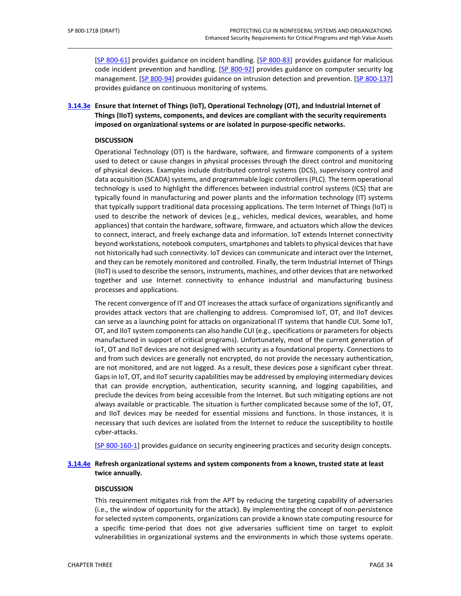[\[SP 800-61\]](#page-51-0) provides guidance on incident handling. [\[SP 800-83\]](#page-51-1) provides guidance for malicious code incident prevention and handling. [\[SP 800-92\]](#page-51-2) provides guidance on computer security log management. [\[SP 800-94\]](#page-51-3) provides guidance on intrusion detection and prevention. [\[SP 800-137\]](#page-51-4) provides guidance on continuous monitoring of systems.

**[3.14.3e](#page-80-2) Ensure that Internet of Things (IoT), Operational Technology (OT), and Industrial Internet of Things (IIoT) systems, components, and devices are compliant with the security requirements imposed on organizational systems or are isolated in purpose-specific networks.**

\_\_\_\_\_\_\_\_\_\_\_\_\_\_\_\_\_\_\_\_\_\_\_\_\_\_\_\_\_\_\_\_\_\_\_\_\_\_\_\_\_\_\_\_\_\_\_\_\_\_\_\_\_\_\_\_\_\_\_\_\_\_\_\_\_\_\_\_\_\_\_\_\_\_\_\_\_\_\_\_\_\_\_\_\_\_\_\_\_\_\_\_\_\_\_\_\_

#### **DISCUSSION**

Operational Technology (OT) is the hardware, software, and firmware components of a system used to detect or cause changes in physical processes through the direct control and monitoring of physical devices. Examples include distributed control systems (DCS), supervisory control and data acquisition (SCADA) systems, and programmable logic controllers (PLC). The term operational technology is used to highlight the differences between industrial control systems (ICS) that are typically found in manufacturing and power plants and the information technology (IT) systems that typically support traditional data processing applications. The term Internet of Things (IoT) is used to describe the network of devices (e.g., vehicles, medical devices, wearables, and home appliances) that contain the hardware, software, firmware, and actuators which allow the devices to connect, interact, and freely exchange data and information. IoT extends Internet connectivity beyond workstations, notebook computers, smartphones and tablets to physical devices that have not historically had such connectivity. IoT devices can communicate and interact over the Internet, and they can be remotely monitored and controlled. Finally, the term Industrial Internet of Things (IIoT) is used to describe the sensors, instruments, machines, and other devices that are networked together and use Internet connectivity to enhance industrial and manufacturing business processes and applications.

The recent convergence of IT and OT increases the attack surface of organizations significantly and provides attack vectors that are challenging to address. Compromised IoT, OT, and IIoT devices can serve as a launching point for attacks on organizational IT systems that handle CUI. Some IoT, OT, and IIoT system components can also handle CUI (e.g., specifications or parameters for objects manufactured in support of critical programs). Unfortunately, most of the current generation of IoT, OT and IIoT devices are not designed with security as a foundational property. Connections to and from such devices are generally not encrypted, do not provide the necessary authentication, are not monitored, and are not logged. As a result, these devices pose a significant cyber threat. Gaps in IoT, OT, and IIoT security capabilities may be addressed by employing intermediary devices that can provide encryption, authentication, security scanning, and logging capabilities, and preclude the devices from being accessible from the Internet. But such mitigating options are not always available or practicable. The situation is further complicated because some of the IoT, OT, and IIoT devices may be needed for essential missions and functions. In those instances, it is necessary that such devices are isolated from the Internet to reduce the susceptibility to hostile cyber-attacks.

[SP 800-160-1] provides guidance on security engineering practices and security design concepts.

### **[3.14.4e](#page-80-3) Refresh organizational systems and system components from a known, trusted state at least twice annually.**

#### **DISCUSSION**

This requirement mitigates risk from the APT by reducing the targeting capability of adversaries (i.e., the window of opportunity for the attack). By implementing the concept of non-persistence for selected system components, organizations can provide a known state computing resource for a specific time-period that does not give adversaries sufficient time on target to exploit vulnerabilities in organizational systems and the environments in which those systems operate.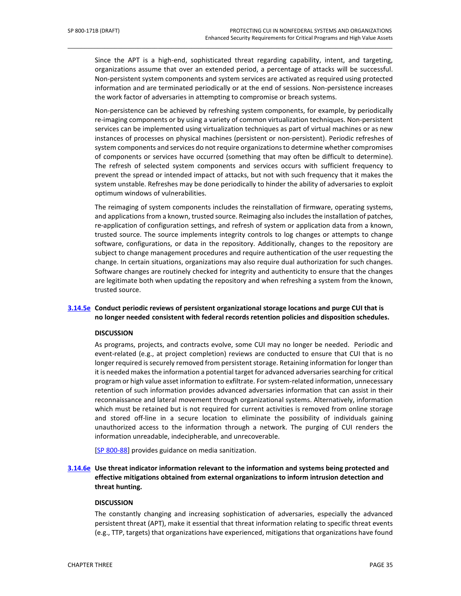Since the APT is a high-end, sophisticated threat regarding capability, intent, and targeting, organizations assume that over an extended period, a percentage of attacks will be successful. Non-persistent system components and system services are activated as required using protected information and are terminated periodically or at the end of sessions. Non-persistence increases the work factor of adversaries in attempting to compromise or breach systems.

\_\_\_\_\_\_\_\_\_\_\_\_\_\_\_\_\_\_\_\_\_\_\_\_\_\_\_\_\_\_\_\_\_\_\_\_\_\_\_\_\_\_\_\_\_\_\_\_\_\_\_\_\_\_\_\_\_\_\_\_\_\_\_\_\_\_\_\_\_\_\_\_\_\_\_\_\_\_\_\_\_\_\_\_\_\_\_\_\_\_\_\_\_\_\_\_\_

Non-persistence can be achieved by refreshing system components, for example, by periodically re-imaging components or by using a variety of common virtualization techniques. Non-persistent services can be implemented using virtualization techniques as part of virtual machines or as new instances of processes on physical machines (persistent or non-persistent). Periodic refreshes of system components and services do not require organizations to determine whether compromises of components or services have occurred (something that may often be difficult to determine). The refresh of selected system components and services occurs with sufficient frequency to prevent the spread or intended impact of attacks, but not with such frequency that it makes the system unstable. Refreshes may be done periodically to hinder the ability of adversaries to exploit optimum windows of vulnerabilities.

The reimaging of system components includes the reinstallation of firmware, operating systems, and applications from a known, trusted source. Reimaging also includesthe installation of patches, re-application of configuration settings, and refresh of system or application data from a known, trusted source. The source implements integrity controls to log changes or attempts to change software, configurations, or data in the repository. Additionally, changes to the repository are subject to change management procedures and require authentication of the user requesting the change. In certain situations, organizations may also require dual authorization for such changes. Software changes are routinely checked for integrity and authenticity to ensure that the changes are legitimate both when updating the repository and when refreshing a system from the known, trusted source.

## **[3.14.5e](#page-80-4) Conduct periodic reviews of persistent organizational storage locations and purge CUI that is no longer needed consistent with federal records retention policies and disposition schedules.**

#### **DISCUSSION**

As programs, projects, and contracts evolve, some CUI may no longer be needed. Periodic and event-related (e.g., at project completion) reviews are conducted to ensure that CUI that is no longer required is securely removed from persistent storage. Retaining information for longer than it is needed makes the information a potential target for advanced adversaries searching for critical program or high value asset information to exfiltrate. For system-related information, unnecessary retention of such information provides advanced adversaries information that can assist in their reconnaissance and lateral movement through organizational systems. Alternatively, information which must be retained but is not required for current activities is removed from online storage and stored off-line in a secure location to eliminate the possibility of individuals gaining unauthorized access to the information through a network. The purging of CUI renders the information unreadable, indecipherable, and unrecoverable.

[\[SP 800-88\]](#page-51-5) provides guidance on media sanitization.

**[3.14.6e](#page-81-0) Use threat indicator information relevant to the information and systems being protected and effective mitigations obtained from external organizations to inform intrusion detection and threat hunting.**

#### **DISCUSSION**

The constantly changing and increasing sophistication of adversaries, especially the advanced persistent threat (APT), make it essential that threat information relating to specific threat events (e.g., TTP, targets) that organizations have experienced, mitigations that organizations have found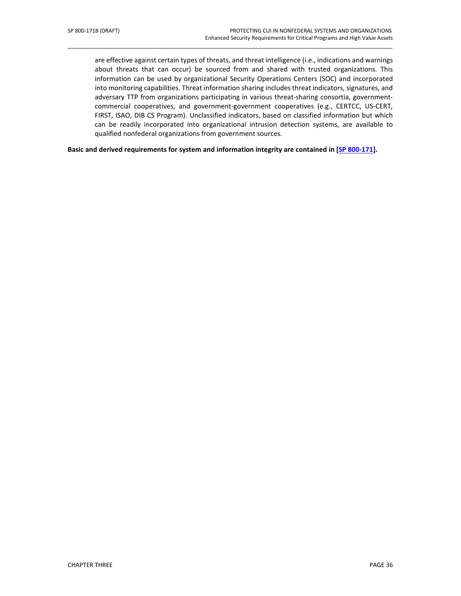are effective against certain types of threats, and threat intelligence (i.e., indications and warnings about threats that can occur) be sourced from and shared with trusted organizations. This information can be used by organizational Security Operations Centers (SOC) and incorporated into monitoring capabilities. Threat information sharing includes threat indicators, signatures, and adversary TTP from organizations participating in various threat-sharing consortia, governmentcommercial cooperatives, and government-government cooperatives (e.g., CERTCC, US-CERT, FIRST, ISAO, DIB CS Program). Unclassified indicators, based on classified information but which can be readily incorporated into organizational intrusion detection systems, are available to qualified nonfederal organizations from government sources.

\_\_\_\_\_\_\_\_\_\_\_\_\_\_\_\_\_\_\_\_\_\_\_\_\_\_\_\_\_\_\_\_\_\_\_\_\_\_\_\_\_\_\_\_\_\_\_\_\_\_\_\_\_\_\_\_\_\_\_\_\_\_\_\_\_\_\_\_\_\_\_\_\_\_\_\_\_\_\_\_\_\_\_\_\_\_\_\_\_\_\_\_\_\_\_\_\_

**Basic and derived requirements for system and information integrity are contained in [SP 800-171].**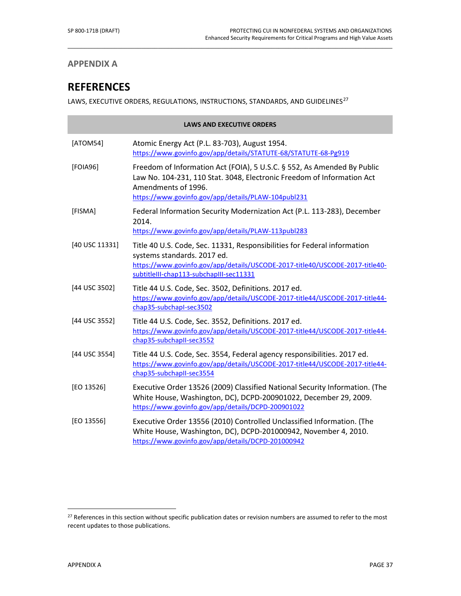## **APPENDIX A**

# **REFERENCES**

LAWS, EXECUTIVE ORDERS, REGULATIONS, INSTRUCTIONS, STANDARDS, AND GUIDELINES $^{27}$  $^{27}$  $^{27}$ 

\_\_\_\_\_\_\_\_\_\_\_\_\_\_\_\_\_\_\_\_\_\_\_\_\_\_\_\_\_\_\_\_\_\_\_\_\_\_\_\_\_\_\_\_\_\_\_\_\_\_\_\_\_\_\_\_\_\_\_\_\_\_\_\_\_\_\_\_\_\_\_\_\_\_\_\_\_\_\_\_\_\_\_\_\_\_\_\_\_\_\_\_\_\_\_\_\_

<span id="page-48-2"></span>

|                | <b>LAWS AND EXECUTIVE ORDERS</b>                                                                                                                                                                                                   |  |  |
|----------------|------------------------------------------------------------------------------------------------------------------------------------------------------------------------------------------------------------------------------------|--|--|
| [ATOM54]       | Atomic Energy Act (P.L. 83-703), August 1954.<br>https://www.govinfo.gov/app/details/STATUTE-68/STATUTE-68-Pg919                                                                                                                   |  |  |
| [FOIA96]       | Freedom of Information Act (FOIA), 5 U.S.C. § 552, As Amended By Public<br>Law No. 104-231, 110 Stat. 3048, Electronic Freedom of Information Act<br>Amendments of 1996.<br>https://www.govinfo.gov/app/details/PLAW-104publ231    |  |  |
| [FISMA]        | Federal Information Security Modernization Act (P.L. 113-283), December<br>2014.<br>https://www.govinfo.gov/app/details/PLAW-113publ283                                                                                            |  |  |
| [40 USC 11331] | Title 40 U.S. Code, Sec. 11331, Responsibilities for Federal information<br>systems standards. 2017 ed.<br>https://www.govinfo.gov/app/details/USCODE-2017-title40/USCODE-2017-title40-<br>subtitleIII-chap113-subchapIII-sec11331 |  |  |
| [44 USC 3502]  | Title 44 U.S. Code, Sec. 3502, Definitions. 2017 ed.<br>https://www.govinfo.gov/app/details/USCODE-2017-title44/USCODE-2017-title44-<br>chap35-subchapI-sec3502                                                                    |  |  |
| [44 USC 3552]  | Title 44 U.S. Code, Sec. 3552, Definitions. 2017 ed.<br>https://www.govinfo.gov/app/details/USCODE-2017-title44/USCODE-2017-title44-<br>chap35-subchapII-sec3552                                                                   |  |  |
| [44 USC 3554]  | Title 44 U.S. Code, Sec. 3554, Federal agency responsibilities. 2017 ed.<br>https://www.govinfo.gov/app/details/USCODE-2017-title44/USCODE-2017-title44-<br>chap35-subchapII-sec3554                                               |  |  |
| [EO 13526]     | Executive Order 13526 (2009) Classified National Security Information. (The<br>White House, Washington, DC), DCPD-200901022, December 29, 2009.<br>https://www.govinfo.gov/app/details/DCPD-200901022                              |  |  |
| [EO 13556]     | Executive Order 13556 (2010) Controlled Unclassified Information. (The<br>White House, Washington, DC), DCPD-201000942, November 4, 2010.<br>https://www.govinfo.gov/app/details/DCPD-201000942                                    |  |  |

<span id="page-48-1"></span> $\overline{a}$ 

<span id="page-48-0"></span><sup>&</sup>lt;sup>27</sup> References in this section without specific publication dates or revision numbers are assumed to refer to the most recent updates to those publications.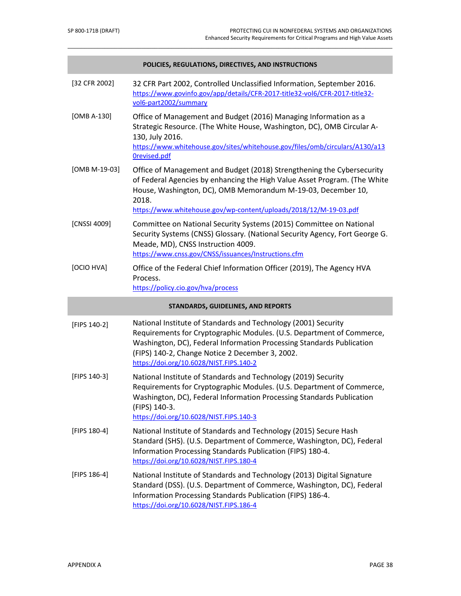<span id="page-49-0"></span>

|               | POLICIES, REGULATIONS, DIRECTIVES, AND INSTRUCTIONS                                                                                                                                                                                                                                                            |  |  |
|---------------|----------------------------------------------------------------------------------------------------------------------------------------------------------------------------------------------------------------------------------------------------------------------------------------------------------------|--|--|
| [32 CFR 2002] | 32 CFR Part 2002, Controlled Unclassified Information, September 2016.<br>https://www.govinfo.gov/app/details/CFR-2017-title32-vol6/CFR-2017-title32-<br>vol6-part2002/summary                                                                                                                                 |  |  |
| [OMB A-130]   | Office of Management and Budget (2016) Managing Information as a<br>Strategic Resource. (The White House, Washington, DC), OMB Circular A-<br>130, July 2016.<br>https://www.whitehouse.gov/sites/whitehouse.gov/files/omb/circulars/A130/a13<br>Orevised.pdf                                                  |  |  |
| [OMB M-19-03] | Office of Management and Budget (2018) Strengthening the Cybersecurity<br>of Federal Agencies by enhancing the High Value Asset Program. (The White<br>House, Washington, DC), OMB Memorandum M-19-03, December 10,<br>2018.<br>https://www.whitehouse.gov/wp-content/uploads/2018/12/M-19-03.pdf              |  |  |
| [CNSSI 4009]  | Committee on National Security Systems (2015) Committee on National<br>Security Systems (CNSS) Glossary. (National Security Agency, Fort George G.<br>Meade, MD), CNSS Instruction 4009.<br>https://www.cnss.gov/CNSS/issuances/Instructions.cfm                                                               |  |  |
| [OCIO HVA]    | Office of the Federal Chief Information Officer (2019), The Agency HVA<br>Process.<br>https://policy.cio.gov/hva/process                                                                                                                                                                                       |  |  |
|               | STANDARDS, GUIDELINES, AND REPORTS                                                                                                                                                                                                                                                                             |  |  |
| [FIPS 140-2]  | National Institute of Standards and Technology (2001) Security<br>Requirements for Cryptographic Modules. (U.S. Department of Commerce,<br>Washington, DC), Federal Information Processing Standards Publication<br>(FIPS) 140-2, Change Notice 2 December 3, 2002.<br>https://doi.org/10.6028/NIST.FIPS.140-2 |  |  |
| [FIPS 140-3]  | National Institute of Standards and Technology (2019) Security<br>Requirements for Cryptographic Modules. (U.S. Department of Commerce,<br>Washington, DC), Federal Information Processing Standards Publication<br>(FIPS) 140-3.<br>https://doi.org/10.6028/NIST.FIPS.140-3                                   |  |  |
| [FIPS 180-4]  | National Institute of Standards and Technology (2015) Secure Hash<br>Standard (SHS). (U.S. Department of Commerce, Washington, DC), Federal<br>Information Processing Standards Publication (FIPS) 180-4.<br>https://doi.org/10.6028/NIST.FIPS.180-4                                                           |  |  |
| [FIPS 186-4]  | National Institute of Standards and Technology (2013) Digital Signature<br>Standard (DSS). (U.S. Department of Commerce, Washington, DC), Federal<br>Information Processing Standards Publication (FIPS) 186-4.<br>https://doi.org/10.6028/NIST.FIPS.186-4                                                     |  |  |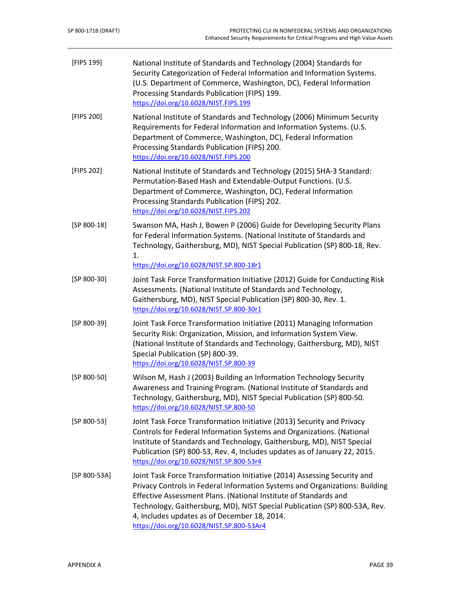<span id="page-50-3"></span><span id="page-50-2"></span><span id="page-50-1"></span><span id="page-50-0"></span>

| [FIPS 199]    | National Institute of Standards and Technology (2004) Standards for<br>Security Categorization of Federal Information and Information Systems.<br>(U.S. Department of Commerce, Washington, DC), Federal Information<br>Processing Standards Publication (FIPS) 199.<br>https://doi.org/10.6028/NIST.FIPS.199                                                                                          |
|---------------|--------------------------------------------------------------------------------------------------------------------------------------------------------------------------------------------------------------------------------------------------------------------------------------------------------------------------------------------------------------------------------------------------------|
| [FIPS 200]    | National Institute of Standards and Technology (2006) Minimum Security<br>Requirements for Federal Information and Information Systems. (U.S.<br>Department of Commerce, Washington, DC), Federal Information<br>Processing Standards Publication (FIPS) 200.<br>https://doi.org/10.6028/NIST.FIPS.200                                                                                                 |
| [FIPS 202]    | National Institute of Standards and Technology (2015) SHA-3 Standard:<br>Permutation-Based Hash and Extendable-Output Functions. (U.S.<br>Department of Commerce, Washington, DC), Federal Information<br>Processing Standards Publication (FIPS) 202.<br>https://doi.org/10.6028/NIST.FIPS.202                                                                                                        |
| $[SP 800-18]$ | Swanson MA, Hash J, Bowen P (2006) Guide for Developing Security Plans<br>for Federal Information Systems. (National Institute of Standards and<br>Technology, Gaithersburg, MD), NIST Special Publication (SP) 800-18, Rev.<br>1.<br>https://doi.org/10.6028/NIST.SP.800-18r1                                                                                                                         |
| $[SP 800-30]$ | Joint Task Force Transformation Initiative (2012) Guide for Conducting Risk<br>Assessments. (National Institute of Standards and Technology,<br>Gaithersburg, MD), NIST Special Publication (SP) 800-30, Rev. 1.<br>https://doi.org/10.6028/NIST.SP.800-30r1                                                                                                                                           |
| $[SP 800-39]$ | Joint Task Force Transformation Initiative (2011) Managing Information<br>Security Risk: Organization, Mission, and Information System View.<br>(National Institute of Standards and Technology, Gaithersburg, MD), NIST<br>Special Publication (SP) 800-39.<br>https://doi.org/10.6028/NIST.SP.800-39                                                                                                 |
| [SP 800-50]   | Wilson M, Hash J (2003) Building an Information Technology Security<br>Awareness and Training Program. (National Institute of Standards and<br>Technology, Gaithersburg, MD), NIST Special Publication (SP) 800-50.<br>https://doi.org/10.6028/NIST.SP.800-50                                                                                                                                          |
| $[SP 800-53]$ | Joint Task Force Transformation Initiative (2013) Security and Privacy<br>Controls for Federal Information Systems and Organizations. (National<br>Institute of Standards and Technology, Gaithersburg, MD), NIST Special<br>Publication (SP) 800-53, Rev. 4, Includes updates as of January 22, 2015.<br>https://doi.org/10.6028/NIST.SP.800-53r4                                                     |
| [SP 800-53A]  | Joint Task Force Transformation Initiative (2014) Assessing Security and<br>Privacy Controls in Federal Information Systems and Organizations: Building<br>Effective Assessment Plans. (National Institute of Standards and<br>Technology, Gaithersburg, MD), NIST Special Publication (SP) 800-53A, Rev.<br>4, Includes updates as of December 18, 2014.<br>https://doi.org/10.6028/NIST.SP.800-53Ar4 |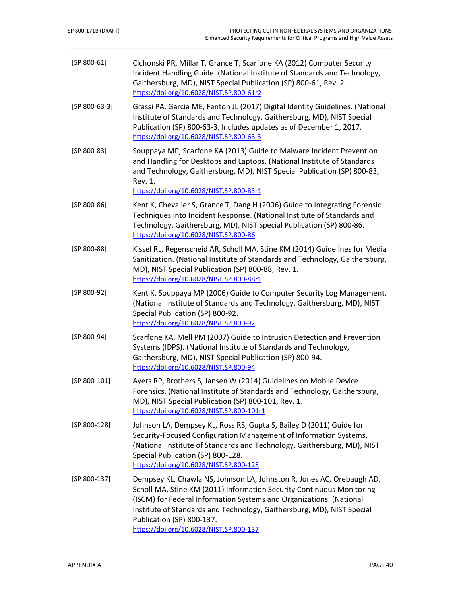<span id="page-51-6"></span><span id="page-51-5"></span><span id="page-51-4"></span><span id="page-51-3"></span><span id="page-51-2"></span><span id="page-51-1"></span><span id="page-51-0"></span>

| $[SP 800-61]$   | Cichonski PR, Millar T, Grance T, Scarfone KA (2012) Computer Security<br>Incident Handling Guide. (National Institute of Standards and Technology,<br>Gaithersburg, MD), NIST Special Publication (SP) 800-61, Rev. 2.<br>https://doi.org/10.6028/NIST.SP.800-61r2                                                                                                     |
|-----------------|-------------------------------------------------------------------------------------------------------------------------------------------------------------------------------------------------------------------------------------------------------------------------------------------------------------------------------------------------------------------------|
| $[SP 800-63-3]$ | Grassi PA, Garcia ME, Fenton JL (2017) Digital Identity Guidelines. (National<br>Institute of Standards and Technology, Gaithersburg, MD), NIST Special<br>Publication (SP) 800-63-3, Includes updates as of December 1, 2017.<br>https://doi.org/10.6028/NIST.SP.800-63-3                                                                                              |
| $[SP 800-83]$   | Souppaya MP, Scarfone KA (2013) Guide to Malware Incident Prevention<br>and Handling for Desktops and Laptops. (National Institute of Standards<br>and Technology, Gaithersburg, MD), NIST Special Publication (SP) 800-83,<br>Rev. 1.<br>https://doi.org/10.6028/NIST.SP.800-83r1                                                                                      |
| $[SP 800-86]$   | Kent K, Chevalier S, Grance T, Dang H (2006) Guide to Integrating Forensic<br>Techniques into Incident Response. (National Institute of Standards and<br>Technology, Gaithersburg, MD), NIST Special Publication (SP) 800-86.<br>https://doi.org/10.6028/NIST.SP.800-86                                                                                                 |
| $[SP 800-88]$   | Kissel RL, Regenscheid AR, Scholl MA, Stine KM (2014) Guidelines for Media<br>Sanitization. (National Institute of Standards and Technology, Gaithersburg,<br>MD), NIST Special Publication (SP) 800-88, Rev. 1.<br>https://doi.org/10.6028/NIST.SP.800-88r1                                                                                                            |
| $[SP 800-92]$   | Kent K, Souppaya MP (2006) Guide to Computer Security Log Management.<br>(National Institute of Standards and Technology, Gaithersburg, MD), NIST<br>Special Publication (SP) 800-92.<br>https://doi.org/10.6028/NIST.SP.800-92                                                                                                                                         |
| $[SP 800-94]$   | Scarfone KA, Mell PM (2007) Guide to Intrusion Detection and Prevention<br>Systems (IDPS). (National Institute of Standards and Technology,<br>Gaithersburg, MD), NIST Special Publication (SP) 800-94.<br>https://doi.org/10.6028/NIST.SP.800-94                                                                                                                       |
| $[SP 800-101]$  | Ayers RP, Brothers S, Jansen W (2014) Guidelines on Mobile Device<br>Forensics. (National Institute of Standards and Technology, Gaithersburg,<br>MD), NIST Special Publication (SP) 800-101, Rev. 1.<br>https://doi.org/10.6028/NIST.SP.800-101r1                                                                                                                      |
| $[SP 800-128]$  | Johnson LA, Dempsey KL, Ross RS, Gupta S, Bailey D (2011) Guide for<br>Security-Focused Configuration Management of Information Systems.<br>(National Institute of Standards and Technology, Gaithersburg, MD), NIST<br>Special Publication (SP) 800-128.<br>https://doi.org/10.6028/NIST.SP.800-128                                                                    |
| $[SP 800-137]$  | Dempsey KL, Chawla NS, Johnson LA, Johnston R, Jones AC, Orebaugh AD,<br>Scholl MA, Stine KM (2011) Information Security Continuous Monitoring<br>(ISCM) for Federal Information Systems and Organizations. (National<br>Institute of Standards and Technology, Gaithersburg, MD), NIST Special<br>Publication (SP) 800-137.<br>https://doi.org/10.6028/NIST.SP.800-137 |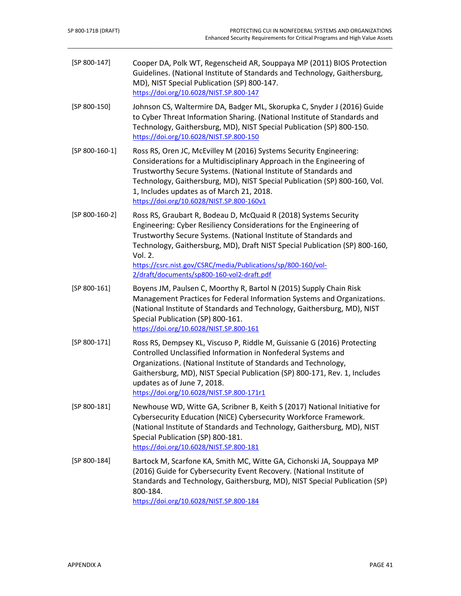<span id="page-52-2"></span><span id="page-52-1"></span><span id="page-52-0"></span>

| $[SP 800-147]$   | Cooper DA, Polk WT, Regenscheid AR, Souppaya MP (2011) BIOS Protection<br>Guidelines. (National Institute of Standards and Technology, Gaithersburg,<br>MD), NIST Special Publication (SP) 800-147.<br>https://doi.org/10.6028/NIST.SP.800-147                                                                                                                                                                       |  |
|------------------|----------------------------------------------------------------------------------------------------------------------------------------------------------------------------------------------------------------------------------------------------------------------------------------------------------------------------------------------------------------------------------------------------------------------|--|
| $[SP 800-150]$   | Johnson CS, Waltermire DA, Badger ML, Skorupka C, Snyder J (2016) Guide<br>to Cyber Threat Information Sharing. (National Institute of Standards and<br>Technology, Gaithersburg, MD), NIST Special Publication (SP) 800-150.<br>https://doi.org/10.6028/NIST.SP.800-150                                                                                                                                             |  |
| [SP 800-160-1]   | Ross RS, Oren JC, McEvilley M (2016) Systems Security Engineering:<br>Considerations for a Multidisciplinary Approach in the Engineering of<br>Trustworthy Secure Systems. (National Institute of Standards and<br>Technology, Gaithersburg, MD), NIST Special Publication (SP) 800-160, Vol.<br>1, Includes updates as of March 21, 2018.<br>https://doi.org/10.6028/NIST.SP.800-160v1                              |  |
| $[SP 800-160-2]$ | Ross RS, Graubart R, Bodeau D, McQuaid R (2018) Systems Security<br>Engineering: Cyber Resiliency Considerations for the Engineering of<br>Trustworthy Secure Systems. (National Institute of Standards and<br>Technology, Gaithersburg, MD), Draft NIST Special Publication (SP) 800-160,<br>Vol. 2.<br>https://csrc.nist.gov/CSRC/media/Publications/sp/800-160/vol-<br>2/draft/documents/sp800-160-vol2-draft.pdf |  |
| $[SP 800-161]$   | Boyens JM, Paulsen C, Moorthy R, Bartol N (2015) Supply Chain Risk<br>Management Practices for Federal Information Systems and Organizations.<br>(National Institute of Standards and Technology, Gaithersburg, MD), NIST<br>Special Publication (SP) 800-161.<br>https://doi.org/10.6028/NIST.SP.800-161                                                                                                            |  |
| [SP 800-171]     | Ross RS, Dempsey KL, Viscuso P, Riddle M, Guissanie G (2016) Protecting<br>Controlled Unclassified Information in Nonfederal Systems and<br>Organizations. (National Institute of Standards and Technology,<br>Gaithersburg, MD), NIST Special Publication (SP) 800-171, Rev. 1, Includes<br>updates as of June 7, 2018.<br>https://doi.org/10.6028/NIST.SP.800-171r1                                                |  |
| $[SP 800-181]$   | Newhouse WD, Witte GA, Scribner B, Keith S (2017) National Initiative for<br>Cybersecurity Education (NICE) Cybersecurity Workforce Framework.<br>(National Institute of Standards and Technology, Gaithersburg, MD), NIST<br>Special Publication (SP) 800-181.<br>https://doi.org/10.6028/NIST.SP.800-181                                                                                                           |  |
| $[SP 800-184]$   | Bartock M, Scarfone KA, Smith MC, Witte GA, Cichonski JA, Souppaya MP<br>(2016) Guide for Cybersecurity Event Recovery. (National Institute of<br>Standards and Technology, Gaithersburg, MD), NIST Special Publication (SP)<br>800-184.<br>https://doi.org/10.6028/NIST.SP.800-184                                                                                                                                  |  |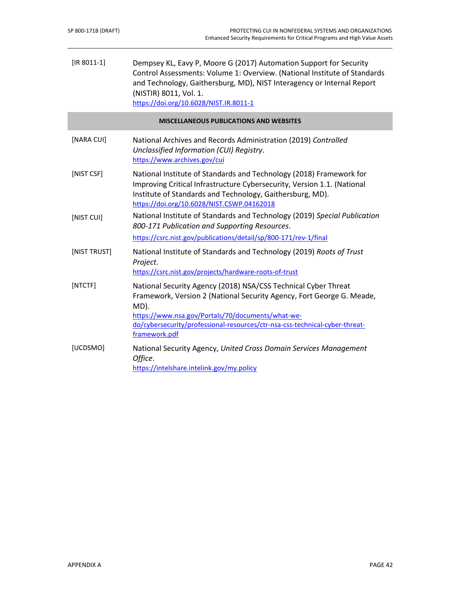<span id="page-53-0"></span>I

| $[IR 8011-1]$ | Dempsey KL, Eavy P, Moore G (2017) Automation Support for Security<br>Control Assessments: Volume 1: Overview. (National Institute of Standards<br>and Technology, Gaithersburg, MD), NIST Interagency or Internal Report<br>(NISTIR) 8011, Vol. 1.<br>https://doi.org/10.6028/NIST.IR.8011-1        |
|---------------|------------------------------------------------------------------------------------------------------------------------------------------------------------------------------------------------------------------------------------------------------------------------------------------------------|
|               | <b>MISCELLANEOUS PUBLICATIONS AND WEBSITES</b>                                                                                                                                                                                                                                                       |
| [NARA CUI]    | National Archives and Records Administration (2019) Controlled<br>Unclassified Information (CUI) Registry.<br>https://www.archives.gov/cui                                                                                                                                                           |
| [NIST CSF]    | National Institute of Standards and Technology (2018) Framework for<br>Improving Critical Infrastructure Cybersecurity, Version 1.1. (National<br>Institute of Standards and Technology, Gaithersburg, MD).<br>https://doi.org/10.6028/NIST.CSWP.04162018                                            |
| [NIST CUI]    | National Institute of Standards and Technology (2019) Special Publication<br>800-171 Publication and Supporting Resources.                                                                                                                                                                           |
|               | https://csrc.nist.gov/publications/detail/sp/800-171/rev-1/final                                                                                                                                                                                                                                     |
| [NIST TRUST]  | National Institute of Standards and Technology (2019) Roots of Trust<br>Project.<br>https://csrc.nist.gov/projects/hardware-roots-of-trust                                                                                                                                                           |
| [NTCTF]       | National Security Agency (2018) NSA/CSS Technical Cyber Threat<br>Framework, Version 2 (National Security Agency, Fort George G. Meade,<br>MD).<br>https://www.nsa.gov/Portals/70/documents/what-we-<br>do/cybersecurity/professional-resources/ctr-nsa-css-technical-cyber-threat-<br>framework.pdf |
| [UCDSMO]      | National Security Agency, United Cross Domain Services Management<br>Office.<br>https://intelshare.intelink.gov/my.policy                                                                                                                                                                            |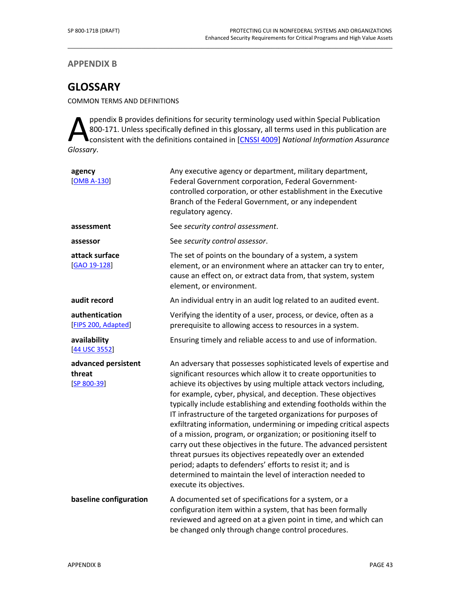## **APPENDIX B**

# **GLOSSARY**

COMMON TERMS AND DEFINITIONS

ppendix B provides definitions for security terminology used within Special Publication 800-171. Unless specifically defined in this glossary, all terms used in this publication are consistent with the definitions contained in [CNSSI 4009] *National Information Assurance*  A<sup>pp</sup><sub>col</sub><br>Glossary.

| agency<br>[OMB A-130]                          | Any executive agency or department, military department,<br>Federal Government corporation, Federal Government-<br>controlled corporation, or other establishment in the Executive<br>Branch of the Federal Government, or any independent<br>regulatory agency.                                                                                                                                                                                                                                                                                                                                                                                                                                                                                                                                                                                     |
|------------------------------------------------|------------------------------------------------------------------------------------------------------------------------------------------------------------------------------------------------------------------------------------------------------------------------------------------------------------------------------------------------------------------------------------------------------------------------------------------------------------------------------------------------------------------------------------------------------------------------------------------------------------------------------------------------------------------------------------------------------------------------------------------------------------------------------------------------------------------------------------------------------|
| assessment                                     | See security control assessment.                                                                                                                                                                                                                                                                                                                                                                                                                                                                                                                                                                                                                                                                                                                                                                                                                     |
| assessor                                       | See security control assessor.                                                                                                                                                                                                                                                                                                                                                                                                                                                                                                                                                                                                                                                                                                                                                                                                                       |
| attack surface<br>[GAO 19-128]                 | The set of points on the boundary of a system, a system<br>element, or an environment where an attacker can try to enter,<br>cause an effect on, or extract data from, that system, system<br>element, or environment.                                                                                                                                                                                                                                                                                                                                                                                                                                                                                                                                                                                                                               |
| audit record                                   | An individual entry in an audit log related to an audited event.                                                                                                                                                                                                                                                                                                                                                                                                                                                                                                                                                                                                                                                                                                                                                                                     |
| authentication<br>[FIPS 200, Adapted]          | Verifying the identity of a user, process, or device, often as a<br>prerequisite to allowing access to resources in a system.                                                                                                                                                                                                                                                                                                                                                                                                                                                                                                                                                                                                                                                                                                                        |
| availability<br>[44 USC 3552]                  | Ensuring timely and reliable access to and use of information.                                                                                                                                                                                                                                                                                                                                                                                                                                                                                                                                                                                                                                                                                                                                                                                       |
| advanced persistent<br>threat<br>$[SP 800-39]$ | An adversary that possesses sophisticated levels of expertise and<br>significant resources which allow it to create opportunities to<br>achieve its objectives by using multiple attack vectors including,<br>for example, cyber, physical, and deception. These objectives<br>typically include establishing and extending footholds within the<br>IT infrastructure of the targeted organizations for purposes of<br>exfiltrating information, undermining or impeding critical aspects<br>of a mission, program, or organization; or positioning itself to<br>carry out these objectives in the future. The advanced persistent<br>threat pursues its objectives repeatedly over an extended<br>period; adapts to defenders' efforts to resist it; and is<br>determined to maintain the level of interaction needed to<br>execute its objectives. |
| baseline configuration                         | A documented set of specifications for a system, or a<br>configuration item within a system, that has been formally<br>reviewed and agreed on at a given point in time, and which can<br>be changed only through change control procedures.                                                                                                                                                                                                                                                                                                                                                                                                                                                                                                                                                                                                          |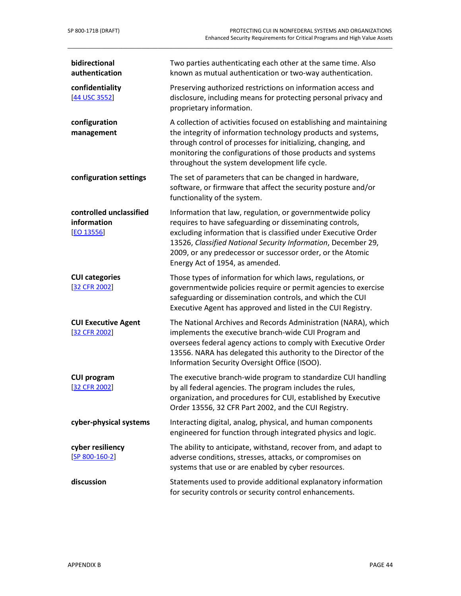| bidirectional<br>authentication                      | Two parties authenticating each other at the same time. Also<br>known as mutual authentication or two-way authentication.                                                                                                                                                                                                                                  |
|------------------------------------------------------|------------------------------------------------------------------------------------------------------------------------------------------------------------------------------------------------------------------------------------------------------------------------------------------------------------------------------------------------------------|
| confidentiality<br>[44 USC 3552]                     | Preserving authorized restrictions on information access and<br>disclosure, including means for protecting personal privacy and<br>proprietary information.                                                                                                                                                                                                |
| configuration<br>management                          | A collection of activities focused on establishing and maintaining<br>the integrity of information technology products and systems,<br>through control of processes for initializing, changing, and<br>monitoring the configurations of those products and systems<br>throughout the system development life cycle.                                        |
| configuration settings                               | The set of parameters that can be changed in hardware,<br>software, or firmware that affect the security posture and/or<br>functionality of the system.                                                                                                                                                                                                    |
| controlled unclassified<br>information<br>[EO 13556] | Information that law, regulation, or governmentwide policy<br>requires to have safeguarding or disseminating controls,<br>excluding information that is classified under Executive Order<br>13526, Classified National Security Information, December 29,<br>2009, or any predecessor or successor order, or the Atomic<br>Energy Act of 1954, as amended. |
| <b>CUI categories</b><br>[32 CFR 2002]               | Those types of information for which laws, regulations, or<br>governmentwide policies require or permit agencies to exercise<br>safeguarding or dissemination controls, and which the CUI<br>Executive Agent has approved and listed in the CUI Registry.                                                                                                  |
| <b>CUI Executive Agent</b><br>[32 CFR 2002]          | The National Archives and Records Administration (NARA), which<br>implements the executive branch-wide CUI Program and<br>oversees federal agency actions to comply with Executive Order<br>13556. NARA has delegated this authority to the Director of the<br>Information Security Oversight Office (ISOO).                                               |
| <b>CUI program</b><br>[32 CFR 2002]                  | The executive branch-wide program to standardize CUI handling<br>by all federal agencies. The program includes the rules,<br>organization, and procedures for CUI, established by Executive<br>Order 13556, 32 CFR Part 2002, and the CUI Registry.                                                                                                        |
| cyber-physical systems                               | Interacting digital, analog, physical, and human components<br>engineered for function through integrated physics and logic.                                                                                                                                                                                                                               |
| cyber resiliency<br>$[SP 800-160-2]$                 | The ability to anticipate, withstand, recover from, and adapt to<br>adverse conditions, stresses, attacks, or compromises on<br>systems that use or are enabled by cyber resources.                                                                                                                                                                        |
| discussion                                           | Statements used to provide additional explanatory information<br>for security controls or security control enhancements.                                                                                                                                                                                                                                   |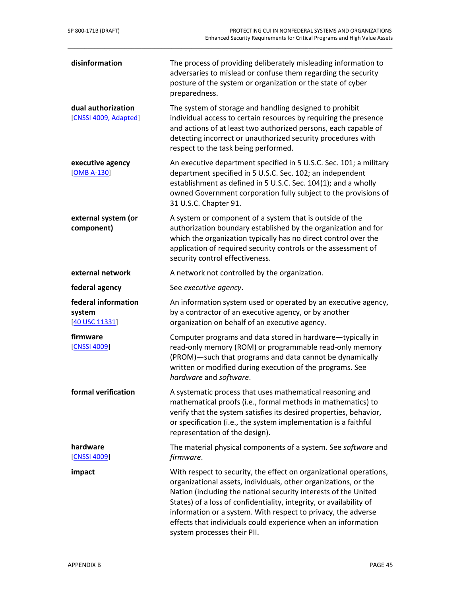| disinformation                                  | The process of providing deliberately misleading information to<br>adversaries to mislead or confuse them regarding the security<br>posture of the system or organization or the state of cyber<br>preparedness.                                                                                                                                                                                                                                 |
|-------------------------------------------------|--------------------------------------------------------------------------------------------------------------------------------------------------------------------------------------------------------------------------------------------------------------------------------------------------------------------------------------------------------------------------------------------------------------------------------------------------|
| dual authorization<br>[CNSSI 4009, Adapted]     | The system of storage and handling designed to prohibit<br>individual access to certain resources by requiring the presence<br>and actions of at least two authorized persons, each capable of<br>detecting incorrect or unauthorized security procedures with<br>respect to the task being performed.                                                                                                                                           |
| executive agency<br>$[OMB A-130]$               | An executive department specified in 5 U.S.C. Sec. 101; a military<br>department specified in 5 U.S.C. Sec. 102; an independent<br>establishment as defined in 5 U.S.C. Sec. 104(1); and a wholly<br>owned Government corporation fully subject to the provisions of<br>31 U.S.C. Chapter 91.                                                                                                                                                    |
| external system (or<br>component)               | A system or component of a system that is outside of the<br>authorization boundary established by the organization and for<br>which the organization typically has no direct control over the<br>application of required security controls or the assessment of<br>security control effectiveness.                                                                                                                                               |
| external network                                | A network not controlled by the organization.                                                                                                                                                                                                                                                                                                                                                                                                    |
| federal agency                                  | See executive agency.                                                                                                                                                                                                                                                                                                                                                                                                                            |
| federal information<br>system<br>[40 USC 11331] | An information system used or operated by an executive agency,<br>by a contractor of an executive agency, or by another<br>organization on behalf of an executive agency.                                                                                                                                                                                                                                                                        |
| firmware<br>[CNSSI 4009]                        | Computer programs and data stored in hardware-typically in<br>read-only memory (ROM) or programmable read-only memory<br>(PROM)-such that programs and data cannot be dynamically<br>written or modified during execution of the programs. See<br>hardware and software.                                                                                                                                                                         |
| formal verification                             | A systematic process that uses mathematical reasoning and<br>mathematical proofs (i.e., formal methods in mathematics) to<br>verify that the system satisfies its desired properties, behavior,<br>or specification (i.e., the system implementation is a faithful<br>representation of the design).                                                                                                                                             |
| hardware<br>[CNSSI 4009]                        | The material physical components of a system. See software and<br>firmware.                                                                                                                                                                                                                                                                                                                                                                      |
| impact                                          | With respect to security, the effect on organizational operations,<br>organizational assets, individuals, other organizations, or the<br>Nation (including the national security interests of the United<br>States) of a loss of confidentiality, integrity, or availability of<br>information or a system. With respect to privacy, the adverse<br>effects that individuals could experience when an information<br>system processes their PII. |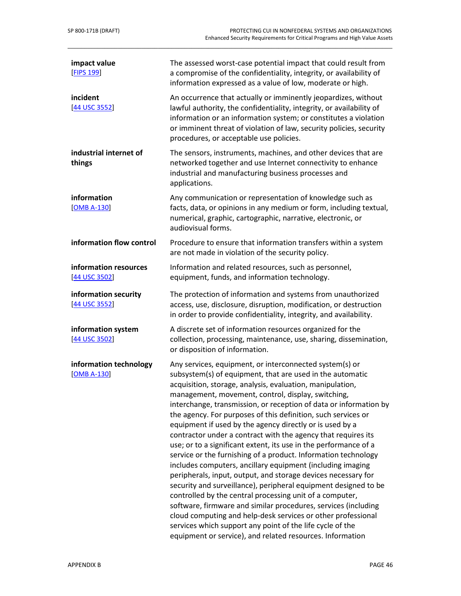| impact value<br>[FIPS 199]              | The assessed worst-case potential impact that could result from<br>a compromise of the confidentiality, integrity, or availability of<br>information expressed as a value of low, moderate or high.                                                                                                                                                                                                                                                                                                                                                                                                                                                                                                                                                                                                                                                                                                                                                                                                                                                                                                                                                                        |
|-----------------------------------------|----------------------------------------------------------------------------------------------------------------------------------------------------------------------------------------------------------------------------------------------------------------------------------------------------------------------------------------------------------------------------------------------------------------------------------------------------------------------------------------------------------------------------------------------------------------------------------------------------------------------------------------------------------------------------------------------------------------------------------------------------------------------------------------------------------------------------------------------------------------------------------------------------------------------------------------------------------------------------------------------------------------------------------------------------------------------------------------------------------------------------------------------------------------------------|
| incident<br>[44 USC 3552]               | An occurrence that actually or imminently jeopardizes, without<br>lawful authority, the confidentiality, integrity, or availability of<br>information or an information system; or constitutes a violation<br>or imminent threat of violation of law, security policies, security<br>procedures, or acceptable use policies.                                                                                                                                                                                                                                                                                                                                                                                                                                                                                                                                                                                                                                                                                                                                                                                                                                               |
| industrial internet of<br>things        | The sensors, instruments, machines, and other devices that are<br>networked together and use Internet connectivity to enhance<br>industrial and manufacturing business processes and<br>applications.                                                                                                                                                                                                                                                                                                                                                                                                                                                                                                                                                                                                                                                                                                                                                                                                                                                                                                                                                                      |
| information<br>[OMB A-130]              | Any communication or representation of knowledge such as<br>facts, data, or opinions in any medium or form, including textual,<br>numerical, graphic, cartographic, narrative, electronic, or<br>audiovisual forms.                                                                                                                                                                                                                                                                                                                                                                                                                                                                                                                                                                                                                                                                                                                                                                                                                                                                                                                                                        |
| information flow control                | Procedure to ensure that information transfers within a system<br>are not made in violation of the security policy.                                                                                                                                                                                                                                                                                                                                                                                                                                                                                                                                                                                                                                                                                                                                                                                                                                                                                                                                                                                                                                                        |
| information resources<br>[44 USC 3502]  | Information and related resources, such as personnel,<br>equipment, funds, and information technology.                                                                                                                                                                                                                                                                                                                                                                                                                                                                                                                                                                                                                                                                                                                                                                                                                                                                                                                                                                                                                                                                     |
| information security<br>[44 USC 3552]   | The protection of information and systems from unauthorized<br>access, use, disclosure, disruption, modification, or destruction<br>in order to provide confidentiality, integrity, and availability.                                                                                                                                                                                                                                                                                                                                                                                                                                                                                                                                                                                                                                                                                                                                                                                                                                                                                                                                                                      |
| information system<br>[44 USC 3502]     | A discrete set of information resources organized for the<br>collection, processing, maintenance, use, sharing, dissemination,<br>or disposition of information.                                                                                                                                                                                                                                                                                                                                                                                                                                                                                                                                                                                                                                                                                                                                                                                                                                                                                                                                                                                                           |
| information technology<br>$[OMB A-130]$ | Any services, equipment, or interconnected system(s) or<br>subsystem(s) of equipment, that are used in the automatic<br>acquisition, storage, analysis, evaluation, manipulation,<br>management, movement, control, display, switching,<br>interchange, transmission, or reception of data or information by<br>the agency. For purposes of this definition, such services or<br>equipment if used by the agency directly or is used by a<br>contractor under a contract with the agency that requires its<br>use; or to a significant extent, its use in the performance of a<br>service or the furnishing of a product. Information technology<br>includes computers, ancillary equipment (including imaging<br>peripherals, input, output, and storage devices necessary for<br>security and surveillance), peripheral equipment designed to be<br>controlled by the central processing unit of a computer,<br>software, firmware and similar procedures, services (including<br>cloud computing and help-desk services or other professional<br>services which support any point of the life cycle of the<br>equipment or service), and related resources. Information |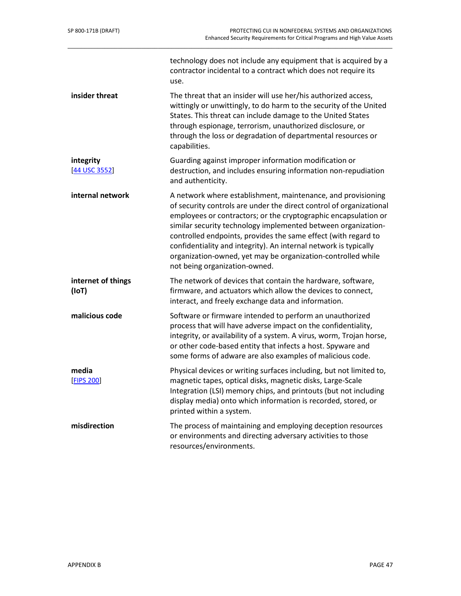| SP 800-171B (DRAFT)         | PROTECTING CUI IN NONFEDERAL SYSTEMS AND ORGANIZATIONS<br><b>Enhanced Security Requirements for Critical Programs and High Value Assets</b>                                                                                                                                                                                                                                                                                                                                                                    |
|-----------------------------|----------------------------------------------------------------------------------------------------------------------------------------------------------------------------------------------------------------------------------------------------------------------------------------------------------------------------------------------------------------------------------------------------------------------------------------------------------------------------------------------------------------|
|                             | technology does not include any equipment that is acquired by a<br>contractor incidental to a contract which does not require its<br>use.                                                                                                                                                                                                                                                                                                                                                                      |
| insider threat              | The threat that an insider will use her/his authorized access,<br>wittingly or unwittingly, to do harm to the security of the United<br>States. This threat can include damage to the United States<br>through espionage, terrorism, unauthorized disclosure, or<br>through the loss or degradation of departmental resources or<br>capabilities.                                                                                                                                                              |
| integrity<br>[44 USC 3552]  | Guarding against improper information modification or<br>destruction, and includes ensuring information non-repudiation<br>and authenticity.                                                                                                                                                                                                                                                                                                                                                                   |
| internal network            | A network where establishment, maintenance, and provisioning<br>of security controls are under the direct control of organizational<br>employees or contractors; or the cryptographic encapsulation or<br>similar security technology implemented between organization-<br>controlled endpoints, provides the same effect (with regard to<br>confidentiality and integrity). An internal network is typically<br>organization-owned, yet may be organization-controlled while<br>not being organization-owned. |
| internet of things<br>(IoT) | The network of devices that contain the hardware, software,<br>firmware, and actuators which allow the devices to connect,<br>interact, and freely exchange data and information.                                                                                                                                                                                                                                                                                                                              |
| malicious code              | Software or firmware intended to perform an unauthorized<br>process that will have adverse impact on the confidentiality,<br>integrity, or availability of a system. A virus, worm, Trojan horse,<br>or other code-based entity that infects a host. Spyware and<br>some forms of adware are also examples of malicious code.                                                                                                                                                                                  |
| media<br><b>[FIPS 200]</b>  | Physical devices or writing surfaces including, but not limited to,<br>magnetic tapes, optical disks, magnetic disks, Large-Scale<br>Integration (LSI) memory chips, and printouts (but not including<br>display media) onto which information is recorded, stored, or<br>printed within a system.                                                                                                                                                                                                             |
| misdirection                | The process of maintaining and employing deception resources<br>or environments and directing adversary activities to those<br>resources/environments.                                                                                                                                                                                                                                                                                                                                                         |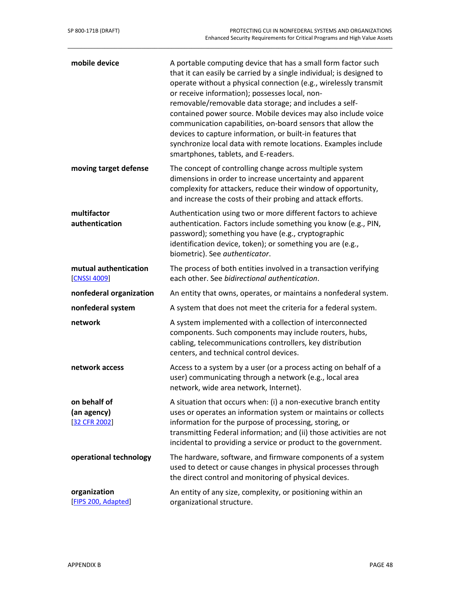| mobile device                                | A portable computing device that has a small form factor such<br>that it can easily be carried by a single individual; is designed to<br>operate without a physical connection (e.g., wirelessly transmit<br>or receive information); possesses local, non-<br>removable/removable data storage; and includes a self-<br>contained power source. Mobile devices may also include voice<br>communication capabilities, on-board sensors that allow the<br>devices to capture information, or built-in features that<br>synchronize local data with remote locations. Examples include<br>smartphones, tablets, and E-readers. |
|----------------------------------------------|------------------------------------------------------------------------------------------------------------------------------------------------------------------------------------------------------------------------------------------------------------------------------------------------------------------------------------------------------------------------------------------------------------------------------------------------------------------------------------------------------------------------------------------------------------------------------------------------------------------------------|
| moving target defense                        | The concept of controlling change across multiple system<br>dimensions in order to increase uncertainty and apparent<br>complexity for attackers, reduce their window of opportunity,<br>and increase the costs of their probing and attack efforts.                                                                                                                                                                                                                                                                                                                                                                         |
| multifactor<br>authentication                | Authentication using two or more different factors to achieve<br>authentication. Factors include something you know (e.g., PIN,<br>password); something you have (e.g., cryptographic<br>identification device, token); or something you are (e.g.,<br>biometric). See authenticator.                                                                                                                                                                                                                                                                                                                                        |
| mutual authentication<br>[CNSSI 4009]        | The process of both entities involved in a transaction verifying<br>each other. See bidirectional authentication.                                                                                                                                                                                                                                                                                                                                                                                                                                                                                                            |
| nonfederal organization                      | An entity that owns, operates, or maintains a nonfederal system.                                                                                                                                                                                                                                                                                                                                                                                                                                                                                                                                                             |
| nonfederal system                            | A system that does not meet the criteria for a federal system.                                                                                                                                                                                                                                                                                                                                                                                                                                                                                                                                                               |
| network                                      | A system implemented with a collection of interconnected<br>components. Such components may include routers, hubs,<br>cabling, telecommunications controllers, key distribution<br>centers, and technical control devices.                                                                                                                                                                                                                                                                                                                                                                                                   |
| network access                               | Access to a system by a user (or a process acting on behalf of a<br>user) communicating through a network (e.g., local area<br>network, wide area network, Internet).                                                                                                                                                                                                                                                                                                                                                                                                                                                        |
| on behalf of<br>(an agency)<br>[32 CFR 2002] | A situation that occurs when: (i) a non-executive branch entity<br>uses or operates an information system or maintains or collects<br>information for the purpose of processing, storing, or<br>transmitting Federal information; and (ii) those activities are not<br>incidental to providing a service or product to the government.                                                                                                                                                                                                                                                                                       |
| operational technology                       | The hardware, software, and firmware components of a system<br>used to detect or cause changes in physical processes through<br>the direct control and monitoring of physical devices.                                                                                                                                                                                                                                                                                                                                                                                                                                       |
| organization<br>[FIPS 200, Adapted]          | An entity of any size, complexity, or positioning within an<br>organizational structure.                                                                                                                                                                                                                                                                                                                                                                                                                                                                                                                                     |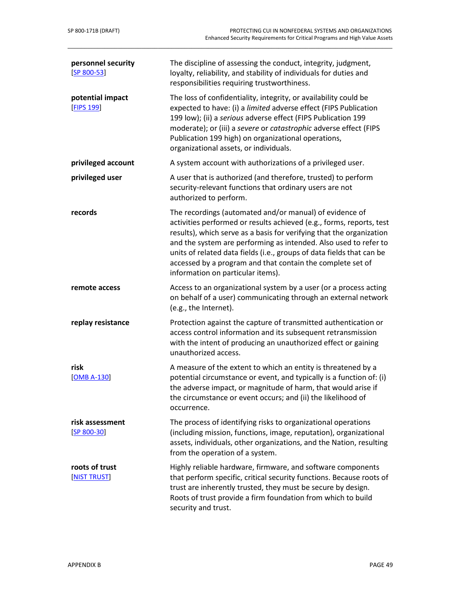| personnel security<br>$[SP 800 - 53]$ | The discipline of assessing the conduct, integrity, judgment,<br>loyalty, reliability, and stability of individuals for duties and<br>responsibilities requiring trustworthiness.                                                                                                                                                                                                                                                                       |  |  |
|---------------------------------------|---------------------------------------------------------------------------------------------------------------------------------------------------------------------------------------------------------------------------------------------------------------------------------------------------------------------------------------------------------------------------------------------------------------------------------------------------------|--|--|
| potential impact<br>[FIPS 199]        | The loss of confidentiality, integrity, or availability could be<br>expected to have: (i) a limited adverse effect (FIPS Publication<br>199 low); (ii) a serious adverse effect (FIPS Publication 199<br>moderate); or (iii) a severe or catastrophic adverse effect (FIPS<br>Publication 199 high) on organizational operations,<br>organizational assets, or individuals.                                                                             |  |  |
| privileged account                    | A system account with authorizations of a privileged user.                                                                                                                                                                                                                                                                                                                                                                                              |  |  |
| privileged user                       | A user that is authorized (and therefore, trusted) to perform<br>security-relevant functions that ordinary users are not<br>authorized to perform.                                                                                                                                                                                                                                                                                                      |  |  |
| records                               | The recordings (automated and/or manual) of evidence of<br>activities performed or results achieved (e.g., forms, reports, test<br>results), which serve as a basis for verifying that the organization<br>and the system are performing as intended. Also used to refer to<br>units of related data fields (i.e., groups of data fields that can be<br>accessed by a program and that contain the complete set of<br>information on particular items). |  |  |
| remote access                         | Access to an organizational system by a user (or a process acting<br>on behalf of a user) communicating through an external network<br>(e.g., the Internet).                                                                                                                                                                                                                                                                                            |  |  |
| replay resistance                     | Protection against the capture of transmitted authentication or<br>access control information and its subsequent retransmission<br>with the intent of producing an unauthorized effect or gaining<br>unauthorized access.                                                                                                                                                                                                                               |  |  |
| risk<br>$[OMB A-130]$                 | A measure of the extent to which an entity is threatened by a<br>potential circumstance or event, and typically is a function of: (i)<br>the adverse impact, or magnitude of harm, that would arise if<br>the circumstance or event occurs; and (ii) the likelihood of<br>occurrence.                                                                                                                                                                   |  |  |
| risk assessment<br>$[SP 800-30]$      | The process of identifying risks to organizational operations<br>(including mission, functions, image, reputation), organizational<br>assets, individuals, other organizations, and the Nation, resulting<br>from the operation of a system.                                                                                                                                                                                                            |  |  |
| roots of trust<br>[NIST TRUST]        | Highly reliable hardware, firmware, and software components<br>that perform specific, critical security functions. Because roots of<br>trust are inherently trusted, they must be secure by design.<br>Roots of trust provide a firm foundation from which to build<br>security and trust.                                                                                                                                                              |  |  |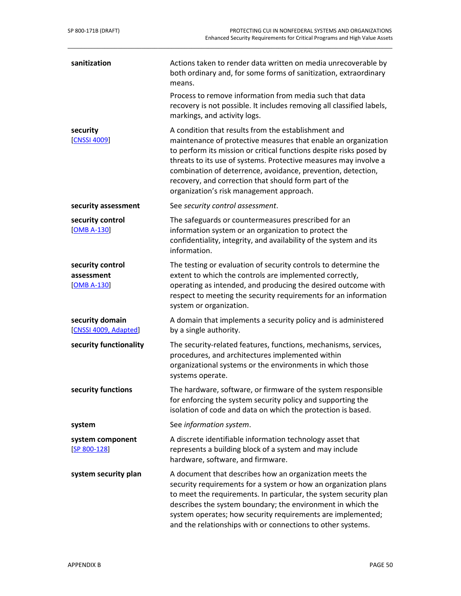| sanitization                                    | Actions taken to render data written on media unrecoverable by<br>both ordinary and, for some forms of sanitization, extraordinary<br>means.<br>Process to remove information from media such that data<br>recovery is not possible. It includes removing all classified labels,<br>markings, and activity logs.                                                                                                                      |
|-------------------------------------------------|---------------------------------------------------------------------------------------------------------------------------------------------------------------------------------------------------------------------------------------------------------------------------------------------------------------------------------------------------------------------------------------------------------------------------------------|
| security<br>[CNSSI 4009]                        | A condition that results from the establishment and<br>maintenance of protective measures that enable an organization<br>to perform its mission or critical functions despite risks posed by<br>threats to its use of systems. Protective measures may involve a<br>combination of deterrence, avoidance, prevention, detection,<br>recovery, and correction that should form part of the<br>organization's risk management approach. |
| security assessment                             | See security control assessment.                                                                                                                                                                                                                                                                                                                                                                                                      |
| security control<br>$[OMB A-130]$               | The safeguards or countermeasures prescribed for an<br>information system or an organization to protect the<br>confidentiality, integrity, and availability of the system and its<br>information.                                                                                                                                                                                                                                     |
| security control<br>assessment<br>$[OMB A-130]$ | The testing or evaluation of security controls to determine the<br>extent to which the controls are implemented correctly,<br>operating as intended, and producing the desired outcome with<br>respect to meeting the security requirements for an information<br>system or organization.                                                                                                                                             |
| security domain<br>[CNSSI 4009, Adapted]        | A domain that implements a security policy and is administered<br>by a single authority.                                                                                                                                                                                                                                                                                                                                              |
| security functionality                          | The security-related features, functions, mechanisms, services,<br>procedures, and architectures implemented within<br>organizational systems or the environments in which those<br>systems operate.                                                                                                                                                                                                                                  |
| security functions                              | The hardware, software, or firmware of the system responsible<br>for enforcing the system security policy and supporting the<br>isolation of code and data on which the protection is based.                                                                                                                                                                                                                                          |
| system                                          | See information system.                                                                                                                                                                                                                                                                                                                                                                                                               |
| system component<br>$[SP 800-128]$              | A discrete identifiable information technology asset that<br>represents a building block of a system and may include<br>hardware, software, and firmware.                                                                                                                                                                                                                                                                             |
| system security plan                            | A document that describes how an organization meets the<br>security requirements for a system or how an organization plans<br>to meet the requirements. In particular, the system security plan<br>describes the system boundary; the environment in which the<br>system operates; how security requirements are implemented;<br>and the relationships with or connections to other systems.                                          |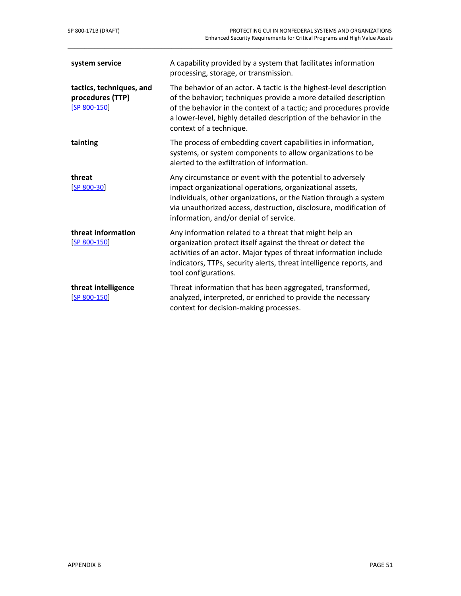| system service                                                 | A capability provided by a system that facilitates information<br>processing, storage, or transmission.                                                                                                                                                                                                      |
|----------------------------------------------------------------|--------------------------------------------------------------------------------------------------------------------------------------------------------------------------------------------------------------------------------------------------------------------------------------------------------------|
| tactics, techniques, and<br>procedures (TTP)<br>$[SP 800-150]$ | The behavior of an actor. A tactic is the highest-level description<br>of the behavior; techniques provide a more detailed description<br>of the behavior in the context of a tactic; and procedures provide<br>a lower-level, highly detailed description of the behavior in the<br>context of a technique. |
| tainting                                                       | The process of embedding covert capabilities in information,<br>systems, or system components to allow organizations to be<br>alerted to the exfiltration of information.                                                                                                                                    |
| threat<br>$[SP 800-30]$                                        | Any circumstance or event with the potential to adversely<br>impact organizational operations, organizational assets,<br>individuals, other organizations, or the Nation through a system<br>via unauthorized access, destruction, disclosure, modification of<br>information, and/or denial of service.     |
| threat information<br>$[SP 800-150]$                           | Any information related to a threat that might help an<br>organization protect itself against the threat or detect the<br>activities of an actor. Major types of threat information include<br>indicators, TTPs, security alerts, threat intelligence reports, and<br>tool configurations.                   |
| threat intelligence<br>$[SP 800-150]$                          | Threat information that has been aggregated, transformed,<br>analyzed, interpreted, or enriched to provide the necessary<br>context for decision-making processes.                                                                                                                                           |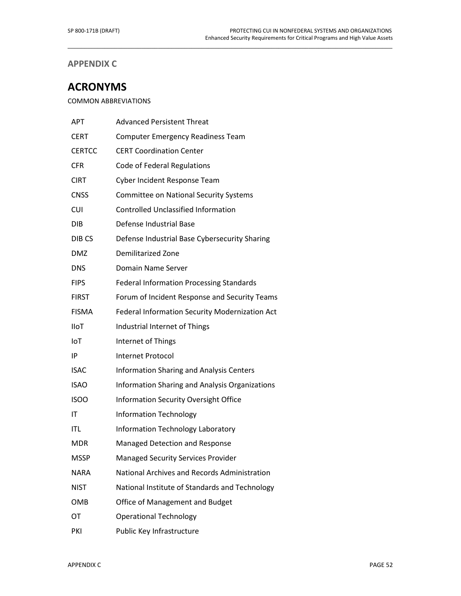# **APPENDIX C**

# **ACRONYMS**

COMMON ABBREVIATIONS

| <b>APT</b>        | <b>Advanced Persistent Threat</b>               |
|-------------------|-------------------------------------------------|
| <b>CERT</b>       | <b>Computer Emergency Readiness Team</b>        |
| <b>CERTCC</b>     | <b>CERT Coordination Center</b>                 |
| <b>CFR</b>        | Code of Federal Regulations                     |
| <b>CIRT</b>       | Cyber Incident Response Team                    |
| <b>CNSS</b>       | <b>Committee on National Security Systems</b>   |
| <b>CUI</b>        | <b>Controlled Unclassified Information</b>      |
| <b>DIB</b>        | Defense Industrial Base                         |
| DIB <sub>CS</sub> | Defense Industrial Base Cybersecurity Sharing   |
| <b>DMZ</b>        | <b>Demilitarized Zone</b>                       |
| <b>DNS</b>        | Domain Name Server                              |
| <b>FIPS</b>       | <b>Federal Information Processing Standards</b> |
| <b>FIRST</b>      | Forum of Incident Response and Security Teams   |
| <b>FISMA</b>      | Federal Information Security Modernization Act  |
| <b>IIoT</b>       | Industrial Internet of Things                   |
| IoT               | Internet of Things                              |
| IP                | <b>Internet Protocol</b>                        |
| <b>ISAC</b>       | <b>Information Sharing and Analysis Centers</b> |
| <b>ISAO</b>       | Information Sharing and Analysis Organizations  |
| <b>ISOO</b>       | Information Security Oversight Office           |
| ΙT                | <b>Information Technology</b>                   |
| ITL               | <b>Information Technology Laboratory</b>        |
| <b>MDR</b>        | Managed Detection and Response                  |
| MSSP              | <b>Managed Security Services Provider</b>       |
| <b>NARA</b>       | National Archives and Records Administration    |
| <b>NIST</b>       | National Institute of Standards and Technology  |
| <b>OMB</b>        | Office of Management and Budget                 |
| OT                | <b>Operational Technology</b>                   |
| PKI               | Public Key Infrastructure                       |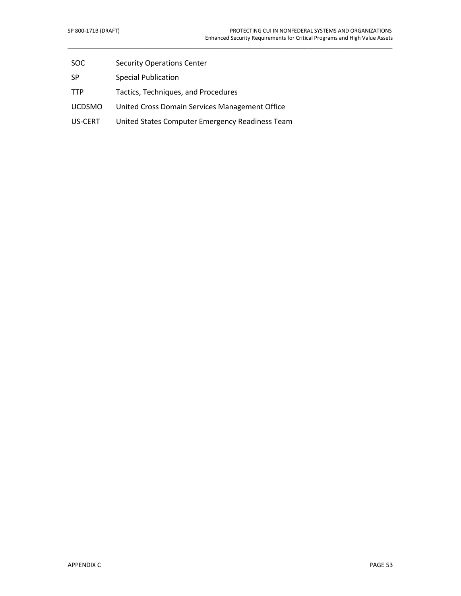- SOC Security Operations Center
- SP Special Publication
- TTP Tactics, Techniques, and Procedures
- UCDSMO United Cross Domain Services Management Office
- US-CERT United States Computer Emergency Readiness Team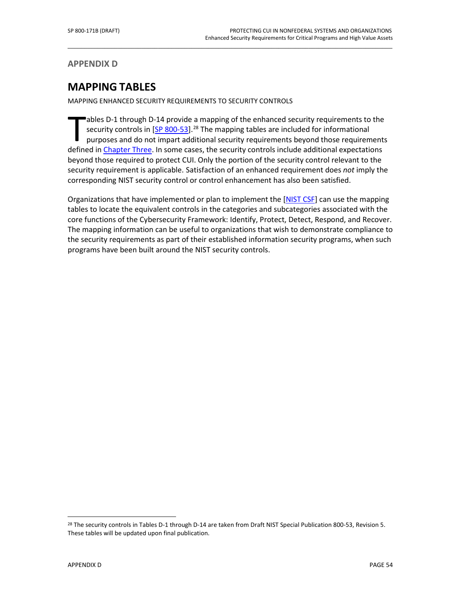**APPENDIX D**

# **MAPPING TABLES**

MAPPING ENHANCED SECURITY REQUIREMENTS TO SECURITY CONTROLS

ables D-1 through D-14 provide a mapping of the enhanced security requirements to the security controls in  $[SP 800-53]$ .<sup>[28](#page-65-0)</sup> The mapping tables are included for informational purposes and do not impart additional security requirements beyond those requirements ables D-1 through D-14 provide a mapping of the enhanced security requirements to the security controls in [SP 800-53].<sup>28</sup> The mapping tables are included for informational purposes and do not impart additional security r beyond those required to protect CUI. Only the portion of the security control relevant to the security requirement is applicable. Satisfaction of an enhanced requirement does *not* imply the corresponding NIST security control or control enhancement has also been satisfied.

\_\_\_\_\_\_\_\_\_\_\_\_\_\_\_\_\_\_\_\_\_\_\_\_\_\_\_\_\_\_\_\_\_\_\_\_\_\_\_\_\_\_\_\_\_\_\_\_\_\_\_\_\_\_\_\_\_\_\_\_\_\_\_\_\_\_\_\_\_\_\_\_\_\_\_\_\_\_\_\_\_\_\_\_\_\_\_\_\_\_\_\_\_\_\_\_\_

Organizations that have implemented or plan to implement the [\[NIST CSF\]](#page-53-0) can use the mapping tables to locate the equivalent controls in the categories and subcategories associated with the core functions of the Cybersecurity Framework: Identify, Protect, Detect, Respond, and Recover. The mapping information can be useful to organizations that wish to demonstrate compliance to the security requirements as part of their established information security programs, when such programs have been built around the NIST security controls.

 $\overline{a}$ 

<span id="page-65-0"></span><sup>&</sup>lt;sup>28</sup> The security controls in Tables D-1 through D-14 are taken from Draft NIST Special Publication 800-53, Revision 5. These tables will be updated upon final publication.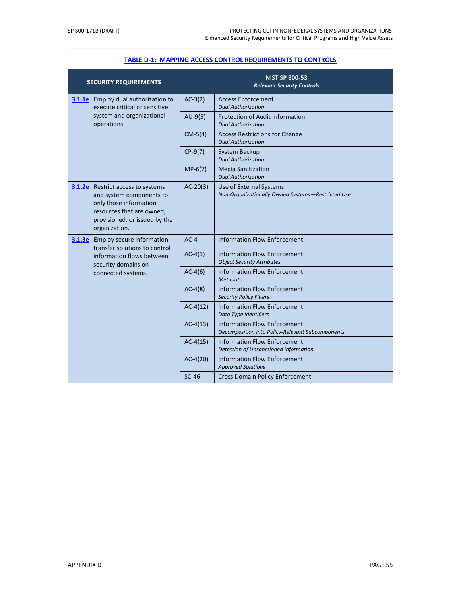| <b>SECURITY REQUIREMENTS</b>                                                                                                                                                  |            | <b>NIST SP 800-53</b><br><b>Relevant Security Controls</b>                              |
|-------------------------------------------------------------------------------------------------------------------------------------------------------------------------------|------------|-----------------------------------------------------------------------------------------|
| 3.1.1e Employ dual authorization to<br>execute critical or sensitive                                                                                                          | $AC-3(2)$  | <b>Access Enforcement</b><br><b>Dual Authorization</b>                                  |
| system and organizational<br>operations.                                                                                                                                      | $AU-9(5)$  | <b>Protection of Audit Information</b><br><b>Dual Authorization</b>                     |
|                                                                                                                                                                               | $CM-5(4)$  | <b>Access Restrictions for Change</b><br><b>Dual Authorization</b>                      |
|                                                                                                                                                                               | $CP-9(7)$  | System Backup<br><b>Dual Authorization</b>                                              |
|                                                                                                                                                                               | $MP-6(7)$  | <b>Media Sanitization</b><br><b>Dual Authorization</b>                                  |
| <b>3.1.2e</b> Restrict access to systems<br>and system components to<br>only those information<br>resources that are owned,<br>provisioned, or issued by the<br>organization. | $AC-20(3)$ | Use of External Systems<br>Non-Organizationally Owned Systems-Restricted Use            |
| <b>3.1.3e</b> Employ secure information<br>transfer solutions to control<br>information flows between<br>security domains on<br>connected systems.                            | $AC-4$     | <b>Information Flow Enforcement</b>                                                     |
|                                                                                                                                                                               | $AC-4(1)$  | <b>Information Flow Enforcement</b><br><b>Object Security Attributes</b>                |
|                                                                                                                                                                               | $AC-4(6)$  | <b>Information Flow Enforcement</b><br>Metadata                                         |
|                                                                                                                                                                               | $AC-4(8)$  | <b>Information Flow Enforcement</b><br><b>Security Policy Filters</b>                   |
|                                                                                                                                                                               | $AC-4(12)$ | <b>Information Flow Enforcement</b><br>Data Type Identifiers                            |
|                                                                                                                                                                               | $AC-4(13)$ | <b>Information Flow Enforcement</b><br>Decomposition into Policy-Relevant Subcomponents |
|                                                                                                                                                                               | $AC-4(15)$ | <b>Information Flow Enforcement</b><br>Detection of Unsanctioned Information            |
|                                                                                                                                                                               | $AC-4(20)$ | <b>Information Flow Enforcement</b><br><b>Approved Solutions</b>                        |
|                                                                                                                                                                               | $SC-46$    | <b>Cross Domain Policy Enforcement</b>                                                  |

# \_\_\_\_\_\_\_\_\_\_\_\_\_\_\_\_\_\_\_\_\_\_\_\_\_\_\_\_\_\_\_\_\_\_\_\_\_\_\_\_\_\_\_\_\_\_\_\_\_\_\_\_\_\_\_\_\_\_\_\_\_\_\_\_\_\_\_\_\_\_\_\_\_\_\_\_\_\_\_\_\_\_\_\_\_\_\_\_\_\_\_\_\_\_\_\_\_ **TABLE D-1: MAPPING [ACCESS CONTROL REQUIREMENTS TO CONTROLS](#page-23-0)**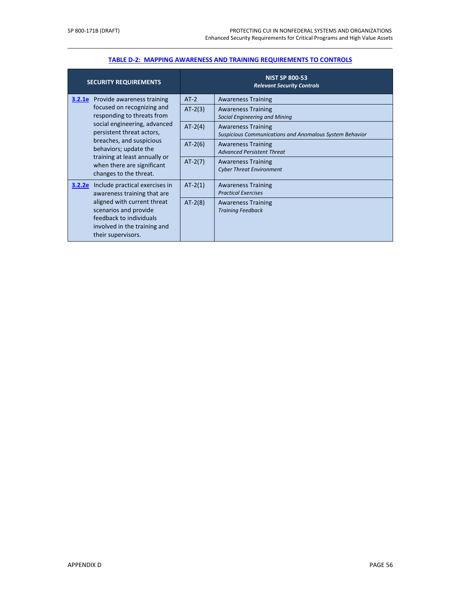| <b>SECURITY REQUIREMENTS</b>                                                                                                                                                                                                                                        |           | <b>NIST SP 800-53</b><br><b>Relevant Security Controls</b>                           |
|---------------------------------------------------------------------------------------------------------------------------------------------------------------------------------------------------------------------------------------------------------------------|-----------|--------------------------------------------------------------------------------------|
| <b>3.2.1e</b> Provide awareness training                                                                                                                                                                                                                            | $AT-2$    | <b>Awareness Training</b>                                                            |
| focused on recognizing and<br>responding to threats from<br>social engineering, advanced<br>persistent threat actors,<br>breaches, and suspicious<br>behaviors; update the<br>training at least annually or<br>when there are significant<br>changes to the threat. | $AT-2(3)$ | <b>Awareness Training</b><br>Social Engineering and Mining                           |
|                                                                                                                                                                                                                                                                     | $AT-2(4)$ | <b>Awareness Training</b><br>Suspicious Communications and Anomalous System Behavior |
|                                                                                                                                                                                                                                                                     | $AT-2(6)$ | <b>Awareness Training</b><br><b>Advanced Persistent Threat</b>                       |
|                                                                                                                                                                                                                                                                     | $AT-2(7)$ | <b>Awareness Training</b><br><b>Cyber Threat Environment</b>                         |
| Include practical exercises in<br>3.2.2e<br>awareness training that are                                                                                                                                                                                             | $AT-2(1)$ | <b>Awareness Training</b><br><b>Practical Exercises</b>                              |
| aligned with current threat<br>scenarios and provide<br>feedback to individuals<br>involved in the training and<br>their supervisors.                                                                                                                               | $AT-2(8)$ | <b>Awareness Training</b><br><b>Training Feedback</b>                                |

# \_\_\_\_\_\_\_\_\_\_\_\_\_\_\_\_\_\_\_\_\_\_\_\_\_\_\_\_\_\_\_\_\_\_\_\_\_\_\_\_\_\_\_\_\_\_\_\_\_\_\_\_\_\_\_\_\_\_\_\_\_\_\_\_\_\_\_\_\_\_\_\_\_\_\_\_\_\_\_\_\_\_\_\_\_\_\_\_\_\_\_\_\_\_\_\_\_ **[TABLE D-2: MAPPING AWARENESS AND TRAINING REQUIREMENTS TO CONTROLS](#page-25-0)**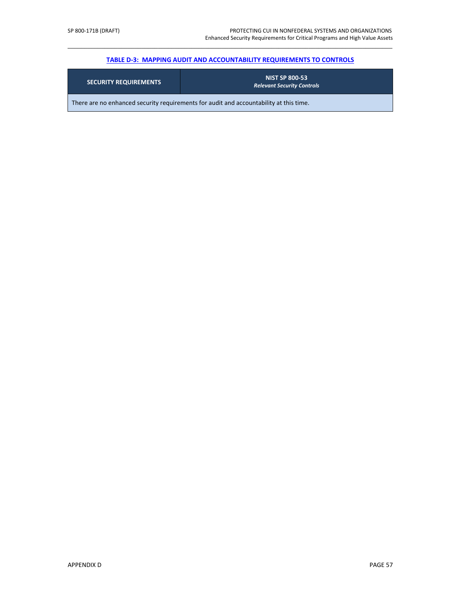# \_\_\_\_\_\_\_\_\_\_\_\_\_\_\_\_\_\_\_\_\_\_\_\_\_\_\_\_\_\_\_\_\_\_\_\_\_\_\_\_\_\_\_\_\_\_\_\_\_\_\_\_\_\_\_\_\_\_\_\_\_\_\_\_\_\_\_\_\_\_\_\_\_\_\_\_\_\_\_\_\_\_\_\_\_\_\_\_\_\_\_\_\_\_\_\_\_ **[TABLE D-3: MAPPING AUDIT AND ACCOUNTABILITY REQUIREMENTS TO CONTROLS](#page-26-0)**

| <b>SECURITY REQUIREMENTS</b>                                                           | <b>NIST SP 800-53</b><br><b>Relevant Security Controls</b> |  |
|----------------------------------------------------------------------------------------|------------------------------------------------------------|--|
| There are no enhanced security requirements for audit and accountability at this time. |                                                            |  |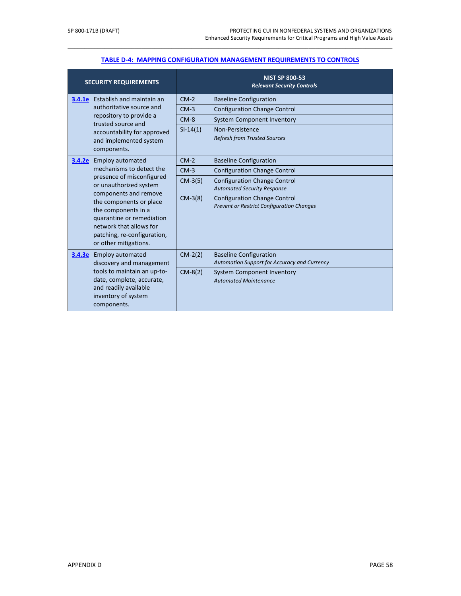| <b>SECURITY REQUIREMENTS</b>                                                                                                                                                                                                                   |            | <b>NIST SP 800-53</b><br><b>Relevant Security Controls</b>                              |
|------------------------------------------------------------------------------------------------------------------------------------------------------------------------------------------------------------------------------------------------|------------|-----------------------------------------------------------------------------------------|
| <b>3.4.1e</b> Establish and maintain an                                                                                                                                                                                                        | $CM-2$     | <b>Baseline Configuration</b>                                                           |
| authoritative source and                                                                                                                                                                                                                       | $CM-3$     | <b>Configuration Change Control</b>                                                     |
| repository to provide a<br>trusted source and                                                                                                                                                                                                  | $CM-8$     | <b>System Component Inventory</b>                                                       |
| accountability for approved<br>and implemented system<br>components.                                                                                                                                                                           | $SI-14(1)$ | Non-Persistence<br><b>Refresh from Trusted Sources</b>                                  |
| <b>3.4.2e</b> Employ automated                                                                                                                                                                                                                 | $CM-2$     | <b>Baseline Configuration</b>                                                           |
| mechanisms to detect the                                                                                                                                                                                                                       | $CM-3$     | <b>Configuration Change Control</b>                                                     |
| presence of misconfigured<br>or unauthorized system<br>components and remove<br>the components or place<br>the components in a<br>quarantine or remediation<br>network that allows for<br>patching, re-configuration,<br>or other mitigations. | $CM-3(5)$  | <b>Configuration Change Control</b><br><b>Automated Security Response</b>               |
|                                                                                                                                                                                                                                                | $CM-3(8)$  | <b>Configuration Change Control</b><br><b>Prevent or Restrict Configuration Changes</b> |
| <b>Employ automated</b><br>3.4.3e<br>discovery and management<br>tools to maintain an up-to-<br>date, complete, accurate,<br>and readily available<br>inventory of system<br>components.                                                       | $CM-2(2)$  | <b>Baseline Configuration</b><br>Automation Support for Accuracy and Currency           |
|                                                                                                                                                                                                                                                | $CM-8(2)$  | <b>System Component Inventory</b><br><b>Automated Maintenance</b>                       |

# \_\_\_\_\_\_\_\_\_\_\_\_\_\_\_\_\_\_\_\_\_\_\_\_\_\_\_\_\_\_\_\_\_\_\_\_\_\_\_\_\_\_\_\_\_\_\_\_\_\_\_\_\_\_\_\_\_\_\_\_\_\_\_\_\_\_\_\_\_\_\_\_\_\_\_\_\_\_\_\_\_\_\_\_\_\_\_\_\_\_\_\_\_\_\_\_\_ **[TABLE D-4: MAPPING CONFIGURATION MANAGEMENT REQUIREMENTS TO CONTROLS](#page-27-0)**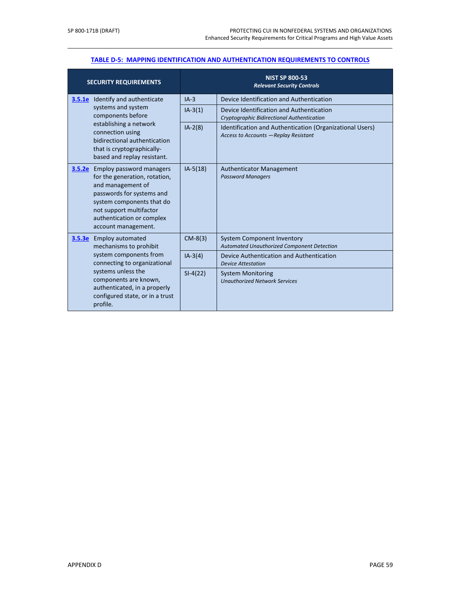# \_\_\_\_\_\_\_\_\_\_\_\_\_\_\_\_\_\_\_\_\_\_\_\_\_\_\_\_\_\_\_\_\_\_\_\_\_\_\_\_\_\_\_\_\_\_\_\_\_\_\_\_\_\_\_\_\_\_\_\_\_\_\_\_\_\_\_\_\_\_\_\_\_\_\_\_\_\_\_\_\_\_\_\_\_\_\_\_\_\_\_\_\_\_\_\_\_ **[TABLE D-5: MAPPING IDENTIFICATION AND AUTHENTICATION REQUIREMENTS TO CONTROLS](#page-29-0)**

|                                                                                                                                                                                                                                                  | <b>SECURITY REQUIREMENTS</b>                                                                                                                                                                                                          |                                                                                                   | <b>NIST SP 800-53</b><br><b>Relevant Security Controls</b>  |
|--------------------------------------------------------------------------------------------------------------------------------------------------------------------------------------------------------------------------------------------------|---------------------------------------------------------------------------------------------------------------------------------------------------------------------------------------------------------------------------------------|---------------------------------------------------------------------------------------------------|-------------------------------------------------------------|
|                                                                                                                                                                                                                                                  | <b>3.5.1e</b> Identify and authenticate                                                                                                                                                                                               | $IA-3$                                                                                            | Device Identification and Authentication                    |
| systems and system<br>components before<br>establishing a network<br>connection using<br>bidirectional authentication<br>that is cryptographically-<br>based and replay resistant.                                                               | $IA-3(1)$                                                                                                                                                                                                                             | Device Identification and Authentication<br>Cryptographic Bidirectional Authentication            |                                                             |
|                                                                                                                                                                                                                                                  | $IA-2(8)$                                                                                                                                                                                                                             | Identification and Authentication (Organizational Users)<br>Access to Accounts - Replay Resistant |                                                             |
|                                                                                                                                                                                                                                                  | <b>3.5.2e</b> Employ password managers<br>for the generation, rotation,<br>and management of<br>passwords for systems and<br>system components that do<br>not support multifactor<br>authentication or complex<br>account management. | $IA-5(18)$                                                                                        | <b>Authenticator Management</b><br><b>Password Managers</b> |
| <b>3.5.3e</b> Employ automated<br>mechanisms to prohibit<br>system components from<br>connecting to organizational<br>systems unless the<br>components are known,<br>authenticated, in a properly<br>configured state, or in a trust<br>profile. | $CM-8(3)$                                                                                                                                                                                                                             | <b>System Component Inventory</b><br>Automated Unauthorized Component Detection                   |                                                             |
|                                                                                                                                                                                                                                                  | $IA-3(4)$                                                                                                                                                                                                                             | Device Authentication and Authentication<br><b>Device Attestation</b>                             |                                                             |
|                                                                                                                                                                                                                                                  | $SI-4(22)$                                                                                                                                                                                                                            | <b>System Monitoring</b><br><b>Unauthorized Network Services</b>                                  |                                                             |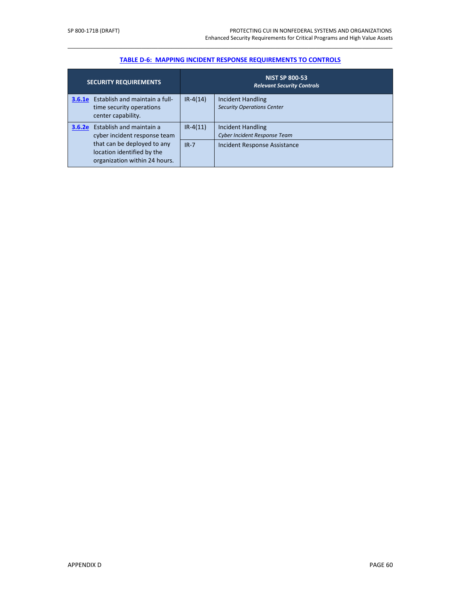# \_\_\_\_\_\_\_\_\_\_\_\_\_\_\_\_\_\_\_\_\_\_\_\_\_\_\_\_\_\_\_\_\_\_\_\_\_\_\_\_\_\_\_\_\_\_\_\_\_\_\_\_\_\_\_\_\_\_\_\_\_\_\_\_\_\_\_\_\_\_\_\_\_\_\_\_\_\_\_\_\_\_\_\_\_\_\_\_\_\_\_\_\_\_\_\_\_ **[TABLE D-6: MAPPING INCIDENT RESPONSE REQUIREMENTS TO CONTROLS](#page-31-0)**

| <b>SECURITY REQUIREMENTS</b>                                                                   | <b>NIST SP 800-53</b><br><b>Relevant Security Controls</b> |                                                                 |
|------------------------------------------------------------------------------------------------|------------------------------------------------------------|-----------------------------------------------------------------|
| <b>3.6.1e</b> Establish and maintain a full-<br>time security operations<br>center capability. | $IR-4(14)$                                                 | <b>Incident Handling</b><br><b>Security Operations Center</b>   |
| Establish and maintain a<br>3.6.2e<br>cyber incident response team                             | $IR-4(11)$                                                 | <b>Incident Handling</b><br><b>Cyber Incident Response Team</b> |
| that can be deployed to any<br>location identified by the<br>organization within 24 hours.     | $IR - 7$                                                   | Incident Response Assistance                                    |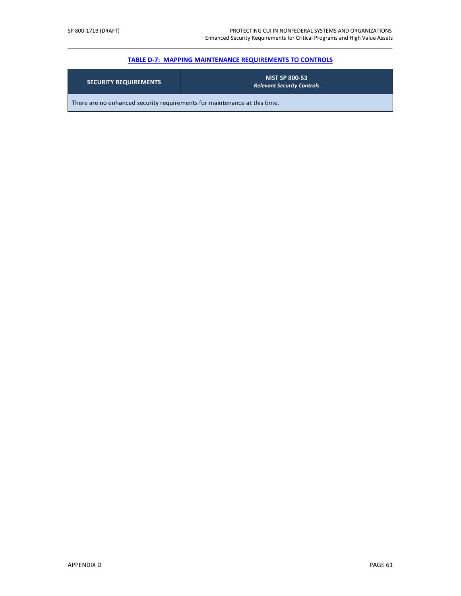# \_\_\_\_\_\_\_\_\_\_\_\_\_\_\_\_\_\_\_\_\_\_\_\_\_\_\_\_\_\_\_\_\_\_\_\_\_\_\_\_\_\_\_\_\_\_\_\_\_\_\_\_\_\_\_\_\_\_\_\_\_\_\_\_\_\_\_\_\_\_\_\_\_\_\_\_\_\_\_\_\_\_\_\_\_\_\_\_\_\_\_\_\_\_\_\_\_ **[TABLE D-7: MAPPING MAINTENANCE](#page-32-0) REQUIREMENTS TO CONTROLS**

| <b>SECURITY REQUIREMENTS</b>                                              | <b>NIST SP 800-53</b><br><b>Relevant Security Controls</b> |  |  |  |
|---------------------------------------------------------------------------|------------------------------------------------------------|--|--|--|
| There are no enhanced security requirements for maintenance at this time. |                                                            |  |  |  |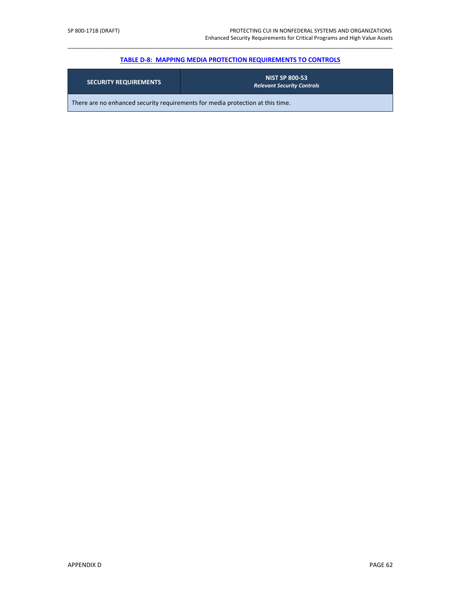### \_\_\_\_\_\_\_\_\_\_\_\_\_\_\_\_\_\_\_\_\_\_\_\_\_\_\_\_\_\_\_\_\_\_\_\_\_\_\_\_\_\_\_\_\_\_\_\_\_\_\_\_\_\_\_\_\_\_\_\_\_\_\_\_\_\_\_\_\_\_\_\_\_\_\_\_\_\_\_\_\_\_\_\_\_\_\_\_\_\_\_\_\_\_\_\_\_ **[TABLE D-8: MAPPING MEDIA PROTECTION REQUIREMENTS TO CONTROLS](#page-33-0)**

| <b>SECURITY REQUIREMENTS</b>                                                   | <b>NIST SP 800-53</b><br><b>Relevant Security Controls</b> |  |  |  |
|--------------------------------------------------------------------------------|------------------------------------------------------------|--|--|--|
| There are no enhanced security requirements for media protection at this time. |                                                            |  |  |  |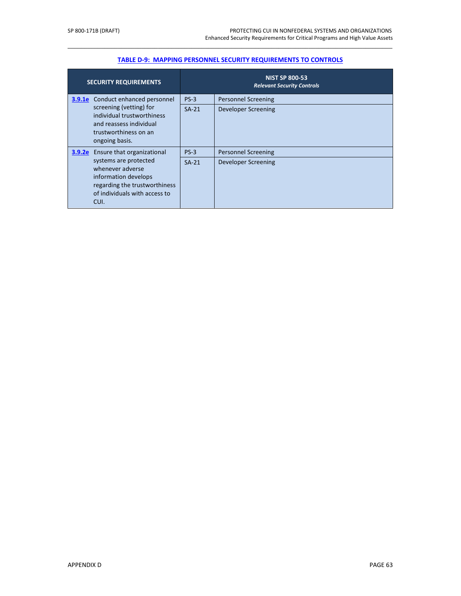| <b>SECURITY REQUIREMENTS</b>                                                                                                                |         | <b>NIST SP 800-53</b><br><b>Relevant Security Controls</b> |
|---------------------------------------------------------------------------------------------------------------------------------------------|---------|------------------------------------------------------------|
| Conduct enhanced personnel<br>3.9.1e                                                                                                        | $PS-3$  | <b>Personnel Screening</b>                                 |
| screening (vetting) for<br>individual trustworthiness<br>and reassess individual<br>trustworthiness on an<br>ongoing basis.                 | $SA-21$ | Developer Screening                                        |
| Ensure that organizational<br>3.9.2e                                                                                                        | $PS-3$  | <b>Personnel Screening</b>                                 |
| systems are protected<br>whenever adverse<br>information develops<br>regarding the trustworthiness<br>of individuals with access to<br>CUI. | $SA-21$ | Developer Screening                                        |

# \_\_\_\_\_\_\_\_\_\_\_\_\_\_\_\_\_\_\_\_\_\_\_\_\_\_\_\_\_\_\_\_\_\_\_\_\_\_\_\_\_\_\_\_\_\_\_\_\_\_\_\_\_\_\_\_\_\_\_\_\_\_\_\_\_\_\_\_\_\_\_\_\_\_\_\_\_\_\_\_\_\_\_\_\_\_\_\_\_\_\_\_\_\_\_\_\_ **[TABLE D-9: MAPPING PERSONNEL SECURITY REQUIREMENTS TO CONTROLS](#page-34-0)**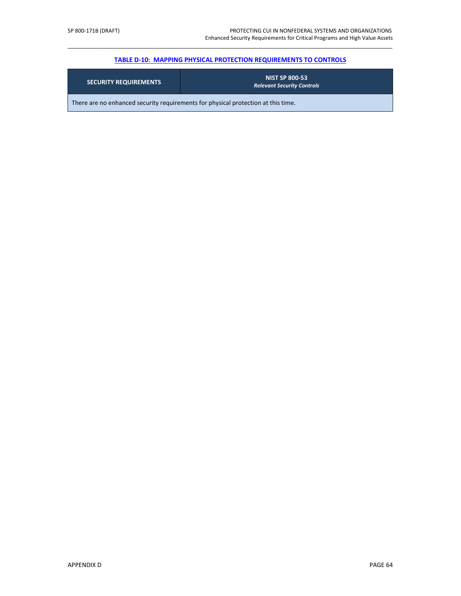### \_\_\_\_\_\_\_\_\_\_\_\_\_\_\_\_\_\_\_\_\_\_\_\_\_\_\_\_\_\_\_\_\_\_\_\_\_\_\_\_\_\_\_\_\_\_\_\_\_\_\_\_\_\_\_\_\_\_\_\_\_\_\_\_\_\_\_\_\_\_\_\_\_\_\_\_\_\_\_\_\_\_\_\_\_\_\_\_\_\_\_\_\_\_\_\_\_ **TABLE D-10: MAPPING PHYSICAL [PROTECTION REQUIREMENTS TO CONTROLS](#page-35-0)**

| <b>SECURITY REQUIREMENTS</b>                                                      | <b>NIST SP 800-53</b><br><b>Relevant Security Controls</b> |  |  |  |
|-----------------------------------------------------------------------------------|------------------------------------------------------------|--|--|--|
| There are no enhanced security requirements for physical protection at this time. |                                                            |  |  |  |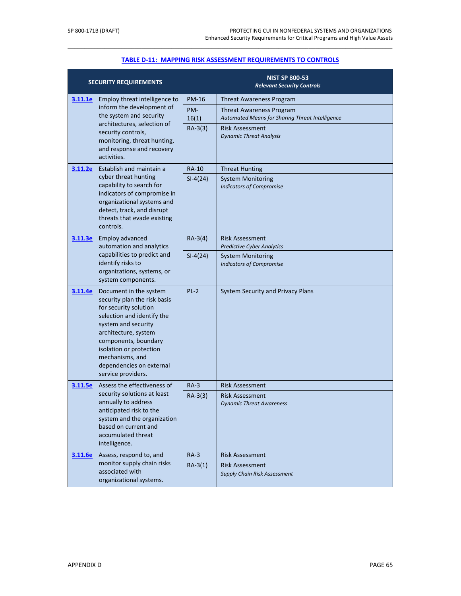|                                                                          | <b>SECURITY REQUIREMENTS</b>                                                                                                                                                                                                                                                         |                                                        | <b>NIST SP 800-53</b><br><b>Relevant Security Controls</b>  |
|--------------------------------------------------------------------------|--------------------------------------------------------------------------------------------------------------------------------------------------------------------------------------------------------------------------------------------------------------------------------------|--------------------------------------------------------|-------------------------------------------------------------|
| 3.11.1e                                                                  | Employ threat intelligence to<br>inform the development of                                                                                                                                                                                                                           | <b>PM-16</b><br>PM-                                    | <b>Threat Awareness Program</b><br>Threat Awareness Program |
| the system and security                                                  | 16(1)                                                                                                                                                                                                                                                                                | Automated Means for Sharing Threat Intelligence        |                                                             |
|                                                                          | architectures, selection of<br>security controls,<br>monitoring, threat hunting,<br>and response and recovery<br>activities.                                                                                                                                                         | $RA-3(3)$                                              | Risk Assessment<br><b>Dynamic Threat Analysis</b>           |
| 3.11.2e                                                                  | Establish and maintain a                                                                                                                                                                                                                                                             | <b>RA-10</b>                                           | <b>Threat Hunting</b>                                       |
|                                                                          | cyber threat hunting<br>capability to search for<br>indicators of compromise in<br>organizational systems and<br>detect, track, and disrupt<br>threats that evade existing<br>controls.                                                                                              | $SI-4(24)$                                             | <b>System Monitoring</b><br><b>Indicators of Compromise</b> |
| <b>Employ advanced</b><br>3.11.3e<br>automation and analytics            | $RA-3(4)$                                                                                                                                                                                                                                                                            | Risk Assessment<br><b>Predictive Cyber Analytics</b>   |                                                             |
|                                                                          | capabilities to predict and<br>identify risks to<br>organizations, systems, or<br>system components.                                                                                                                                                                                 | $SI-4(24)$                                             | <b>System Monitoring</b><br><b>Indicators of Compromise</b> |
| 3.11.4e                                                                  | Document in the system<br>security plan the risk basis<br>for security solution<br>selection and identify the<br>system and security<br>architecture, system<br>components, boundary<br>isolation or protection<br>mechanisms, and<br>dependencies on external<br>service providers. | $PL-2$                                                 | System Security and Privacy Plans                           |
| 3.11.5e                                                                  | Assess the effectiveness of                                                                                                                                                                                                                                                          | $RA-3$                                                 | Risk Assessment                                             |
|                                                                          | security solutions at least<br>annually to address<br>anticipated risk to the<br>system and the organization<br>based on current and<br>accumulated threat<br>intelligence.                                                                                                          | $RA-3(3)$                                              | Risk Assessment<br><b>Dynamic Threat Awareness</b>          |
| 3.11.6e                                                                  | Assess, respond to, and                                                                                                                                                                                                                                                              | $RA-3$                                                 | Risk Assessment                                             |
| monitor supply chain risks<br>associated with<br>organizational systems. | $RA-3(1)$                                                                                                                                                                                                                                                                            | Risk Assessment<br><b>Supply Chain Risk Assessment</b> |                                                             |

# \_\_\_\_\_\_\_\_\_\_\_\_\_\_\_\_\_\_\_\_\_\_\_\_\_\_\_\_\_\_\_\_\_\_\_\_\_\_\_\_\_\_\_\_\_\_\_\_\_\_\_\_\_\_\_\_\_\_\_\_\_\_\_\_\_\_\_\_\_\_\_\_\_\_\_\_\_\_\_\_\_\_\_\_\_\_\_\_\_\_\_\_\_\_\_\_\_ **[TABLE D-11: MAPPING RISK ASSESSMENT REQUIREMENTS TO CONTROLS](#page-36-0)**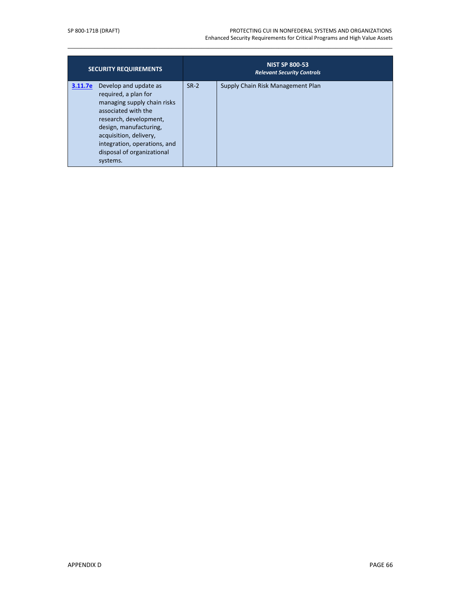#### SP 800-171B (DRAFT) PROTECTING CUI IN NONFEDERAL SYSTEMS AND ORGANIZATIONS Enhanced Security Requirements for Critical Programs and High Value Assets

| <b>SECURITY REQUIREMENTS</b>                                                                                                                                                                                                                                           |        | <b>NIST SP 800-53</b><br><b>Relevant Security Controls</b> |
|------------------------------------------------------------------------------------------------------------------------------------------------------------------------------------------------------------------------------------------------------------------------|--------|------------------------------------------------------------|
| Develop and update as<br>3.11.7e<br>required, a plan for<br>managing supply chain risks<br>associated with the<br>research, development,<br>design, manufacturing,<br>acquisition, delivery,<br>integration, operations, and<br>disposal of organizational<br>systems. | $SR-2$ | Supply Chain Risk Management Plan                          |

\_\_\_\_\_\_\_\_\_\_\_\_\_\_\_\_\_\_\_\_\_\_\_\_\_\_\_\_\_\_\_\_\_\_\_\_\_\_\_\_\_\_\_\_\_\_\_\_\_\_\_\_\_\_\_\_\_\_\_\_\_\_\_\_\_\_\_\_\_\_\_\_\_\_\_\_\_\_\_\_\_\_\_\_\_\_\_\_\_\_\_\_\_\_\_\_\_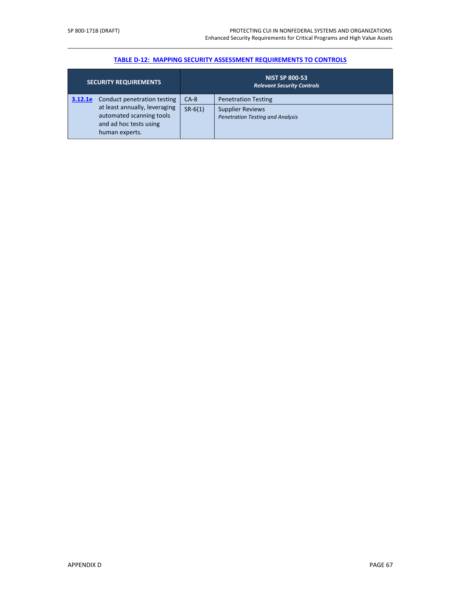# \_\_\_\_\_\_\_\_\_\_\_\_\_\_\_\_\_\_\_\_\_\_\_\_\_\_\_\_\_\_\_\_\_\_\_\_\_\_\_\_\_\_\_\_\_\_\_\_\_\_\_\_\_\_\_\_\_\_\_\_\_\_\_\_\_\_\_\_\_\_\_\_\_\_\_\_\_\_\_\_\_\_\_\_\_\_\_\_\_\_\_\_\_\_\_\_\_ **[TABLE D-12: MAPPING SECURITY ASSESSMENT REQUIREMENTS TO CONTROLS](#page-39-0)**

|         | <b>SECURITY REQUIREMENTS</b>                                                                                                         | <b>NIST SP 800-53</b><br><b>Relevant Security Controls</b> |                                                                                                  |
|---------|--------------------------------------------------------------------------------------------------------------------------------------|------------------------------------------------------------|--------------------------------------------------------------------------------------------------|
| 3.12.1e | Conduct penetration testing<br>at least annually, leveraging<br>automated scanning tools<br>and ad hoc tests using<br>human experts. | $CA-8$<br>$SR-6(1)$                                        | <b>Penetration Testing</b><br><b>Supplier Reviews</b><br><b>Penetration Testing and Analysis</b> |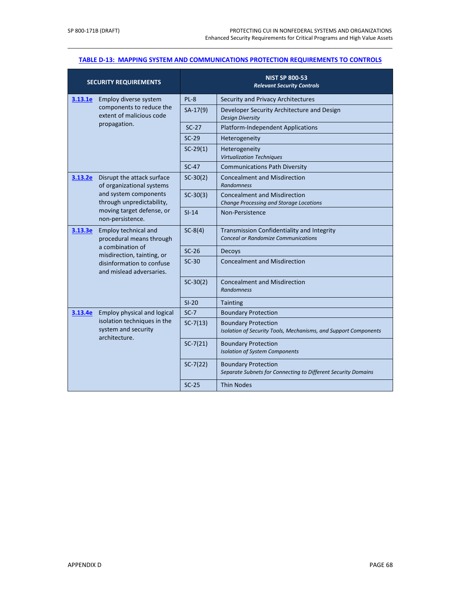### \_\_\_\_\_\_\_\_\_\_\_\_\_\_\_\_\_\_\_\_\_\_\_\_\_\_\_\_\_\_\_\_\_\_\_\_\_\_\_\_\_\_\_\_\_\_\_\_\_\_\_\_\_\_\_\_\_\_\_\_\_\_\_\_\_\_\_\_\_\_\_\_\_\_\_\_\_\_\_\_\_\_\_\_\_\_\_\_\_\_\_\_\_\_\_\_\_ **[TABLE D-13: MAPPING SYSTEM AND COMMUNICATIONS PROTECTION REQUIREMENTS TO CONTROLS](#page-40-0)**

| <b>SECURITY REQUIREMENTS</b>                                                                                                                                           |                                                         | <b>NIST SP 800-53</b><br><b>Relevant Security Controls</b>                                    |                                                                                |  |
|------------------------------------------------------------------------------------------------------------------------------------------------------------------------|---------------------------------------------------------|-----------------------------------------------------------------------------------------------|--------------------------------------------------------------------------------|--|
| 3.13.1e                                                                                                                                                                | Employ diverse system                                   | PL-8                                                                                          | Security and Privacy Architectures                                             |  |
| components to reduce the<br>extent of malicious code                                                                                                                   | $SA-17(9)$                                              | Developer Security Architecture and Design<br><b>Design Diversity</b>                         |                                                                                |  |
|                                                                                                                                                                        | propagation.                                            | $SC-27$                                                                                       | <b>Platform-Independent Applications</b>                                       |  |
|                                                                                                                                                                        |                                                         | $SC-29$                                                                                       | Heterogeneity                                                                  |  |
|                                                                                                                                                                        |                                                         | $SC-29(1)$                                                                                    | Heterogeneity<br><b>Virtualization Techniques</b>                              |  |
|                                                                                                                                                                        |                                                         | $SC-47$                                                                                       | <b>Communications Path Diversity</b>                                           |  |
| 3.13.2e                                                                                                                                                                | Disrupt the attack surface<br>of organizational systems | $SC-30(2)$                                                                                    | <b>Concealment and Misdirection</b><br><b>Randomness</b>                       |  |
|                                                                                                                                                                        | and system components<br>through unpredictability,      | $SC-30(3)$                                                                                    | <b>Concealment and Misdirection</b><br>Change Processing and Storage Locations |  |
|                                                                                                                                                                        | moving target defense, or<br>non-persistence.           | $SI-14$                                                                                       | Non-Persistence                                                                |  |
| Employ technical and<br>3.13.3e<br>procedural means through<br>a combination of<br>misdirection, tainting, or<br>disinformation to confuse<br>and mislead adversaries. | $SC-8(4)$                                               | Transmission Confidentiality and Integrity<br><b>Conceal or Randomize Communications</b>      |                                                                                |  |
|                                                                                                                                                                        | $SC-26$                                                 | Decoys                                                                                        |                                                                                |  |
|                                                                                                                                                                        | $SC-30$                                                 | <b>Concealment and Misdirection</b>                                                           |                                                                                |  |
|                                                                                                                                                                        | $SC-30(2)$                                              | <b>Concealment and Misdirection</b><br><b>Randomness</b>                                      |                                                                                |  |
|                                                                                                                                                                        |                                                         | $SI-20$                                                                                       | Tainting                                                                       |  |
| 3.13.4e                                                                                                                                                                | Employ physical and logical                             | $SC-7$                                                                                        | <b>Boundary Protection</b>                                                     |  |
| isolation techniques in the<br>system and security<br>architecture.                                                                                                    | $SC-7(13)$                                              | <b>Boundary Protection</b><br>Isolation of Security Tools, Mechanisms, and Support Components |                                                                                |  |
|                                                                                                                                                                        | $SC-7(21)$                                              | <b>Boundary Protection</b><br><b>Isolation of System Components</b>                           |                                                                                |  |
|                                                                                                                                                                        | $SC-7(22)$                                              | <b>Boundary Protection</b><br>Separate Subnets for Connecting to Different Security Domains   |                                                                                |  |
|                                                                                                                                                                        |                                                         | $SC-25$                                                                                       | <b>Thin Nodes</b>                                                              |  |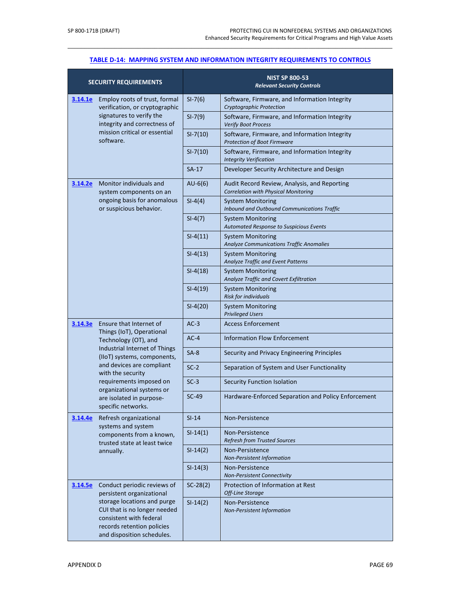# \_\_\_\_\_\_\_\_\_\_\_\_\_\_\_\_\_\_\_\_\_\_\_\_\_\_\_\_\_\_\_\_\_\_\_\_\_\_\_\_\_\_\_\_\_\_\_\_\_\_\_\_\_\_\_\_\_\_\_\_\_\_\_\_\_\_\_\_\_\_\_\_\_\_\_\_\_\_\_\_\_\_\_\_\_\_\_\_\_\_\_\_\_\_\_\_\_ **[TABLE D-14: MAPPING SYSTEM AND INFORMATION INTEGRITY](#page-44-0) REQUIREMENTS TO CONTROLS**

|                                                          | <b>SECURITY REQUIREMENTS</b>                                                                                                                                                                                             |                                                                             | <b>NIST SP 800-53</b><br><b>Relevant Security Controls</b>                                  |
|----------------------------------------------------------|--------------------------------------------------------------------------------------------------------------------------------------------------------------------------------------------------------------------------|-----------------------------------------------------------------------------|---------------------------------------------------------------------------------------------|
| 3.14.1e                                                  | Employ roots of trust, formal<br>verification, or cryptographic                                                                                                                                                          | $SI-7(6)$                                                                   | Software, Firmware, and Information Integrity<br>Cryptographic Protection                   |
| signatures to verify the<br>integrity and correctness of | $SI-7(9)$                                                                                                                                                                                                                | Software, Firmware, and Information Integrity<br><b>Verify Boot Process</b> |                                                                                             |
|                                                          | mission critical or essential<br>software.                                                                                                                                                                               | $SI - 7(10)$                                                                | Software, Firmware, and Information Integrity<br><b>Protection of Boot Firmware</b>         |
|                                                          |                                                                                                                                                                                                                          | $SI - 7(10)$                                                                | Software, Firmware, and Information Integrity<br><b>Integrity Verification</b>              |
|                                                          |                                                                                                                                                                                                                          | $SA-17$                                                                     | Developer Security Architecture and Design                                                  |
| <u>3.14.2e</u>                                           | Monitor individuals and<br>system components on an                                                                                                                                                                       | $AU-6(6)$                                                                   | Audit Record Review, Analysis, and Reporting<br><b>Correlation with Physical Monitoring</b> |
|                                                          | ongoing basis for anomalous<br>or suspicious behavior.                                                                                                                                                                   | $SI-4(4)$                                                                   | <b>System Monitoring</b><br>Inbound and Outbound Communications Traffic                     |
|                                                          |                                                                                                                                                                                                                          | $SI-4(7)$                                                                   | <b>System Monitoring</b><br>Automated Response to Suspicious Events                         |
|                                                          |                                                                                                                                                                                                                          | $SI-4(11)$                                                                  | <b>System Monitoring</b><br>Analyze Communications Traffic Anomalies                        |
|                                                          |                                                                                                                                                                                                                          | $SI-4(13)$                                                                  | <b>System Monitoring</b><br>Analyze Traffic and Event Patterns                              |
|                                                          |                                                                                                                                                                                                                          | $SI-4(18)$                                                                  | <b>System Monitoring</b><br>Analyze Traffic and Covert Exfiltration                         |
|                                                          | $SI-4(19)$                                                                                                                                                                                                               | <b>System Monitoring</b><br><b>Risk for individuals</b>                     |                                                                                             |
|                                                          |                                                                                                                                                                                                                          | $SI-4(20)$                                                                  | <b>System Monitoring</b><br><b>Privileged Users</b>                                         |
| 3.14.3e                                                  | Ensure that Internet of                                                                                                                                                                                                  | $AC-3$                                                                      | <b>Access Enforcement</b>                                                                   |
| Things (IoT), Operational<br>Technology (OT), and        | $AC-4$                                                                                                                                                                                                                   | <b>Information Flow Enforcement</b>                                         |                                                                                             |
|                                                          | Industrial Internet of Things<br>(IIoT) systems, components,<br>and devices are compliant<br>with the security<br>requirements imposed on<br>organizational systems or<br>are isolated in purpose-<br>specific networks. | $SA-8$                                                                      | Security and Privacy Engineering Principles                                                 |
|                                                          |                                                                                                                                                                                                                          | $SC-2$                                                                      | Separation of System and User Functionality                                                 |
|                                                          |                                                                                                                                                                                                                          | $SC-3$                                                                      | <b>Security Function Isolation</b>                                                          |
|                                                          |                                                                                                                                                                                                                          | $SC-49$                                                                     | Hardware-Enforced Separation and Policy Enforcement                                         |
| 3.14.4e                                                  | Refresh organizational<br>systems and system                                                                                                                                                                             | $SI-14$                                                                     | Non-Persistence                                                                             |
|                                                          | components from a known,<br>trusted state at least twice                                                                                                                                                                 | $SI-14(1)$                                                                  | Non-Persistence<br><b>Refresh from Trusted Sources</b>                                      |
| annually.                                                | $SI-14(2)$                                                                                                                                                                                                               | Non-Persistence<br><b>Non-Persistent Information</b>                        |                                                                                             |
|                                                          | $SI-14(3)$                                                                                                                                                                                                               | Non-Persistence<br><b>Non-Persistent Connectivity</b>                       |                                                                                             |
| 3.14.5e                                                  | Conduct periodic reviews of<br>persistent organizational                                                                                                                                                                 | $SC-28(2)$                                                                  | Protection of Information at Rest<br>Off-Line Storage                                       |
|                                                          | storage locations and purge<br>CUI that is no longer needed<br>consistent with federal<br>records retention policies<br>and disposition schedules.                                                                       | $SI-14(2)$                                                                  | Non-Persistence<br>Non-Persistent Information                                               |